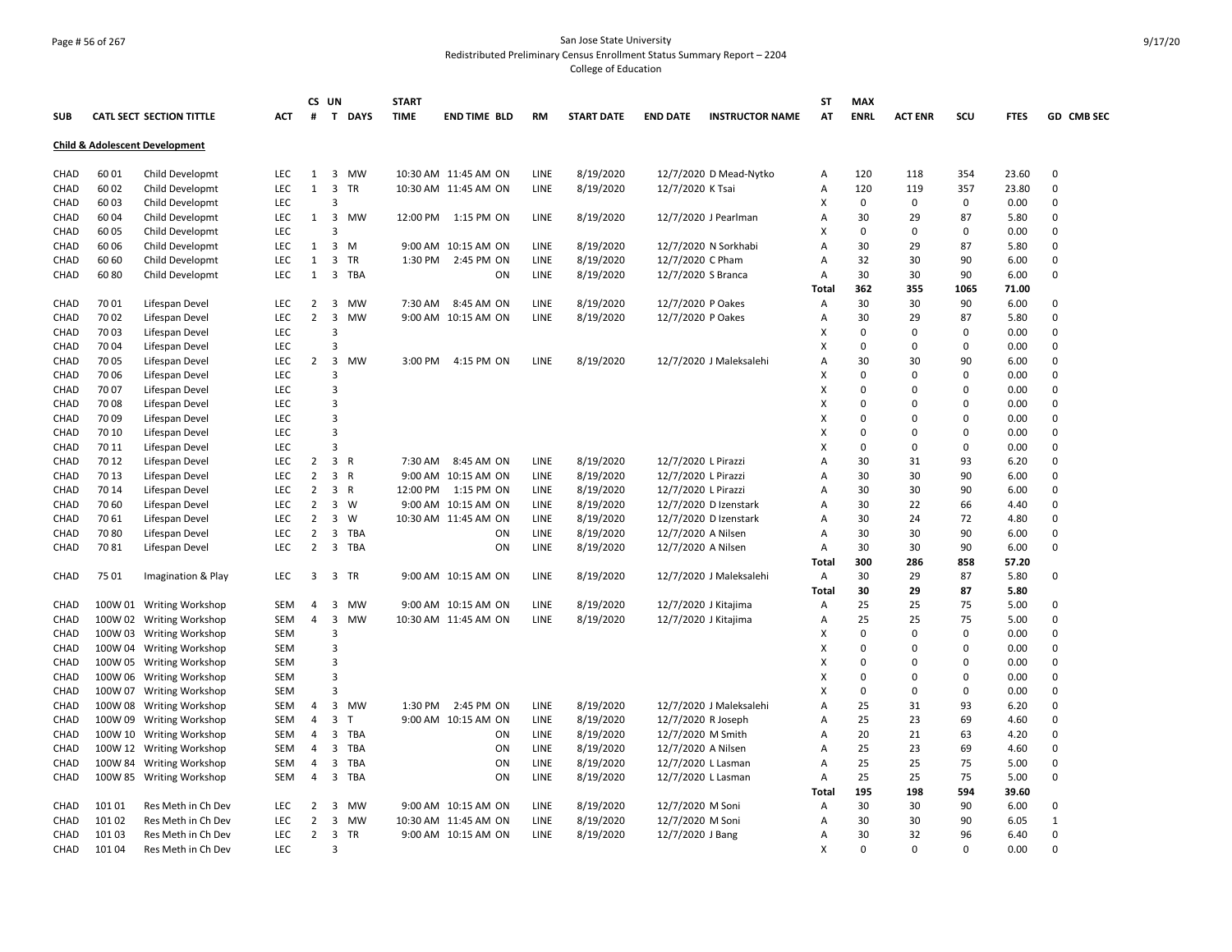#### Page # 56 of 267 San Jose State University Redistributed Preliminary Census Enrollment Status Summary Report – 2204 College of Education

|              |         |                                           |            |                | CS UN                   |              | <b>START</b> |                       |             |                   |                     |                         | ST             | <b>MAX</b>  |                |             |             |               |
|--------------|---------|-------------------------------------------|------------|----------------|-------------------------|--------------|--------------|-----------------------|-------------|-------------------|---------------------|-------------------------|----------------|-------------|----------------|-------------|-------------|---------------|
| <b>SUB</b>   |         | CATL SECT SECTION TITTLE                  | ACT        | #              |                         | T DAYS       | <b>TIME</b>  | <b>END TIME BLD</b>   | RM          | <b>START DATE</b> | <b>END DATE</b>     | <b>INSTRUCTOR NAME</b>  | AT             | <b>ENRL</b> | <b>ACT ENR</b> | scu         | <b>FTES</b> | GD CMB SEC    |
|              |         | <b>Child &amp; Adolescent Development</b> |            |                |                         |              |              |                       |             |                   |                     |                         |                |             |                |             |             |               |
| CHAD         | 60 01   | Child Developmt                           | <b>LEC</b> | $\mathbf{1}$   | $\overline{\mathbf{3}}$ | <b>MW</b>    |              | 10:30 AM 11:45 AM ON  | LINE        | 8/19/2020         |                     | 12/7/2020 D Mead-Nytko  | Α              | 120         | 118            | 354         | 23.60       | 0             |
| <b>CHAD</b>  | 60 02   | Child Developmt                           | <b>LEC</b> | $\mathbf{1}$   | $\overline{\mathbf{3}}$ | <b>TR</b>    |              | 10:30 AM 11:45 AM ON  | LINE        | 8/19/2020         | 12/7/2020 K Tsai    |                         | Α              | 120         | 119            | 357         | 23.80       | $\Omega$      |
| <b>CHAD</b>  | 60 03   | Child Developmt                           | <b>LEC</b> |                | 3                       |              |              |                       |             |                   |                     |                         | X              | $\mathbf 0$ | 0              | $\mathbf 0$ | 0.00        | $\Omega$      |
| CHAD         | 60 04   | Child Developmt                           | LEC        | $\mathbf{1}$   | $\overline{3}$          | <b>MW</b>    |              | 12:00 PM 1:15 PM ON   | LINE        | 8/19/2020         |                     | 12/7/2020 J Pearlman    | $\overline{A}$ | 30          | 29             | 87          | 5.80        | $\Omega$      |
| <b>CHAD</b>  | 60 05   | Child Developmt                           | <b>LEC</b> |                | 3                       |              |              |                       |             |                   |                     |                         | X              | $\mathbf 0$ | 0              | $\mathbf 0$ | 0.00        | $\Omega$      |
| CHAD         | 60 06   | Child Developmt                           | LEC        | $\mathbf{1}$   | $\overline{3}$          | M            |              | 9:00 AM 10:15 AM ON   | LINE        | 8/19/2020         |                     | 12/7/2020 N Sorkhabi    | A              | 30          | 29             | 87          | 5.80        | 0             |
| CHAD         | 60 60   | Child Developmt                           | <b>LEC</b> | $\mathbf{1}$   | $\overline{3}$          | TR           | 1:30 PM      | 2:45 PM ON            | LINE        | 8/19/2020         | 12/7/2020 C Pham    |                         | A              | 32          | 30             | 90          | 6.00        | $\Omega$      |
| CHAD         | 6080    | Child Developmt                           | <b>LEC</b> | $\mathbf{1}$   | $\overline{\mathbf{3}}$ | TBA          |              | ON                    | LINE        | 8/19/2020         |                     | 12/7/2020 S Branca      | Α              | 30          | 30             | 90          | 6.00        | 0             |
|              |         |                                           |            |                |                         |              |              |                       |             |                   |                     |                         | Total          | 362         | 355            | 1065        | 71.00       |               |
| CHAD         | 70 01   | Lifespan Devel                            | LEC        | 2              | $\overline{\mathbf{3}}$ | <b>MW</b>    | 7:30 AM      | 8:45 AM ON            | LINE        | 8/19/2020         | 12/7/2020 P Oakes   |                         | Α              | 30          | 30             | 90          | 6.00        | 0             |
| CHAD         | 70 02   | Lifespan Devel                            | <b>LEC</b> | $\overline{2}$ | $\overline{\mathbf{3}}$ | <b>MW</b>    |              | 9:00 AM 10:15 AM ON   | LINE        | 8/19/2020         | 12/7/2020 P Oakes   |                         | A              | 30          | 29             | 87          | 5.80        | 0             |
| CHAD         | 70 03   | Lifespan Devel                            | LEC        |                | 3                       |              |              |                       |             |                   |                     |                         | X              | $\mathbf 0$ | 0              | $\mathbf 0$ | 0.00        | 0             |
| <b>CHAD</b>  | 70 04   | Lifespan Devel                            | LEC        |                | 3                       |              |              |                       |             |                   |                     |                         | X              | $\mathbf 0$ | 0              | $\mathbf 0$ | 0.00        | $\Omega$      |
| CHAD         | 70 05   | Lifespan Devel                            | LEC        | 2              | $\overline{\mathbf{3}}$ | <b>MW</b>    | 3:00 PM      | 4:15 PM ON            | LINE        | 8/19/2020         |                     | 12/7/2020 J Maleksalehi | $\overline{A}$ | 30          | 30             | 90          | 6.00        | 0             |
| CHAD         | 70 06   | Lifespan Devel                            | LEC        |                | 3                       |              |              |                       |             |                   |                     |                         | X              | $\Omega$    | 0              | $\mathbf 0$ | 0.00        | $\Omega$      |
| CHAD         | 70 07   | Lifespan Devel                            | <b>LEC</b> |                | 3                       |              |              |                       |             |                   |                     |                         | X              | $\Omega$    | 0              | $\mathbf 0$ | 0.00        | $\Omega$      |
| CHAD         | 70 08   | Lifespan Devel                            | LEC        |                | 3                       |              |              |                       |             |                   |                     |                         | X              | $\Omega$    | 0              | $\Omega$    | 0.00        | $\Omega$      |
|              | 70 09   |                                           | LEC        |                | 3                       |              |              |                       |             |                   |                     |                         | X              | $\Omega$    | 0              | $\mathbf 0$ | 0.00        | $\mathbf 0$   |
| CHAD<br>CHAD | 70 10   | Lifespan Devel                            | LEC        |                | 3                       |              |              |                       |             |                   |                     |                         | x              | $\Omega$    | 0              | 0           | 0.00        | 0             |
|              | 70 11   | Lifespan Devel                            | <b>LEC</b> |                | 3                       |              |              |                       |             |                   |                     |                         | X              | 0           | 0              | $\mathbf 0$ | 0.00        | 0             |
| CHAD         |         | Lifespan Devel                            |            | $\overline{2}$ | $\overline{\mathbf{3}}$ | R            |              |                       |             |                   |                     |                         |                | 30          |                | 93          |             | 0             |
| CHAD         | 70 12   | Lifespan Devel                            | LEC        |                | $\overline{\mathbf{3}}$ | R            | 7:30 AM      | 8:45 AM ON            | LINE        | 8/19/2020         | 12/7/2020 L Pirazzi |                         | A              | 30          | 31<br>30       |             | 6.20        | 0             |
| CHAD         | 70 13   | Lifespan Devel                            | LEC        | $\overline{2}$ |                         |              |              | 9:00 AM 10:15 AM ON   | LINE        | 8/19/2020         | 12/7/2020 L Pirazzi |                         | A              |             |                | 90          | 6.00        | 0             |
| CHAD         | 70 14   | Lifespan Devel                            | LEC        | 2              | $\overline{\mathbf{3}}$ | R            |              | 12:00 PM   1:15 PM ON | LINE        | 8/19/2020         | 12/7/2020 L Pirazzi |                         | A              | 30          | 30             | 90          | 6.00        |               |
| <b>CHAD</b>  | 70 60   | Lifespan Devel                            | LEC        | $\overline{2}$ | $\overline{\mathbf{3}}$ | <b>W</b>     |              | 9:00 AM 10:15 AM ON   | LINE        | 8/19/2020         |                     | 12/7/2020 D Izenstark   | $\overline{A}$ | 30          | 22             | 66          | 4.40        | $\Omega$<br>0 |
| <b>CHAD</b>  | 70 61   | Lifespan Devel                            | <b>LEC</b> | $\overline{2}$ | $\overline{3}$          | W            |              | 10:30 AM 11:45 AM ON  | LINE        | 8/19/2020         |                     | 12/7/2020 D Izenstark   | Α              | 30          | 24             | 72          | 4.80        |               |
| CHAD         | 7080    | Lifespan Devel                            | LEC        | $\overline{2}$ | $\overline{\mathbf{3}}$ | TBA          |              | ON                    | LINE        | 8/19/2020         | 12/7/2020 A Nilsen  |                         | $\overline{A}$ | 30          | 30             | 90          | 6.00        | $\Omega$      |
| <b>CHAD</b>  | 7081    | Lifespan Devel                            | LEC.       | $\overline{2}$ |                         | 3 TBA        |              | ON                    | <b>LINE</b> | 8/19/2020         |                     | 12/7/2020 A Nilsen      | Α              | 30          | 30             | 90          | 6.00        | 0             |
|              |         |                                           |            |                |                         |              |              |                       |             |                   |                     |                         | Total          | 300         | 286            | 858         | 57.20       |               |
| CHAD         | 75 01   | Imagination & Play                        | LEC        | 3              |                         | 3 TR         |              | 9:00 AM 10:15 AM ON   | LINE        | 8/19/2020         |                     | 12/7/2020 J Maleksalehi | Α              | 30          | 29             | 87          | 5.80        | 0             |
|              |         |                                           |            |                |                         |              |              |                       |             |                   |                     |                         | Total          | 30          | 29             | 87          | 5.80        |               |
| CHAD         |         | 100W 01 Writing Workshop                  | <b>SEM</b> | 4              | 3                       | <b>MW</b>    |              | 9:00 AM 10:15 AM ON   | LINE        | 8/19/2020         |                     | 12/7/2020 J Kitajima    | Α              | 25          | 25             | 75          | 5.00        | 0             |
| CHAD         |         | 100W 02 Writing Workshop                  | <b>SEM</b> | 4              | $\overline{3}$          | <b>MW</b>    |              | 10:30 AM 11:45 AM ON  | LINE        | 8/19/2020         |                     | 12/7/2020 J Kitajima    | Α              | 25          | 25             | 75          | 5.00        | 0             |
| CHAD         |         | 100W 03 Writing Workshop                  | <b>SEM</b> |                | 3                       |              |              |                       |             |                   |                     |                         | x              | 0           | 0              | 0           | 0.00        | 0             |
| CHAD         |         | 100W 04 Writing Workshop                  | SEM        |                | 3                       |              |              |                       |             |                   |                     |                         | X              | $\Omega$    | 0              | $\mathbf 0$ | 0.00        | 0             |
| CHAD         | 100W 05 | <b>Writing Workshop</b>                   | <b>SEM</b> |                | 3                       |              |              |                       |             |                   |                     |                         | X              | $\Omega$    | 0              | $\mathbf 0$ | 0.00        | $\Omega$      |
| CHAD         |         | 100W 06 Writing Workshop                  | <b>SEM</b> |                | 3                       |              |              |                       |             |                   |                     |                         | x              | $\Omega$    | 0              | 0           | 0.00        | 0             |
| CHAD         | 100W 07 | <b>Writing Workshop</b>                   | <b>SEM</b> |                | 3                       |              |              |                       |             |                   |                     |                         | X              | $\mathbf 0$ | 0              | $\mathbf 0$ | 0.00        | $\Omega$      |
| <b>CHAD</b>  | 100W 08 | Writing Workshop                          | SEM        | $\overline{4}$ | $\mathbf{3}$            | <b>MW</b>    | 1:30 PM      | 2:45 PM ON            | LINE        | 8/19/2020         |                     | 12/7/2020 J Maleksalehi | $\overline{A}$ | 25          | 31             | 93          | 6.20        | $\Omega$      |
| <b>CHAD</b>  |         | 100W 09 Writing Workshop                  | <b>SEM</b> | 4              | $\mathbf{3}$            | $\mathsf{T}$ |              | 9:00 AM 10:15 AM ON   | <b>LINE</b> | 8/19/2020         |                     | 12/7/2020 R Joseph      | $\overline{A}$ | 25          | 23             | 69          | 4.60        | $\Omega$      |
| CHAD         |         | 100W 10 Writing Workshop                  | <b>SEM</b> | 4              | $\overline{3}$          | TBA          |              | ON                    | LINE        | 8/19/2020         |                     | 12/7/2020 M Smith       | A              | 20          | 21             | 63          | 4.20        | $\Omega$      |
| <b>CHAD</b>  |         | 100W 12 Writing Workshop                  | SEM        | 4              | $\overline{3}$          | <b>TBA</b>   |              | ON                    | LINE        | 8/19/2020         |                     | 12/7/2020 A Nilsen      | A              | 25          | 23             | 69          | 4.60        | O             |
| CHAD         |         | 100W 84 Writing Workshop                  | SEM        | 4              | 3                       | TBA          |              | ON                    | LINE        | 8/19/2020         |                     | 12/7/2020 L Lasman      | Α              | 25          | 25             | 75          | 5.00        | 0             |
| CHAD         |         | 100W 85 Writing Workshop                  | SEM        | 4              | $\overline{\mathbf{3}}$ | TBA          |              | ON                    | LINE        | 8/19/2020         |                     | 12/7/2020 L Lasman      | $\overline{A}$ | 25          | 25             | 75          | 5.00        | 0             |
|              |         |                                           |            |                |                         |              |              |                       |             |                   |                     |                         | Total          | 195         | 198            | 594         | 39.60       |               |
| CHAD         | 10101   | Res Meth in Ch Dev                        | LEC        | 2              | 3                       | <b>MW</b>    |              | 9:00 AM 10:15 AM ON   | LINE        | 8/19/2020         | 12/7/2020 M Soni    |                         | A              | 30          | 30             | 90          | 6.00        | 0             |
| <b>CHAD</b>  | 10102   | Res Meth in Ch Dev                        | <b>LEC</b> | $\overline{2}$ | $\overline{\mathbf{3}}$ | <b>MW</b>    |              | 10:30 AM 11:45 AM ON  | LINE        | 8/19/2020         | 12/7/2020 M Soni    |                         | $\overline{A}$ | 30          | 30             | 90          | 6.05        | $\mathbf{1}$  |
| <b>CHAD</b>  | 10103   | Res Meth in Ch Dev                        | LEC.       | 2              | 3                       | <b>TR</b>    |              | 9:00 AM 10:15 AM ON   | <b>LINE</b> | 8/19/2020         | 12/7/2020 J Bang    |                         | Α              | 30          | 32             | 96          | 6.40        | 0             |
| CHAD         | 10104   | Res Meth in Ch Dev                        | LEC        |                | 3                       |              |              |                       |             |                   |                     |                         | X              | $\Omega$    | $\Omega$       | $\Omega$    | 0.00        | O             |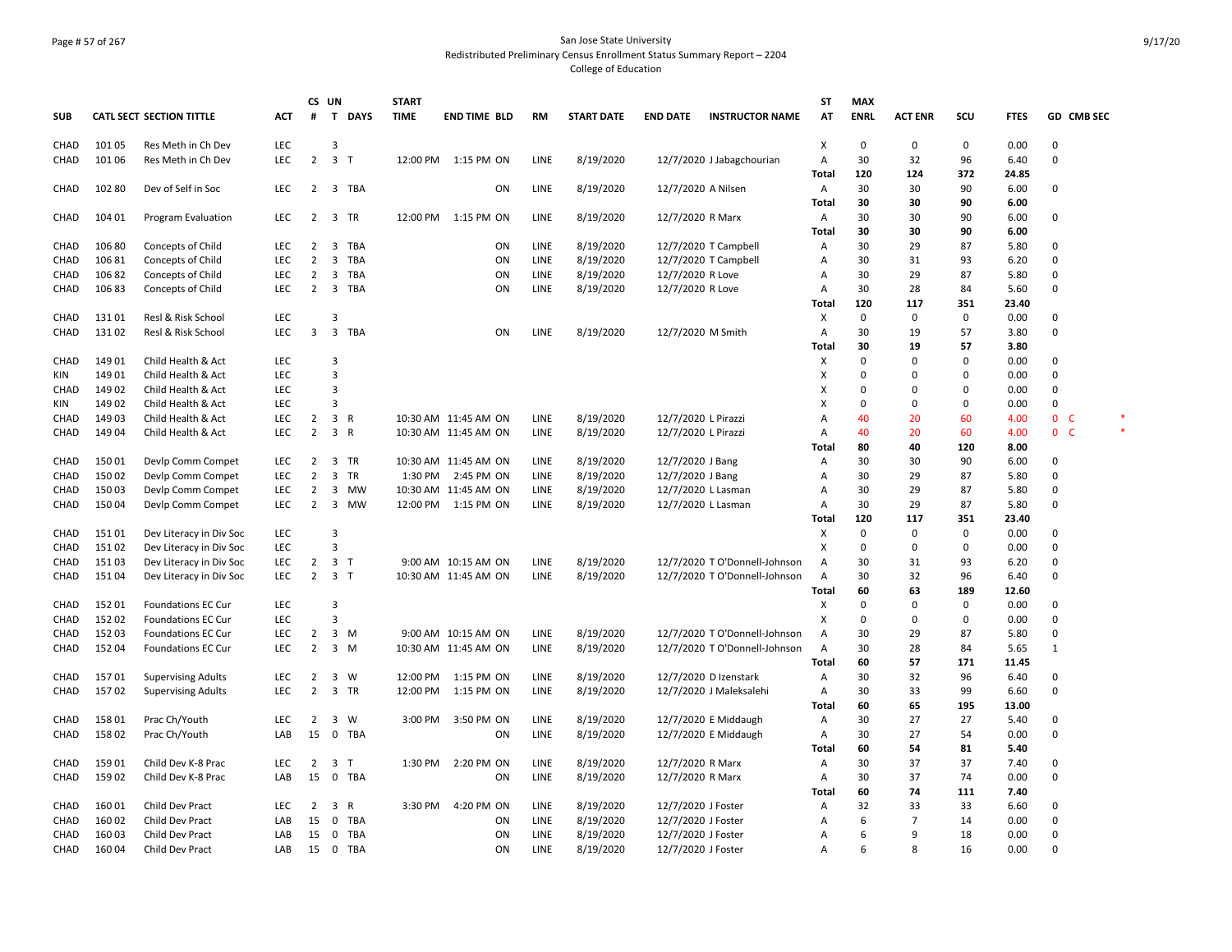# Page # 57 of 267 San Jose State University Redistributed Preliminary Census Enrollment Status Summary Report – 2204 College of Education

|             |        |                                 |            |                | CS UN                   |              | <b>START</b> |                      |           |                   |                     |                               | <b>ST</b> | <b>MAX</b>  |                |             |             |              |                   |  |
|-------------|--------|---------------------------------|------------|----------------|-------------------------|--------------|--------------|----------------------|-----------|-------------------|---------------------|-------------------------------|-----------|-------------|----------------|-------------|-------------|--------------|-------------------|--|
| <b>SUB</b>  |        | <b>CATL SECT SECTION TITTLE</b> | <b>ACT</b> | #              | $\mathbf{T}$            | <b>DAYS</b>  | <b>TIME</b>  | <b>END TIME BLD</b>  | <b>RM</b> | <b>START DATE</b> | <b>END DATE</b>     | <b>INSTRUCTOR NAME</b>        | AT        | <b>ENRL</b> | <b>ACT ENR</b> | SCU         | <b>FTES</b> |              | <b>GD CMB SEC</b> |  |
| CHAD        | 101 05 | Res Meth in Ch Dev              | <b>LEC</b> |                | 3                       |              |              |                      |           |                   |                     |                               | х         | 0           | 0              | 0           | 0.00        | 0            |                   |  |
| CHAD        | 101 06 | Res Meth in Ch Dev              | <b>LEC</b> | $\overline{2}$ | $\overline{\mathbf{3}}$ | $\top$       |              | 12:00 PM 1:15 PM ON  | LINE      | 8/19/2020         |                     | 12/7/2020 J Jabagchourian     | A         | 30          | 32             | 96          | 6.40        | 0            |                   |  |
|             |        |                                 |            |                |                         |              |              |                      |           |                   |                     |                               | Total     | 120         | 124            | 372         | 24.85       |              |                   |  |
| CHAD        | 102 80 | Dev of Self in Soc              | <b>LEC</b> | $\overline{2}$ |                         | 3 TBA        |              | ON                   | LINE      | 8/19/2020         | 12/7/2020 A Nilsen  |                               | Α         | 30          | 30             | 90          | 6.00        | 0            |                   |  |
|             |        |                                 |            |                |                         |              |              |                      |           |                   |                     |                               | Total     | 30          | 30             | 90          | 6.00        |              |                   |  |
| CHAD        | 104 01 | Program Evaluation              | LEC        | $\overline{2}$ | $\overline{\mathbf{3}}$ | <b>TR</b>    | 12:00 PM     | 1:15 PM ON           | LINE      | 8/19/2020         | 12/7/2020 R Marx    |                               | Α         | 30          | 30             | 90          | 6.00        | $\mathbf 0$  |                   |  |
|             |        |                                 |            |                |                         |              |              |                      |           |                   |                     |                               | Total     | 30          | 30             | 90          | 6.00        |              |                   |  |
| <b>CHAD</b> | 106 80 | Concepts of Child               | LEC        | 2              | 3                       | <b>TBA</b>   |              | ON                   | LINE      | 8/19/2020         |                     | 12/7/2020 T Campbell          | A         | 30          | 29             | 87          | 5.80        | 0            |                   |  |
| CHAD        | 10681  | Concepts of Child               | LEC        | $\overline{2}$ | 3                       | TBA          |              | ON                   | LINE      | 8/19/2020         |                     | 12/7/2020 T Campbell          | A         | 30          | 31             | 93          | 6.20        | $\mathbf 0$  |                   |  |
| CHAD        | 10682  | Concepts of Child               | <b>LEC</b> | $\overline{2}$ | 3                       | TBA          |              | ON                   | LINE      | 8/19/2020         | 12/7/2020 R Love    |                               | A         | 30          | 29             | 87          | 5.80        | 0            |                   |  |
| CHAD        | 10683  | Concepts of Child               | <b>LEC</b> | $\overline{2}$ | $\overline{\mathbf{3}}$ | TBA          |              | ON                   | LINE      | 8/19/2020         | 12/7/2020 R Love    |                               | Α         | 30          | 28             | 84          | 5.60        | 0            |                   |  |
|             |        |                                 |            |                |                         |              |              |                      |           |                   |                     |                               | Total     | 120         | 117            | 351         | 23.40       |              |                   |  |
| CHAD        | 13101  | Resl & Risk School              | <b>LEC</b> |                | 3                       |              |              |                      |           |                   |                     |                               | х         | $\Omega$    | 0              | 0           | 0.00        | 0            |                   |  |
| CHAD        | 13102  | Resl & Risk School              | LEC        | 3              | $\overline{\mathbf{3}}$ | TBA          |              | ON                   | LINE      | 8/19/2020         | 12/7/2020 M Smith   |                               | A         | 30          | 19             | 57          | 3.80        | $\mathbf 0$  |                   |  |
|             |        |                                 |            |                |                         |              |              |                      |           |                   |                     |                               | Total     | 30          | 19             | 57          | 3.80        |              |                   |  |
| CHAD        | 14901  | Child Health & Act              | <b>LEC</b> |                | 3                       |              |              |                      |           |                   |                     |                               | х         | $\Omega$    | 0              | $\Omega$    | 0.00        | 0            |                   |  |
| KIN         | 149 01 | Child Health & Act              | LEC        |                | $\overline{3}$          |              |              |                      |           |                   |                     |                               | x         | $\Omega$    | $\Omega$       | 0           | 0.00        | $\mathbf 0$  |                   |  |
| CHAD        | 14902  | Child Health & Act              | <b>LEC</b> |                | 3                       |              |              |                      |           |                   |                     |                               | x         | $\Omega$    | 0              | $\Omega$    | 0.00        | $\mathbf 0$  |                   |  |
| KIN         | 14902  | Child Health & Act              | LEC        |                | $\overline{3}$          |              |              |                      |           |                   |                     |                               | x         | $\Omega$    | $\mathbf 0$    | $\mathbf 0$ | 0.00        | $\mathbf 0$  |                   |  |
| CHAD        | 14903  | Child Health & Act              | LEC        | $\overline{2}$ | $\mathbf{3}$            | $\mathsf{R}$ |              | 10:30 AM 11:45 AM ON | LINE      | 8/19/2020         | 12/7/2020 L Pirazzi |                               | A         | 40          | 20             | 60          | 4.00        | $\mathbf{0}$ | C                 |  |
| CHAD        | 14904  | Child Health & Act              | <b>LEC</b> | $\overline{2}$ | $\overline{3}$          | R            |              | 10:30 AM 11:45 AM ON | LINE      | 8/19/2020         | 12/7/2020 L Pirazzi |                               | Α         | 40          | 20             | 60          | 4.00        | $\mathbf{0}$ | $\mathsf{C}$      |  |
|             |        |                                 |            |                |                         |              |              |                      |           |                   |                     |                               |           | 80          |                | 120         |             |              |                   |  |
|             |        |                                 |            |                |                         |              |              |                      |           |                   |                     |                               | Total     |             | 40             |             | 8.00        |              |                   |  |
| CHAD        | 15001  | Devlp Comm Compet               | LEC        | $\overline{2}$ | 3                       | TR           |              | 10:30 AM 11:45 AM ON | LINE      | 8/19/2020         | 12/7/2020 J Bang    |                               | A         | 30          | 30             | 90          | 6.00        | 0            |                   |  |
| CHAD        | 15002  | Devlp Comm Compet               | <b>LEC</b> | $\overline{2}$ | 3                       | TR           | 1:30 PM      | 2:45 PM ON           | LINE      | 8/19/2020         | 12/7/2020 J Bang    |                               | A         | 30          | 29             | 87          | 5.80        | $\mathbf 0$  |                   |  |
| CHAD        | 15003  | Devlp Comm Compet               | <b>LEC</b> | $\overline{2}$ | 3                       | MW           |              | 10:30 AM 11:45 AM ON | LINE      | 8/19/2020         | 12/7/2020 L Lasman  |                               | A         | 30          | 29             | 87          | 5.80        | $\mathbf 0$  |                   |  |
| CHAD        | 15004  | Devlp Comm Compet               | <b>LEC</b> | $\overline{2}$ | $\overline{\mathbf{3}}$ | <b>MW</b>    | 12:00 PM     | 1:15 PM ON           | LINE      | 8/19/2020         | 12/7/2020 L Lasman  |                               | Α         | 30          | 29             | 87          | 5.80        | $\Omega$     |                   |  |
|             |        |                                 |            |                |                         |              |              |                      |           |                   |                     |                               | Tota      | 120         | 117            | 351         | 23.40       |              |                   |  |
| CHAD        | 15101  | Dev Literacy in Div Soc         | LEC        |                | 3                       |              |              |                      |           |                   |                     |                               | х         | $\Omega$    | $\Omega$       | 0           | 0.00        | $\Omega$     |                   |  |
| CHAD        | 15102  | Dev Literacy in Div Soc         | <b>LEC</b> |                | 3                       |              |              |                      |           |                   |                     |                               | x         | $\Omega$    | $\mathbf 0$    | 0           | 0.00        | $\mathbf 0$  |                   |  |
| CHAD        | 15103  | Dev Literacy in Div Soc         | LEC        | 2              | 3                       | - т          |              | 9:00 AM 10:15 AM ON  | LINE      | 8/19/2020         |                     | 12/7/2020 T O'Donnell-Johnson | Α         | 30          | 31             | 93          | 6.20        | $\mathbf 0$  |                   |  |
| CHAD        | 15104  | Dev Literacy in Div Soc         | LEC        |                | $2 \quad 3 \quad T$     |              |              | 10:30 AM 11:45 AM ON | LINE      | 8/19/2020         |                     | 12/7/2020 T O'Donnell-Johnson | Α         | 30          | 32             | 96          | 6.40        | 0            |                   |  |
|             |        |                                 |            |                |                         |              |              |                      |           |                   |                     |                               | Tota      | 60          | 63             | 189         | 12.60       |              |                   |  |
| CHAD        | 15201  | <b>Foundations EC Cur</b>       | LEC        |                | 3                       |              |              |                      |           |                   |                     |                               | х         | $\Omega$    | 0              | 0           | 0.00        | 0            |                   |  |
| CHAD        | 15202  | <b>Foundations EC Cur</b>       | <b>LEC</b> |                | 3                       |              |              |                      |           |                   |                     |                               | х         | $\Omega$    | 0              | 0           | 0.00        | $\mathbf 0$  |                   |  |
| CHAD        | 152 03 | <b>Foundations EC Cur</b>       | <b>LEC</b> | $\overline{2}$ | 3                       | M            |              | 9:00 AM 10:15 AM ON  | LINE      | 8/19/2020         |                     | 12/7/2020 T O'Donnell-Johnson | Α         | 30          | 29             | 87          | 5.80        | $\mathbf 0$  |                   |  |
| CHAD        | 15204  | <b>Foundations EC Cur</b>       | <b>LEC</b> | $\overline{2}$ | $\overline{\mathbf{3}}$ | M            |              | 10:30 AM 11:45 AM ON | LINE      | 8/19/2020         |                     | 12/7/2020 T O'Donnell-Johnson | A         | 30          | 28             | 84          | 5.65        | 1            |                   |  |
|             |        |                                 |            |                |                         |              |              |                      |           |                   |                     |                               | Total     | 60          | 57             | 171         | 11.45       |              |                   |  |
| CHAD        | 15701  | <b>Supervising Adults</b>       | LEC        | 2              | 3                       | W            | 12:00 PM     | 1:15 PM ON           | LINE      | 8/19/2020         |                     | 12/7/2020 D Izenstark         | Α         | 30          | 32             | 96          | 6.40        | 0            |                   |  |
| CHAD        | 15702  | <b>Supervising Adults</b>       | LEC        | $\overline{2}$ | $\overline{\mathbf{3}}$ | TR           | 12:00 PM     | 1:15 PM ON           | LINE      | 8/19/2020         |                     | 12/7/2020 J Maleksalehi       | Α         | 30          | 33             | 99          | 6.60        | $\mathbf 0$  |                   |  |
|             |        |                                 |            |                |                         |              |              |                      |           |                   |                     |                               | Total     | 60          | 65             | 195         | 13.00       |              |                   |  |
| CHAD        | 15801  | Prac Ch/Youth                   | <b>LEC</b> | $\overline{2}$ | 3                       | W            | 3:00 PM      | 3:50 PM ON           | LINE      | 8/19/2020         |                     | 12/7/2020 E Middaugh          | Α         | 30          | 27             | 27          | 5.40        | 0            |                   |  |
| CHAD        | 15802  | Prac Ch/Youth                   | LAB        | 15             | $^{\circ}$              | TBA          |              | ON                   | LINE      | 8/19/2020         |                     | 12/7/2020 E Middaugh          | Α         | 30          | 27             | 54          | 0.00        | 0            |                   |  |
|             |        |                                 |            |                |                         |              |              |                      |           |                   |                     |                               | Total     | 60          | 54             | 81          | 5.40        |              |                   |  |
| CHAD        | 15901  | Child Dev K-8 Prac              | LEC        | $\overline{2}$ | $\overline{\mathbf{3}}$ | T            | 1:30 PM      | 2:20 PM ON           | LINE      | 8/19/2020         | 12/7/2020 R Marx    |                               | A         | 30          | 37             | 37          | 7.40        | 0            |                   |  |
| CHAD        | 159 02 | Child Dev K-8 Prac              | LAB        | 15             | $^{\circ}$              | <b>TBA</b>   |              | ON                   | LINE      | 8/19/2020         | 12/7/2020 R Marx    |                               | Α         | 30          | 37             | 74          | 0.00        | $\mathbf 0$  |                   |  |
|             |        |                                 |            |                |                         |              |              |                      |           |                   |                     |                               | Tota      | 60          | 74             | 111         | 7.40        |              |                   |  |
| CHAD        | 16001  | Child Dev Pract                 | <b>LEC</b> | $\overline{2}$ | 3                       | R            | 3:30 PM      | 4:20 PM ON           | LINE      | 8/19/2020         | 12/7/2020 J Foster  |                               | A         | 32          | 33             | 33          | 6.60        | $\mathbf 0$  |                   |  |
| CHAD        | 16002  | Child Dev Pract                 | LAB        | 15             | $\mathbf 0$             | <b>TBA</b>   |              | ON                   | LINE      | 8/19/2020         | 12/7/2020 J Foster  |                               | A         | 6           | $\overline{7}$ | 14          | 0.00        | $\mathbf 0$  |                   |  |
| CHAD        | 16003  | Child Dev Pract                 | LAB        | 15             | 0                       | TBA          |              | ON                   | LINE      | 8/19/2020         | 12/7/2020 J Foster  |                               | A         | 6           | 9              | 18          | 0.00        | $\mathbf 0$  |                   |  |
| CHAD        | 16004  | Child Dev Pract                 | LAB        |                | 15 0                    | TBA          |              | ON                   | LINE      | 8/19/2020         | 12/7/2020 J Foster  |                               | Α         | 6           | 8              | 16          | 0.00        | 0            |                   |  |
|             |        |                                 |            |                |                         |              |              |                      |           |                   |                     |                               |           |             |                |             |             |              |                   |  |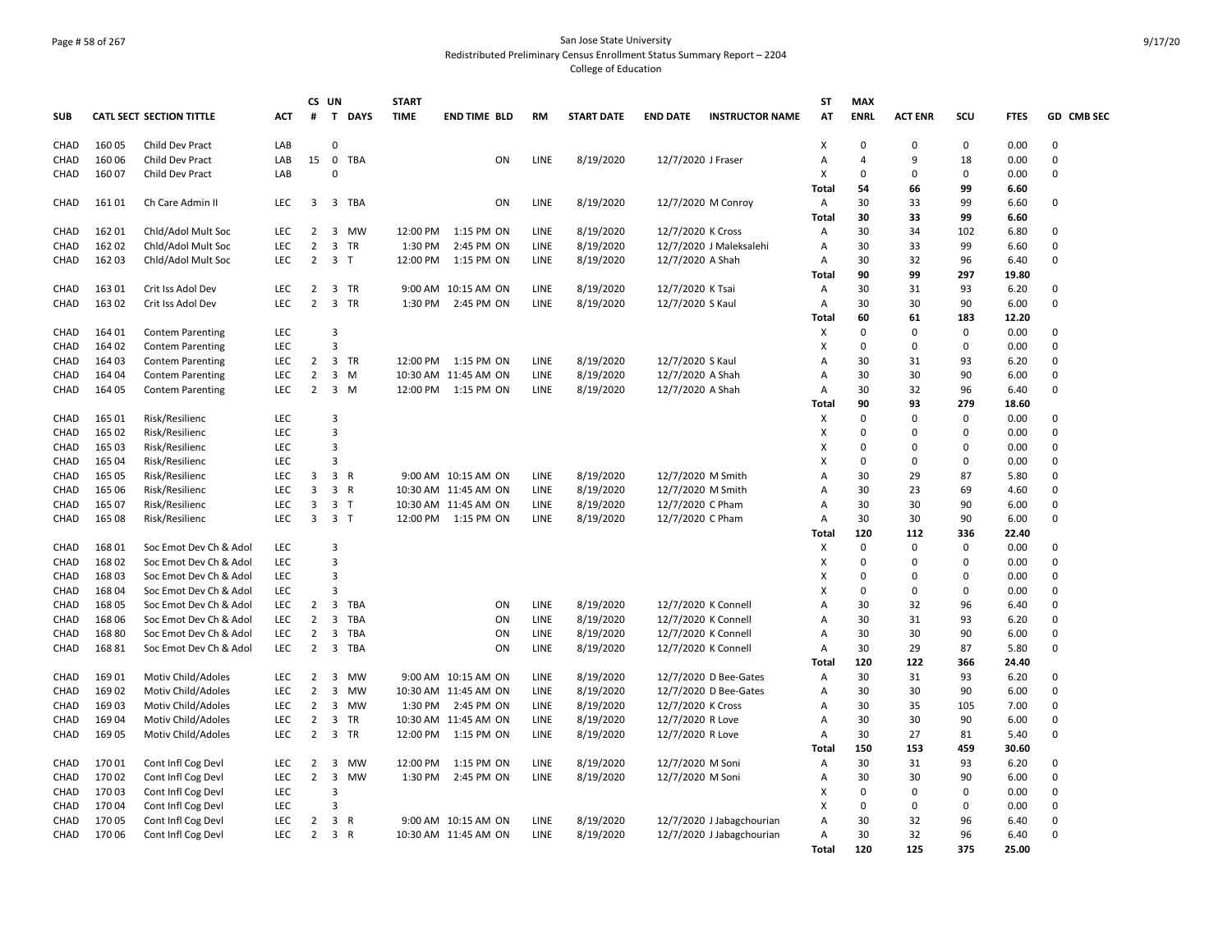#### Page # 58 of 267 San Jose State University Redistributed Preliminary Census Enrollment Status Summary Report – 2204 College of Education

|              |                |                                                  |                          |                                  | CS UN                   |                | <b>START</b> |                       |                     |                        |                                       |                                            | <b>ST</b>           | <b>MAX</b>              |                         |             |              |                      |
|--------------|----------------|--------------------------------------------------|--------------------------|----------------------------------|-------------------------|----------------|--------------|-----------------------|---------------------|------------------------|---------------------------------------|--------------------------------------------|---------------------|-------------------------|-------------------------|-------------|--------------|----------------------|
| <b>SUB</b>   |                | CATL SECT SECTION TITTLE                         | <b>ACT</b>               | #                                | T                       | <b>DAYS</b>    | <b>TIME</b>  | <b>END TIME BLD</b>   | <b>RM</b>           | <b>START DATE</b>      | <b>END DATE</b>                       | <b>INSTRUCTOR NAME</b>                     | AT                  | <b>ENRL</b>             | <b>ACT ENR</b>          | scu         | <b>FTES</b>  | GD CMB SEC           |
| CHAD         | 16005          | Child Dev Pract                                  | LAB                      |                                  | $\mathbf 0$             |                |              |                       |                     |                        |                                       |                                            | х                   | 0                       | 0                       | $\mathbf 0$ | 0.00         | $\Omega$             |
| CHAD         | 16006          | Child Dev Pract                                  | LAB                      | 15                               | $\mathsf{O}$            | TBA            |              | ON                    | LINE                | 8/19/2020              | 12/7/2020 J Fraser                    |                                            | A                   | 4                       | 9                       | 18          | 0.00         | $\mathbf 0$          |
| CHAD         | 16007          | Child Dev Pract                                  | LAB                      |                                  | $\Omega$                |                |              |                       |                     |                        |                                       |                                            | х                   | 0                       | $\Omega$                | 0           | 0.00         | $\Omega$             |
|              |                |                                                  |                          |                                  |                         |                |              |                       |                     |                        |                                       |                                            | Total               | 54                      | 66                      | 99          | 6.60         |                      |
| CHAD         | 16101          | Ch Care Admin II                                 | <b>LEC</b>               | 3                                | 3                       | TBA            |              | ON                    | LINE                | 8/19/2020              |                                       | 12/7/2020 M Conroy                         | Α                   | 30                      | 33                      | 99          | 6.60         | 0                    |
|              |                |                                                  |                          |                                  |                         |                |              |                       |                     |                        |                                       |                                            | Total               | 30                      | 33                      | 99          | 6.60         |                      |
| CHAD         | 16201          | Chid/Adol Mult Soc                               | <b>LEC</b>               | 2                                |                         | 3 MW           |              | 12:00 PM 1:15 PM ON   | LINE                | 8/19/2020              | 12/7/2020 K Cross                     |                                            | A                   | 30                      | 34                      | 102         | 6.80         | $\Omega$             |
| CHAD         | 16202          | Chld/Adol Mult Soc                               | LEC                      | $\overline{2}$                   | 3                       | <b>TR</b>      | 1:30 PM      | 2:45 PM ON            | LINE                | 8/19/2020              |                                       | 12/7/2020 J Maleksalehi                    | A                   | 30                      | 33                      | 99          | 6.60         | $\Omega$             |
| CHAD         | 162 03         | Chld/Adol Mult Soc                               | <b>LEC</b>               | $\overline{2}$                   |                         | 3 <sub>T</sub> |              | 12:00 PM 1:15 PM ON   | LINE                | 8/19/2020              | 12/7/2020 A Shah                      |                                            | A                   | 30                      | 32                      | 96          | 6.40         | $\Omega$             |
|              |                |                                                  |                          |                                  |                         |                |              |                       |                     |                        |                                       |                                            | Total               | 90                      | 99                      | 297         | 19.80        |                      |
| CHAD         | 16301          | Crit Iss Adol Dev                                | <b>LEC</b>               | $\overline{2}$                   |                         | 3 TR           |              | 9:00 AM 10:15 AM ON   | <b>LINE</b>         | 8/19/2020              | 12/7/2020 K Tsai                      |                                            | A                   | 30                      | 31                      | 93          | 6.20         | $\Omega$             |
| CHAD         | 163 02         | Crit Iss Adol Dev                                | <b>LEC</b>               | $\overline{2}$                   | $\overline{3}$          | <b>TR</b>      | 1:30 PM      | 2:45 PM ON            | LINE                | 8/19/2020              | 12/7/2020 S Kaul                      |                                            | $\overline{A}$      | 30                      | 30                      | 90          | 6.00         | $\Omega$             |
|              |                |                                                  |                          |                                  |                         |                |              |                       |                     |                        |                                       |                                            | Total               | 60                      | 61                      | 183         | 12.20        |                      |
| <b>CHAD</b>  | 164 01         | <b>Contem Parenting</b>                          | LEC                      |                                  | $\overline{3}$          |                |              |                       |                     |                        |                                       |                                            | х                   | $\mathbf 0$             | $\Omega$                | $\mathbf 0$ | 0.00         | $\Omega$             |
| <b>CHAD</b>  | 164 02         | <b>Contem Parenting</b>                          | LEC                      |                                  | $\overline{3}$          |                |              |                       |                     |                        |                                       |                                            | X                   | $\mathbf 0$             | $\Omega$                | $\mathbf 0$ | 0.00         | $\Omega$             |
| CHAD         | 164 03         | <b>Contem Parenting</b>                          | LEC                      | $\overline{2}$                   | 3                       | <b>TR</b>      |              | 12:00 PM   1:15 PM ON | LINE                | 8/19/2020              | 12/7/2020 S Kaul                      |                                            | A                   | 30                      | 31                      | 93          | 6.20         | $\Omega$             |
| CHAD         | 164 04         | <b>Contem Parenting</b>                          | LEC                      | $\overline{2}$                   | 3                       | M              |              | 10:30 AM 11:45 AM ON  | <b>LINE</b>         | 8/19/2020              | 12/7/2020 A Shah                      |                                            | Α                   | 30                      | 30                      | 90          | 6.00         | $\Omega$             |
| CHAD         | 164 05         | <b>Contem Parenting</b>                          | LEC                      | $\overline{2}$                   | $\mathbf{3}$            | M              |              | 12:00 PM 1:15 PM ON   | <b>LINE</b>         | 8/19/2020              | 12/7/2020 A Shah                      |                                            | $\overline{A}$      | 30                      | 32                      | 96          | 6.40         | 0                    |
|              |                |                                                  |                          |                                  |                         |                |              |                       |                     |                        |                                       |                                            | <b>Total</b>        | 90                      | 93                      | 279         | 18.60        |                      |
| CHAD         | 165 01         | Risk/Resilienc                                   | LEC                      |                                  | $\overline{3}$          |                |              |                       |                     |                        |                                       |                                            | х                   | $\Omega$                | $\Omega$                | $\mathbf 0$ | 0.00         | $\Omega$             |
| CHAD         | 165 02         | Risk/Resilienc                                   | LEC                      |                                  | 3                       |                |              |                       |                     |                        |                                       |                                            | Χ                   | 0                       | 0                       | $\mathbf 0$ | 0.00         | 0                    |
| CHAD         | 165 03         | Risk/Resilienc                                   | LEC                      |                                  | 3                       |                |              |                       |                     |                        |                                       |                                            | Х                   | 0                       | $\Omega$                | 0           | 0.00         | 0                    |
| CHAD         | 16504          | Risk/Resilienc                                   | <b>LEC</b>               |                                  | $\overline{3}$          |                |              |                       |                     |                        |                                       |                                            | х                   | 0                       | $\Omega$                | 0           | 0.00         | $\Omega$             |
| CHAD         | 165 05         | Risk/Resilienc                                   | LEC                      | 3                                |                         | 3 R            |              | 9:00 AM 10:15 AM ON   | LINE                | 8/19/2020              |                                       | 12/7/2020 M Smith                          | $\overline{A}$      | 30                      | 29                      | 87          | 5.80         | $\Omega$             |
| CHAD         | 165 06         | Risk/Resilienc                                   | LEC                      | 3                                | 3                       | R              |              | 10:30 AM 11:45 AM ON  | LINE                | 8/19/2020              |                                       | 12/7/2020 M Smith                          | Α                   | 30                      | 23                      | 69          | 4.60         | $\Omega$             |
| CHAD         | 165 07         | Risk/Resilienc                                   | LEC                      | 3                                | 3                       | $\mathsf{T}$   |              | 10:30 AM 11:45 AM ON  | LINE                | 8/19/2020              | 12/7/2020 C Pham                      |                                            | A                   | 30                      | 30                      | 90          | 6.00         | $\Omega$             |
| CHAD         | 165 08         | Risk/Resilienc                                   | LEC                      | 3                                |                         | 3 <sub>T</sub> |              | 12:00 PM 1:15 PM ON   | LINE                | 8/19/2020              | 12/7/2020 C Pham                      |                                            | A                   | 30                      | 30                      | 90          | 6.00         | 0                    |
|              |                |                                                  |                          |                                  |                         |                |              |                       |                     |                        |                                       |                                            | Total               | 120                     | 112                     | 336         | 22.40        |                      |
| CHAD         | 16801          | Soc Emot Dev Ch & Adol                           | LEC                      |                                  | 3                       |                |              |                       |                     |                        |                                       |                                            | х                   | $\mathbf 0$             | $\mathbf 0$<br>$\Omega$ | $\mathbf 0$ | 0.00         | $\Omega$<br>$\Omega$ |
| CHAD         | 16802          | Soc Emot Dev Ch & Adol                           | LEC                      |                                  | 3<br>$\overline{3}$     |                |              |                       |                     |                        |                                       |                                            | X                   | $\mathbf 0$<br>$\Omega$ | $\Omega$                | $\mathbf 0$ | 0.00         | $\Omega$             |
| <b>CHAD</b>  | 16803          | Soc Emot Dev Ch & Adol                           | <b>LEC</b><br>LEC        |                                  | $\overline{3}$          |                |              |                       |                     |                        |                                       |                                            | X                   | $\mathbf 0$             | $\Omega$                | $\mathbf 0$ | 0.00         | $\Omega$             |
| CHAD         | 16804          | Soc Emot Dev Ch & Adol                           |                          |                                  |                         | TBA            |              |                       |                     |                        |                                       |                                            | X                   |                         |                         | $\mathbf 0$ | 0.00         | $\Omega$             |
| CHAD         | 16805<br>16806 | Soc Emot Dev Ch & Adol                           | <b>LEC</b>               | 2                                | $\overline{3}$          | TBA            |              | ON                    | LINE                | 8/19/2020              |                                       | 12/7/2020 K Connell                        | Α                   | 30<br>30                | 32<br>31                | 96          | 6.40         | $\Omega$             |
| CHAD         | 16880          | Soc Emot Dev Ch & Adol<br>Soc Emot Dev Ch & Adol | <b>LEC</b><br><b>LEC</b> | $\overline{2}$<br>$\overline{2}$ | 3<br>3                  | TBA            |              | ON<br>ON              | <b>LINE</b><br>LINE | 8/19/2020<br>8/19/2020 |                                       | 12/7/2020 K Connell<br>12/7/2020 K Connell | Α<br>$\overline{A}$ | 30                      | 30                      | 93<br>90    | 6.20<br>6.00 | $\Omega$             |
| CHAD         | 16881          | Soc Emot Dev Ch & Adol                           | LEC                      | $\overline{2}$                   |                         | 3 TBA          |              | ON                    | LINE                |                        |                                       |                                            | $\overline{A}$      | 30                      | 29                      | 87          | 5.80         | $\Omega$             |
| CHAD         |                |                                                  |                          |                                  |                         |                |              |                       |                     | 8/19/2020              |                                       | 12/7/2020 K Connell                        | Total               | 120                     | 122                     | 366         | 24.40        |                      |
| CHAD         | 16901          | Motiv Child/Adoles                               | <b>LEC</b>               | $\overline{2}$                   | $\overline{\mathbf{3}}$ | MW             |              | 9:00 AM 10:15 AM ON   | LINE                | 8/19/2020              |                                       | 12/7/2020 D Bee-Gates                      | Α                   | 30                      | 31                      | 93          | 6.20         | $\Omega$             |
|              | 16902          | Motiv Child/Adoles                               | LEC                      | $\overline{2}$                   | 3                       | MW             |              | 10:30 AM 11:45 AM ON  | LINE                | 8/19/2020              |                                       | 12/7/2020 D Bee-Gates                      |                     | 30                      | 30                      | 90          | 6.00         | 0                    |
| CHAD         |                |                                                  | <b>LEC</b>               | $\overline{2}$                   |                         | MW             |              | 1:30 PM 2:45 PM ON    |                     |                        |                                       |                                            | Α                   | 30                      | 35                      | 105         | 7.00         | $\Omega$             |
| CHAD<br>CHAD | 16903<br>16904 | Motiv Child/Adoles<br>Motiv Child/Adoles         | <b>LEC</b>               | $\overline{2}$                   | 3<br>$\mathbf{3}$       | TR             |              | 10:30 AM 11:45 AM ON  | LINE<br>LINE        | 8/19/2020<br>8/19/2020 | 12/7/2020 K Cross<br>12/7/2020 R Love |                                            | Α<br>$\overline{A}$ | 30                      | 30                      | 90          | 6.00         | 0                    |
| CHAD         | 16905          | Motiv Child/Adoles                               | <b>LEC</b>               | $\overline{2}$                   | $\mathbf{3}$            | <b>TR</b>      |              | 12:00 PM   1:15 PM ON | LINE                | 8/19/2020              |                                       |                                            | Α                   | 30                      | 27                      | 81          | 5.40         | $\Omega$             |
|              |                |                                                  |                          |                                  |                         |                |              |                       |                     |                        | 12/7/2020 R Love                      |                                            | Total               | 150                     | 153                     | 459         | 30.60        |                      |
|              | 17001          |                                                  | LEC                      | 2                                | 3                       | MW             | 12:00 PM     | 1:15 PM ON            | LINE                |                        |                                       |                                            | Α                   | 30                      | 31                      | 93          | 6.20         | 0                    |
| CHAD         |                | Cont Infl Cog Devl<br>Cont Infl Cog Devl         |                          | $\overline{2}$                   | $\overline{3}$          | <b>MW</b>      |              | 1:30 PM 2:45 PM ON    | LINE                | 8/19/2020              | 12/7/2020 M Soni                      |                                            |                     | 30                      | 30                      | 90          |              | 0                    |
| CHAD<br>CHAD | 17002<br>17003 | Cont Infl Cog Devl                               | LEC<br>LEC               |                                  | $\overline{3}$          |                |              |                       |                     | 8/19/2020              | 12/7/2020 M Soni                      |                                            | Α<br>х              | 0                       | $\Omega$                | $\mathbf 0$ | 6.00<br>0.00 | $\Omega$             |
| CHAD         | 17004          | Cont Infl Cog Devl                               | LEC                      |                                  | $\overline{3}$          |                |              |                       |                     |                        |                                       |                                            | X                   | $\mathbf 0$             | $\Omega$                | 0           | 0.00         | $\Omega$             |
| CHAD         | 17005          | Cont Infl Cog Devl                               | <b>LEC</b>               | $\overline{2}$                   | 3                       | R              |              | 9:00 AM 10:15 AM ON   | LINE                | 8/19/2020              |                                       | 12/7/2020 J Jabagchourian                  | Α                   | 30                      | 32                      | 96          | 6.40         | $\Omega$             |
| CHAD         | 17006          | Cont Infl Cog Devl                               | <b>LEC</b>               | 2                                |                         | 3 R            |              | 10:30 AM 11:45 AM ON  | LINE                | 8/19/2020              |                                       | 12/7/2020 J Jabagchourian                  | Α                   | 30                      | 32                      | 96          | 6.40         | $\Omega$             |
|              |                |                                                  |                          |                                  |                         |                |              |                       |                     |                        |                                       |                                            | Total               | 120                     | 125                     | 375         | 25.00        |                      |
|              |                |                                                  |                          |                                  |                         |                |              |                       |                     |                        |                                       |                                            |                     |                         |                         |             |              |                      |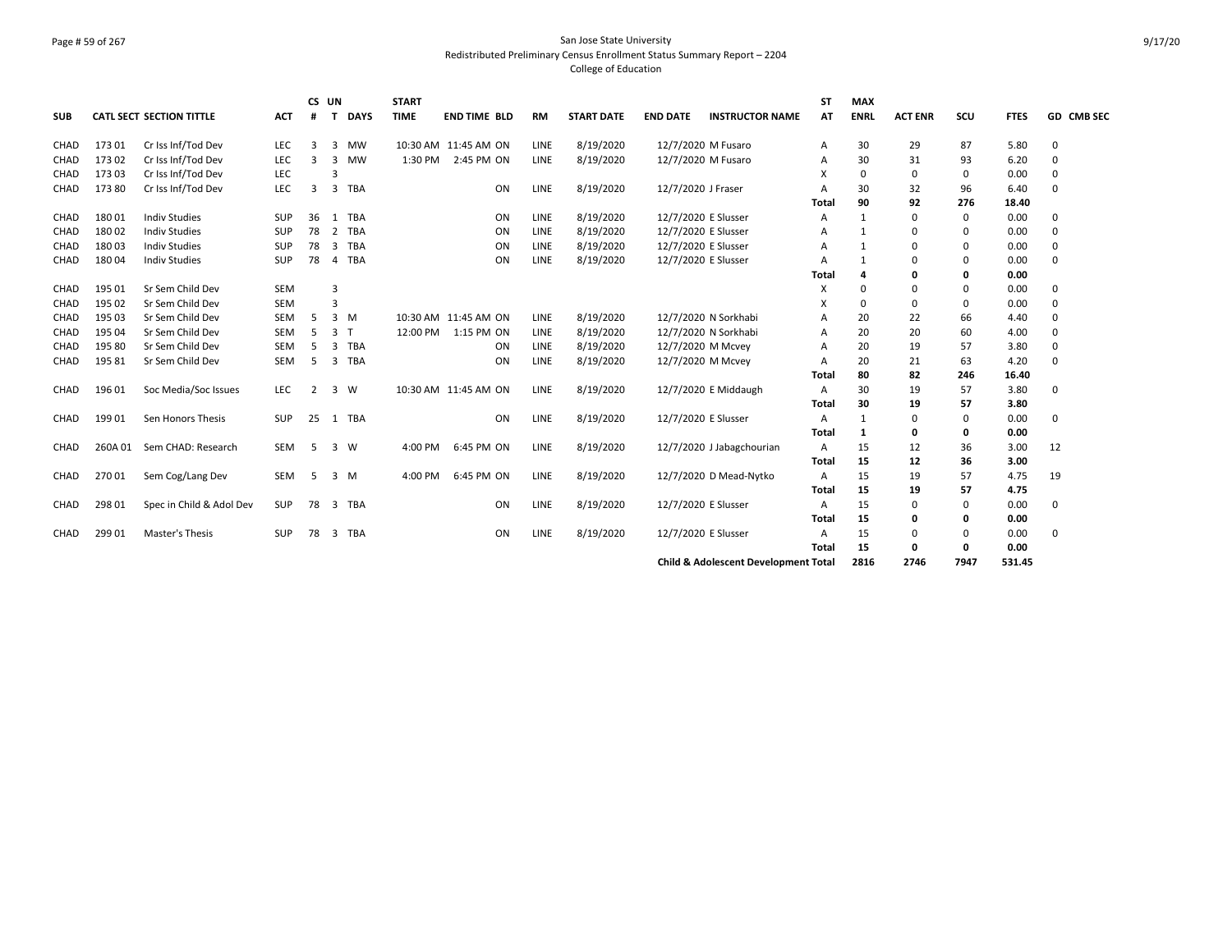# Page # 59 of 267 San Jose State University Redistributed Preliminary Census Enrollment Status Summary Report – 2204 College of Education

| <b>SUB</b>  |         | CATL SECT SECTION TITTLE | <b>ACT</b> | CS UN<br>#     | $\mathbf T$    | <b>DAYS</b>  | <b>START</b><br><b>TIME</b> | <b>END TIME BLD</b>  | <b>RM</b>   | <b>START DATE</b> | <b>END DATE</b>     | <b>INSTRUCTOR NAME</b>                          | <b>ST</b><br>AT | <b>MAX</b><br><b>ENRL</b> | <b>ACT ENR</b> | scu         | <b>FTES</b> | GD CMB SEC  |
|-------------|---------|--------------------------|------------|----------------|----------------|--------------|-----------------------------|----------------------|-------------|-------------------|---------------------|-------------------------------------------------|-----------------|---------------------------|----------------|-------------|-------------|-------------|
| CHAD        | 17301   | Cr Iss Inf/Tod Dev       | LEC        | 3              | 3              | <b>MW</b>    |                             | 10:30 AM 11:45 AM ON | LINE        | 8/19/2020         | 12/7/2020 M Fusaro  |                                                 | Α               | 30                        | 29             | 87          | 5.80        | 0           |
| CHAD        | 17302   | Cr Iss Inf/Tod Dev       | <b>LEC</b> | 3              | 3              | <b>MW</b>    | 1:30 PM                     | 2:45 PM ON           | <b>LINE</b> | 8/19/2020         | 12/7/2020 M Fusaro  |                                                 | A               | 30                        | 31             | 93          | 6.20        | 0           |
| <b>CHAD</b> | 17303   | Cr Iss Inf/Tod Dev       | LEC        |                | 3              |              |                             |                      |             |                   |                     |                                                 | X               | 0                         | 0              | 0           | 0.00        | $\Omega$    |
| CHAD        | 17380   | Cr Iss Inf/Tod Dev       | LEC        | 3              |                | 3 TBA        |                             | ON                   | LINE        | 8/19/2020         | 12/7/2020 J Fraser  |                                                 | A               | 30                        | 32             | 96          | 6.40        | $\Omega$    |
|             |         |                          |            |                |                |              |                             |                      |             |                   |                     |                                                 | Total           | 90                        | 92             | 276         | 18.40       |             |
| <b>CHAD</b> | 18001   | <b>Indiv Studies</b>     | <b>SUP</b> | 36             | 1              | TBA          |                             | ON                   | <b>LINE</b> | 8/19/2020         | 12/7/2020 E Slusser |                                                 | A               | 1                         | 0              | 0           | 0.00        | $\Omega$    |
| CHAD        | 18002   | <b>Indiv Studies</b>     | <b>SUP</b> | 78             | $\overline{2}$ | TBA          |                             | ON                   | LINE        | 8/19/2020         | 12/7/2020 E Slusser |                                                 | A               |                           | 0              | $\mathbf 0$ | 0.00        | 0           |
| CHAD        | 18003   | <b>Indiv Studies</b>     | SUP        | 78             | 3              | <b>TBA</b>   |                             | ON                   | LINE        | 8/19/2020         | 12/7/2020 E Slusser |                                                 | A               | 1                         | U              | 0           | 0.00        | $\Omega$    |
| <b>CHAD</b> | 18004   | <b>Indiv Studies</b>     | SUP        | 78             | 4              | <b>TBA</b>   |                             | ON                   | LINE        | 8/19/2020         | 12/7/2020 E Slusser |                                                 | A               |                           | 0              | 0           | 0.00        | $\Omega$    |
|             |         |                          |            |                |                |              |                             |                      |             |                   |                     |                                                 | Total           | 4                         | 0              | 0           | 0.00        |             |
| <b>CHAD</b> | 195 01  | Sr Sem Child Dev         | <b>SEM</b> |                | 3              |              |                             |                      |             |                   |                     |                                                 | X               | $\Omega$                  | 0              | 0           | 0.00        | 0           |
| CHAD        | 195 02  | Sr Sem Child Dev         | <b>SEM</b> |                | 3              |              |                             |                      |             |                   |                     |                                                 | X               | 0                         | 0              | 0           | 0.00        | $\Omega$    |
| CHAD        | 195 03  | Sr Sem Child Dev         | <b>SEM</b> | 5              |                | $3 \, M$     |                             | 10:30 AM 11:45 AM ON | <b>LINE</b> | 8/19/2020         |                     | 12/7/2020 N Sorkhabi                            | A               | 20                        | 22             | 66          | 4.40        | $\Omega$    |
| CHAD        | 195 04  | Sr Sem Child Dev         | SEM        | 5              | 3              | $\mathsf{T}$ | 12:00 PM                    | 1:15 PM ON           | LINE        | 8/19/2020         |                     | 12/7/2020 N Sorkhabi                            | A               | 20                        | 20             | 60          | 4.00        | $\Omega$    |
| <b>CHAD</b> | 19580   | Sr Sem Child Dev         | SEM        | -5             | 3              | <b>TBA</b>   |                             | ON                   | LINE        | 8/19/2020         | 12/7/2020 M Mcvey   |                                                 | A               | 20                        | 19             | 57          | 3.80        | $\Omega$    |
| CHAD        | 19581   | Sr Sem Child Dev         | SEM        | 5              | 3              | TBA          |                             | ON                   | LINE        | 8/19/2020         | 12/7/2020 M Mcvey   |                                                 | A               | 20                        | 21             | 63          | 4.20        | $\Omega$    |
|             |         |                          |            |                |                |              |                             |                      |             |                   |                     |                                                 | Total           | 80                        | 82             | 246         | 16.40       |             |
| CHAD        | 196 01  | Soc Media/Soc Issues     | <b>LEC</b> | $\overline{2}$ | 3              | W            |                             | 10:30 AM 11:45 AM ON | <b>LINE</b> | 8/19/2020         |                     | 12/7/2020 E Middaugh                            | A               | 30                        | 19             | 57          | 3.80        | 0           |
|             |         |                          |            |                |                |              |                             |                      |             |                   |                     |                                                 | Total           | 30                        | 19             | 57          | 3.80        |             |
| CHAD        | 19901   | Sen Honors Thesis        | SUP        | 25             |                | 1 TBA        |                             | ON                   | LINE        | 8/19/2020         | 12/7/2020 E Slusser |                                                 | A               | 1                         | $\Omega$       | 0           | 0.00        | 0           |
|             |         |                          |            |                |                |              |                             |                      |             |                   |                     |                                                 | Total           | 1                         | 0              | 0           | 0.00        |             |
| <b>CHAD</b> | 260A 01 | Sem CHAD: Research       | <b>SEM</b> | -5             | 3              | W            | 4:00 PM                     | 6:45 PM ON           | LINE        | 8/19/2020         |                     | 12/7/2020 J Jabagchourian                       | A               | 15                        | 12             | 36          | 3.00        | 12          |
|             |         |                          |            |                |                |              |                             |                      |             |                   |                     |                                                 | Total           | 15                        | 12             | 36          | 3.00        |             |
| CHAD        | 27001   | Sem Cog/Lang Dev         | SEM        | -5             |                | 3 M          | 4:00 PM                     | 6:45 PM ON           | LINE        | 8/19/2020         |                     | 12/7/2020 D Mead-Nytko                          | A               | 15                        | 19             | 57          | 4.75        | 19          |
|             |         |                          |            |                |                |              |                             |                      |             |                   |                     |                                                 | Total           | 15                        | 19             | 57          | 4.75        |             |
| CHAD        | 298 01  | Spec in Child & Adol Dev | <b>SUP</b> | 78             |                | 3 TBA        |                             | ON                   | LINE        | 8/19/2020         | 12/7/2020 E Slusser |                                                 | A               | 15                        | 0              | 0           | 0.00        | 0           |
|             |         |                          |            |                |                |              |                             |                      |             |                   |                     |                                                 | Total           | 15                        | 0              | 0           | 0.00        |             |
| CHAD        | 299 01  | Master's Thesis          | <b>SUP</b> | 78             |                | 3 TBA        |                             | ON                   | LINE        | 8/19/2020         | 12/7/2020 E Slusser |                                                 | A               | 15                        | 0              | 0           | 0.00        | $\mathbf 0$ |
|             |         |                          |            |                |                |              |                             |                      |             |                   |                     |                                                 | Total           | 15                        | 0              | 0           | 0.00        |             |
|             |         |                          |            |                |                |              |                             |                      |             |                   |                     | <b>Child &amp; Adolescent Development Total</b> |                 | 2816                      | 2746           | 7947        | 531.45      |             |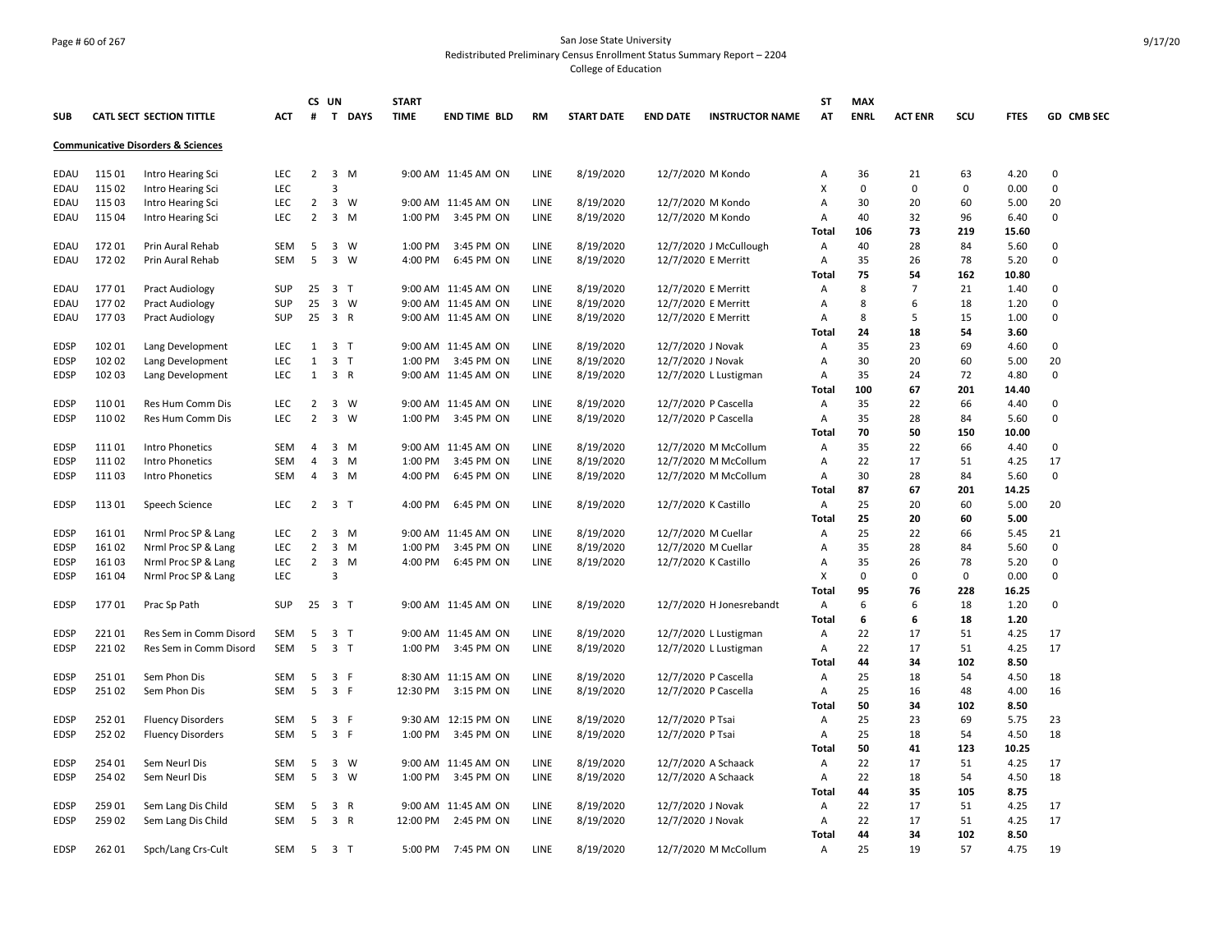# Page # 60 of 267 San Jose State University Redistributed Preliminary Census Enrollment Status Summary Report – 2204 College of Education

|             |        |                                               |            |                | CS UN                   |                | <b>START</b> |                     |             |                   |                   |                          | <b>ST</b>    | <b>MAX</b>  |                |             |             |            |
|-------------|--------|-----------------------------------------------|------------|----------------|-------------------------|----------------|--------------|---------------------|-------------|-------------------|-------------------|--------------------------|--------------|-------------|----------------|-------------|-------------|------------|
| <b>SUB</b>  |        | CATL SECT SECTION TITTLE                      | <b>ACT</b> | #              | $\mathbf{T}$            | <b>DAYS</b>    | <b>TIME</b>  | <b>END TIME BLD</b> | <b>RM</b>   | <b>START DATE</b> | <b>END DATE</b>   | <b>INSTRUCTOR NAME</b>   | AT           | <b>ENRL</b> | <b>ACT ENR</b> | scu         | <b>FTES</b> | GD CMB SEC |
|             |        | <b>Communicative Disorders &amp; Sciences</b> |            |                |                         |                |              |                     |             |                   |                   |                          |              |             |                |             |             |            |
| EDAU        | 115 01 | Intro Hearing Sci                             | <b>LEC</b> | $\overline{2}$ | $\overline{\mathbf{3}}$ | M              |              | 9:00 AM 11:45 AM ON | LINE        | 8/19/2020         |                   | 12/7/2020 M Kondo        | Α            | 36          | 21             | 63          | 4.20        | 0          |
| EDAU        | 115 02 | Intro Hearing Sci                             | <b>LEC</b> |                | 3                       |                |              |                     |             |                   |                   |                          | X            | 0           | 0              | $\mathbf 0$ | 0.00        | 0          |
| EDAU        | 115 03 | Intro Hearing Sci                             | <b>LEC</b> | $\overline{2}$ | $\overline{\mathbf{3}}$ | W              |              | 9:00 AM 11:45 AM ON | LINE        | 8/19/2020         |                   | 12/7/2020 M Kondo        | Α            | 30          | 20             | 60          | 5.00        | 20         |
| EDAU        | 115 04 | Intro Hearing Sci                             | LEC        | $\overline{2}$ |                         | 3 M            | 1:00 PM      | 3:45 PM ON          | LINE        | 8/19/2020         |                   | 12/7/2020 M Kondo        | A            | 40          | 32             | 96          | 6.40        | 0          |
|             |        |                                               |            |                |                         |                |              |                     |             |                   |                   |                          | Total        | 106         | 73             | 219         | 15.60       |            |
| EDAU        | 17201  | Prin Aural Rehab                              | <b>SEM</b> | 5              | 3                       | W              | 1:00 PM      | 3:45 PM ON          | <b>LINE</b> | 8/19/2020         |                   | 12/7/2020 J McCullough   | Α            | 40          | 28             | 84          | 5.60        | 0          |
| EDAU        | 17202  | Prin Aural Rehab                              | <b>SEM</b> | 5              | $\overline{3}$          | W              | 4:00 PM      | 6:45 PM ON          | <b>LINE</b> | 8/19/2020         |                   | 12/7/2020 E Merritt      | A            | 35          | 26             | 78          | 5.20        | 0          |
|             |        |                                               |            |                |                         |                |              |                     |             |                   |                   |                          | Total        | 75          | 54             | 162         | 10.80       |            |
| EDAU        | 17701  | <b>Pract Audiology</b>                        | <b>SUP</b> | 25             | 3 <sub>T</sub>          |                |              | 9:00 AM 11:45 AM ON | <b>LINE</b> | 8/19/2020         |                   | 12/7/2020 E Merritt      | Α            | 8           | $\overline{7}$ | 21          | 1.40        | 0          |
| EDAU        | 17702  | <b>Pract Audiology</b>                        | <b>SUP</b> | 25             |                         | 3 W            |              | 9:00 AM 11:45 AM ON | <b>LINE</b> | 8/19/2020         |                   | 12/7/2020 E Merritt      | A            | 8           | 6              | 18          | 1.20        | 0          |
| EDAU        | 17703  | <b>Pract Audiology</b>                        | <b>SUP</b> | 25             | 3 R                     |                |              | 9:00 AM 11:45 AM ON | <b>LINE</b> | 8/19/2020         |                   | 12/7/2020 E Merritt      | Α            | 8           | 5              | 15          | 1.00        | 0          |
|             |        |                                               |            |                |                         |                |              |                     |             |                   |                   |                          | Total        | 24          | 18             | 54          | 3.60        |            |
| EDSP        | 102 01 | Lang Development                              | <b>LEC</b> | 1              | $\overline{\mathbf{3}}$ | $\mathsf{T}$   |              | 9:00 AM 11:45 AM ON | LINE        | 8/19/2020         | 12/7/2020 J Novak |                          | Α            | 35          | 23             | 69          | 4.60        | 0          |
| EDSP        | 102 02 | Lang Development                              | <b>LEC</b> | $\mathbf{1}$   |                         | 3 <sub>T</sub> | 1:00 PM      | 3:45 PM ON          | LINE        | 8/19/2020         | 12/7/2020 J Novak |                          | Α            | 30          | 20             | 60          | 5.00        | 20         |
| EDSP        | 102 03 | Lang Development                              | <b>LEC</b> | $\mathbf{1}$   |                         | 3 R            |              | 9:00 AM 11:45 AM ON | <b>LINE</b> | 8/19/2020         |                   | 12/7/2020 L Lustigman    | Α            | 35          | 24             | 72          | 4.80        | 0          |
|             |        |                                               |            |                |                         |                |              |                     |             |                   |                   |                          | Total        | 100         | 67             | 201         | 14.40       |            |
| EDSP        | 11001  | Res Hum Comm Dis                              | <b>LEC</b> | 2              |                         | 3 W            |              | 9:00 AM 11:45 AM ON | LINE        | 8/19/2020         |                   | 12/7/2020 P Cascella     | Α            | 35          | 22             | 66          | 4.40        | 0          |
| <b>EDSP</b> | 11002  | Res Hum Comm Dis                              | <b>LEC</b> | $\overline{2}$ | 3                       | W              | 1:00 PM      | 3:45 PM ON          | <b>LINE</b> | 8/19/2020         |                   | 12/7/2020 P Cascella     | Α            | 35          | 28             | 84          | 5.60        | 0          |
|             |        |                                               |            |                |                         |                |              |                     |             |                   |                   |                          | Total        | 70          | 50             | 150         | 10.00       |            |
| <b>EDSP</b> | 11101  | <b>Intro Phonetics</b>                        | <b>SEM</b> | 4              | 3                       | M              |              | 9:00 AM 11:45 AM ON | LINE        | 8/19/2020         |                   | 12/7/2020 M McCollum     | Α            | 35          | 22             | 66          | 4.40        | 0          |
| <b>EDSP</b> | 11102  | <b>Intro Phonetics</b>                        | <b>SEM</b> | $\overline{4}$ | 3                       | M              | 1:00 PM      | 3:45 PM ON          | <b>LINE</b> | 8/19/2020         |                   | 12/7/2020 M McCollum     | A            | 22          | 17             | 51          | 4.25        | 17         |
| <b>EDSP</b> | 11103  | <b>Intro Phonetics</b>                        | SEM        | 4              |                         | $3 \, M$       | 4:00 PM      | 6:45 PM ON          | LINE        | 8/19/2020         |                   | 12/7/2020 M McCollum     | Α            | 30          | 28             | 84          | 5.60        | 0          |
|             |        |                                               |            |                |                         |                |              |                     |             |                   |                   |                          | Total        | 87          | 67             | 201         | 14.25       |            |
| <b>EDSP</b> | 11301  | Speech Science                                | LEC.       | $\overline{2}$ | 3 T                     |                | 4:00 PM      | 6:45 PM ON          | <b>LINE</b> | 8/19/2020         |                   | 12/7/2020 K Castillo     | Α            | 25          | 20             | 60          | 5.00        | 20         |
|             |        |                                               |            |                |                         |                |              |                     |             |                   |                   |                          | <b>Total</b> | 25          | 20             | 60          | 5.00        |            |
| <b>EDSP</b> | 16101  | Nrml Proc SP & Lang                           | LEC        | $\overline{2}$ | $\overline{\mathbf{3}}$ | M              |              | 9:00 AM 11:45 AM ON | LINE        | 8/19/2020         |                   | 12/7/2020 M Cuellar      | Α            | 25          | 22             | 66          | 5.45        | 21         |
| <b>EDSP</b> | 16102  | Nrml Proc SP & Lang                           | LEC        | $\overline{2}$ | 3                       | M              | 1:00 PM      | 3:45 PM ON          | LINE        | 8/19/2020         |                   | 12/7/2020 M Cuellar      | Α            | 35          | 28             | 84          | 5.60        | 0          |
| EDSP        | 16103  | Nrml Proc SP & Lang                           | LEC        | $\overline{2}$ | 3                       | M              | 4:00 PM      | 6:45 PM ON          | LINE        | 8/19/2020         |                   | 12/7/2020 K Castillo     | Α            | 35          | 26             | 78          | 5.20        | 0          |
| EDSP        | 16104  | Nrml Proc SP & Lang                           | <b>LEC</b> |                | 3                       |                |              |                     |             |                   |                   |                          | х            | 0           | $\Omega$       | $\mathbf 0$ | 0.00        | 0          |
|             |        |                                               |            |                |                         |                |              |                     |             |                   |                   |                          | Total        | 95          | 76             | 228         | 16.25       |            |
| <b>EDSP</b> | 17701  | Prac Sp Path                                  | <b>SUP</b> | 25             | 3 T                     |                |              | 9:00 AM 11:45 AM ON | LINE        | 8/19/2020         |                   | 12/7/2020 H Jonesrebandt | Α            | 6           | 6              | 18          | 1.20        | 0          |
|             |        |                                               |            |                |                         |                |              |                     |             |                   |                   |                          | <b>Total</b> | 6           | 6              | 18          | 1.20        |            |
| EDSP        | 22101  | Res Sem in Comm Disord                        | SEM        | 5              |                         | 3 <sub>T</sub> |              | 9:00 AM 11:45 AM ON | LINE        | 8/19/2020         |                   | 12/7/2020 L Lustigman    | Α            | 22          | 17             | 51          | 4.25        | 17         |
| <b>EDSP</b> | 22102  | Res Sem in Comm Disord                        | <b>SEM</b> | 5              | 3 <sub>T</sub>          |                | 1:00 PM      | 3:45 PM ON          | LINE        | 8/19/2020         |                   | 12/7/2020 L Lustigman    | Α            | 22          | 17             | 51          | 4.25        | 17         |
|             |        |                                               |            |                |                         |                |              |                     |             |                   |                   |                          | <b>Total</b> | 44          | 34             | 102         | 8.50        |            |
| <b>EDSP</b> | 25101  | Sem Phon Dis                                  | SEM        | 5              | $\overline{3}$          | -F             |              | 8:30 AM 11:15 AM ON | LINE        | 8/19/2020         |                   | 12/7/2020 P Cascella     | Α            | 25          | 18             | 54          | 4.50        | 18         |
| <b>EDSP</b> | 25102  | Sem Phon Dis                                  | <b>SEM</b> | 5              | 3 F                     |                | 12:30 PM     | 3:15 PM ON          | <b>LINE</b> | 8/19/2020         |                   | 12/7/2020 P Cascella     | Α            | 25          | 16             | 48          | 4.00        | 16         |
|             |        |                                               |            |                |                         |                |              |                     |             |                   |                   |                          | Total        | 50          | 34             | 102         | 8.50        |            |
| <b>EDSP</b> | 25201  | <b>Fluency Disorders</b>                      | SEM        | 5              | $\overline{3}$          | F              |              | 9:30 AM 12:15 PM ON | LINE        | 8/19/2020         | 12/7/2020 P Tsai  |                          | Α            | 25          | 23             | 69          | 5.75        | 23         |
| <b>EDSP</b> | 25202  | <b>Fluency Disorders</b>                      | SEM        | 5              |                         | 3 F            | 1:00 PM      | 3:45 PM ON          | LINE        | 8/19/2020         | 12/7/2020 P Tsai  |                          | Α            | 25          | 18             | 54          | 4.50        | 18         |
|             |        |                                               |            |                |                         |                |              |                     |             |                   |                   |                          | Total        | 50          | 41             | 123         | 10.25       |            |
| EDSP        | 254 01 | Sem Neurl Dis                                 | SEM        | 5              | 3                       | W              |              | 9:00 AM 11:45 AM ON | LINE        | 8/19/2020         |                   | 12/7/2020 A Schaack      | Α            | 22          | 17             | 51          | 4.25        | 17         |
| EDSP        | 254 02 | Sem Neurl Dis                                 | SEM        | 5              |                         | 3 W            | 1:00 PM      | 3:45 PM ON          | LINE        | 8/19/2020         |                   | 12/7/2020 A Schaack      | Α            | 22          | 18             | 54          | 4.50        | 18         |
|             |        |                                               |            |                |                         |                |              |                     |             |                   |                   |                          | Total        | 44          | 35             | 105         | 8.75        |            |
| EDSP        | 25901  | Sem Lang Dis Child                            | SEM        | 5              | 3                       | R              |              | 9:00 AM 11:45 AM ON | LINE        | 8/19/2020         | 12/7/2020 J Novak |                          | Α            | 22          | 17             | 51          | 4.25        | 17         |
| EDSP        | 25902  | Sem Lang Dis Child                            | <b>SEM</b> | 5              | 3 R                     |                | 12:00 PM     | 2:45 PM ON          | LINE        | 8/19/2020         | 12/7/2020 J Novak |                          | A            | 22          | 17             | 51          | 4.25        | 17         |
|             |        |                                               |            |                |                         |                |              |                     |             |                   |                   |                          | Total        | 44          | 34             | 102         | 8.50        |            |
| <b>EDSP</b> | 26201  | Spch/Lang Crs-Cult                            | <b>SEM</b> |                | 5 3 T                   |                | 5:00 PM      | 7:45 PM ON          | LINE        | 8/19/2020         |                   | 12/7/2020 M McCollum     | A            | 25          | 19             | 57          | 4.75        | 19         |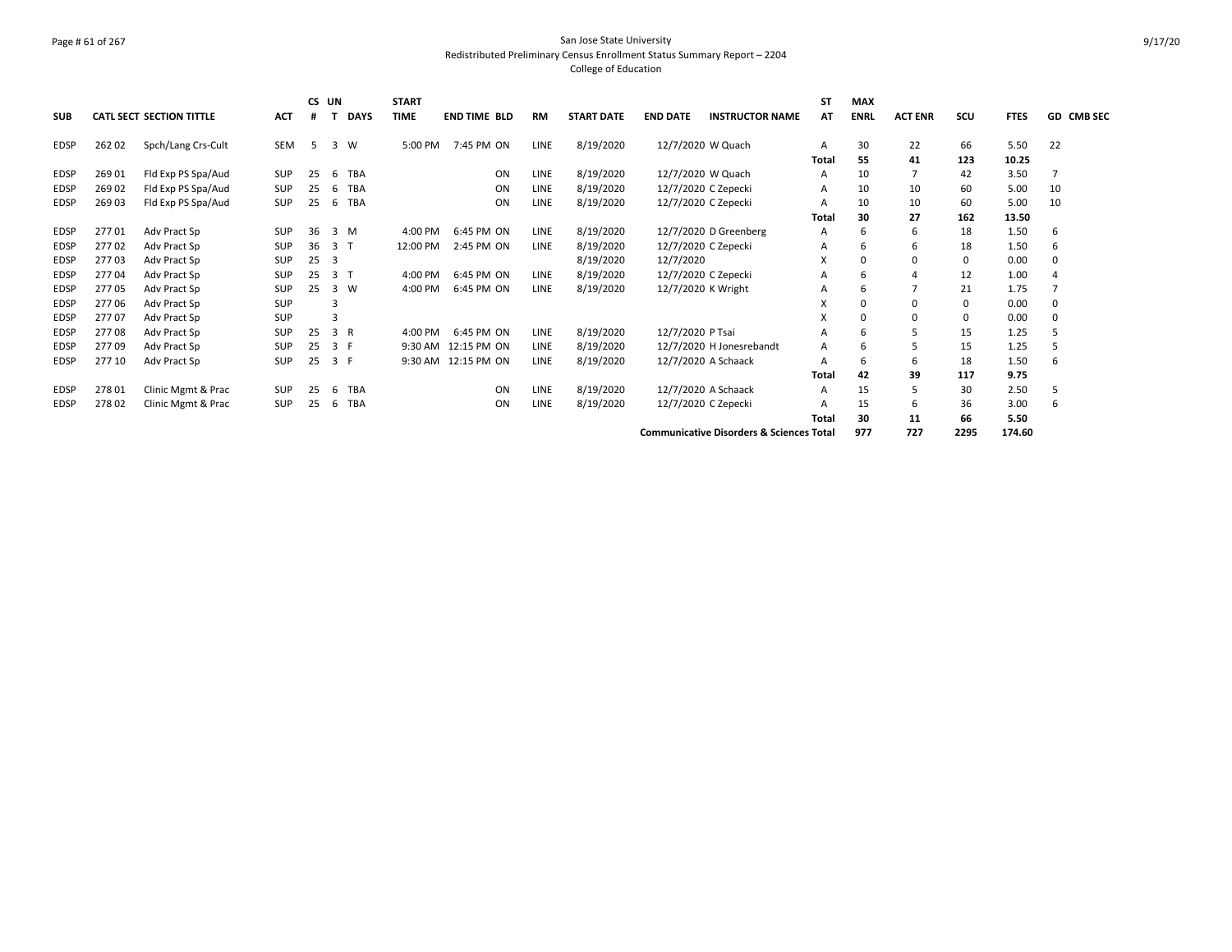# Page # 61 of 267 San Jose State University Redistributed Preliminary Census Enrollment Status Summary Report – 2204 College of Education

| <b>SUB</b>  |        | CATL SECT SECTION TITTLE | <b>ACT</b> | CS UN<br>Ħ |              | <b>DAYS</b> | <b>START</b><br><b>TIME</b> | <b>END TIME BLD</b> | <b>RM</b>   | <b>START DATE</b> | <b>END DATE</b>     | <b>INSTRUCTOR NAME</b>                              | ST<br>ΑT | <b>MAX</b><br><b>ENRL</b> | <b>ACT ENR</b> | SCU  | <b>FTES</b> | <b>GD CMB SEC</b> |
|-------------|--------|--------------------------|------------|------------|--------------|-------------|-----------------------------|---------------------|-------------|-------------------|---------------------|-----------------------------------------------------|----------|---------------------------|----------------|------|-------------|-------------------|
| <b>EDSP</b> | 26202  | Spch/Lang Crs-Cult       | SEM        | -5         | 3            | W           | 5:00 PM                     | 7:45 PM ON          | LINE        | 8/19/2020         | 12/7/2020 W Quach   |                                                     | A        | 30                        | 22             | 66   | 5.50        | 22                |
|             |        |                          |            |            |              |             |                             |                     |             |                   |                     |                                                     | Total    | 55                        | 41             | 123  | 10.25       |                   |
| <b>EDSP</b> | 26901  | Fld Exp PS Spa/Aud       | <b>SUP</b> | 25         | 6            | TBA         |                             | ON                  | LINE        | 8/19/2020         | 12/7/2020 W Quach   |                                                     | A        | 10                        |                | 42   | 3.50        |                   |
| <b>EDSP</b> | 269 02 | Fld Exp PS Spa/Aud       | <b>SUP</b> | 25         | 6            | <b>TBA</b>  |                             | ON                  | LINE        | 8/19/2020         |                     | 12/7/2020 C Zepecki                                 | A        | 10                        | 10             | 60   | 5.00        | 10                |
| <b>EDSP</b> | 26903  | Fld Exp PS Spa/Aud       | SUP        | 25         | 6            | <b>TBA</b>  |                             | ON                  | <b>LINE</b> | 8/19/2020         | 12/7/2020 C Zepecki |                                                     | Α        | 10                        | 10             | 60   | 5.00        | 10                |
|             |        |                          |            |            |              |             |                             |                     |             |                   |                     |                                                     | Total    | 30                        | 27             | 162  | 13.50       |                   |
| <b>EDSP</b> | 27701  | Adv Pract Sp             | <b>SUP</b> | 36         | 3            | M           | 4:00 PM                     | 6:45 PM ON          | <b>LINE</b> | 8/19/2020         |                     | 12/7/2020 D Greenberg                               | Α        | 6                         | 6              | 18   | 1.50        | 6                 |
| <b>EDSP</b> | 27702  | Adv Pract Sp             | <b>SUP</b> | 36         | 3            |             | 12:00 PM                    | 2:45 PM ON          | LINE        | 8/19/2020         | 12/7/2020 C Zepecki |                                                     | Α        | 6                         | 6              | 18   | 1.50        | 6                 |
| <b>EDSP</b> | 27703  | Adv Pract Sp             | <b>SUP</b> | 25         | 3            |             |                             |                     |             | 8/19/2020         | 12/7/2020           |                                                     | X        | 0                         | 0              | 0    | 0.00        | 0                 |
| <b>EDSP</b> | 27704  | Adv Pract Sp             | SUP        | 25         | 3            | Т           | 4:00 PM                     | 6:45 PM ON          | <b>LINE</b> | 8/19/2020         | 12/7/2020 C Zepecki |                                                     | Α        |                           |                | 12   | 1.00        |                   |
| <b>EDSP</b> | 27705  | Adv Pract Sp             | <b>SUP</b> | 25         | 3            | W           | 4:00 PM                     | 6:45 PM ON          | <b>LINE</b> | 8/19/2020         | 12/7/2020 K Wright  |                                                     | Α        | 6                         |                | 21   | 1.75        |                   |
| <b>EDSP</b> | 27706  | Adv Pract Sp             | SUP        |            | 3            |             |                             |                     |             |                   |                     |                                                     | X        | $\Omega$                  | 0              | 0    | 0.00        |                   |
| <b>EDSP</b> | 27707  | Adv Pract Sp             | <b>SUP</b> |            | $\mathbf{a}$ |             |                             |                     |             |                   |                     |                                                     | X        |                           | 0              | 0    | 0.00        |                   |
| <b>EDSP</b> | 27708  | Adv Pract Sp             | SUP        | 25         |              | 3 R         | 4:00 PM                     | 6:45 PM ON          | <b>LINE</b> | 8/19/2020         | 12/7/2020 P Tsai    |                                                     | A        |                           |                | 15   | 1.25        |                   |
| <b>EDSP</b> | 27709  | Adv Pract Sp             | SUP        | 25         | 3 F          |             |                             | 9:30 AM 12:15 PM ON | <b>LINE</b> | 8/19/2020         |                     | 12/7/2020 H Jonesrebandt                            | Α        | 6                         | 5              | 15   | 1.25        |                   |
| <b>EDSP</b> | 277 10 | Adv Pract Sp             | SUP        | 25         | 3 F          |             |                             | 9:30 AM 12:15 PM ON | <b>LINE</b> | 8/19/2020         |                     | 12/7/2020 A Schaack                                 | A        | 6                         | 6              | 18   | 1.50        | 6                 |
|             |        |                          |            |            |              |             |                             |                     |             |                   |                     |                                                     | Total    | 42                        | 39             | 117  | 9.75        |                   |
| <b>EDSP</b> | 27801  | Clinic Mgmt & Prac       | SUP        | 25         | 6            | <b>TBA</b>  |                             | ON                  | LINE        | 8/19/2020         |                     | 12/7/2020 A Schaack                                 | A        | 15                        | 5              | 30   | 2.50        | ь                 |
| <b>EDSP</b> | 27802  | Clinic Mgmt & Prac       | SUP        | 25         | 6            | <b>TBA</b>  |                             | ON                  | LINE        | 8/19/2020         | 12/7/2020 C Zepecki |                                                     | А        | 15                        | 6              | 36   | 3.00        | 6                 |
|             |        |                          |            |            |              |             |                             |                     |             |                   |                     |                                                     | Total    | 30                        | 11             | 66   | 5.50        |                   |
|             |        |                          |            |            |              |             |                             |                     |             |                   |                     | <b>Communicative Disorders &amp; Sciences Total</b> |          | 977                       | 727            | 2295 | 174.60      |                   |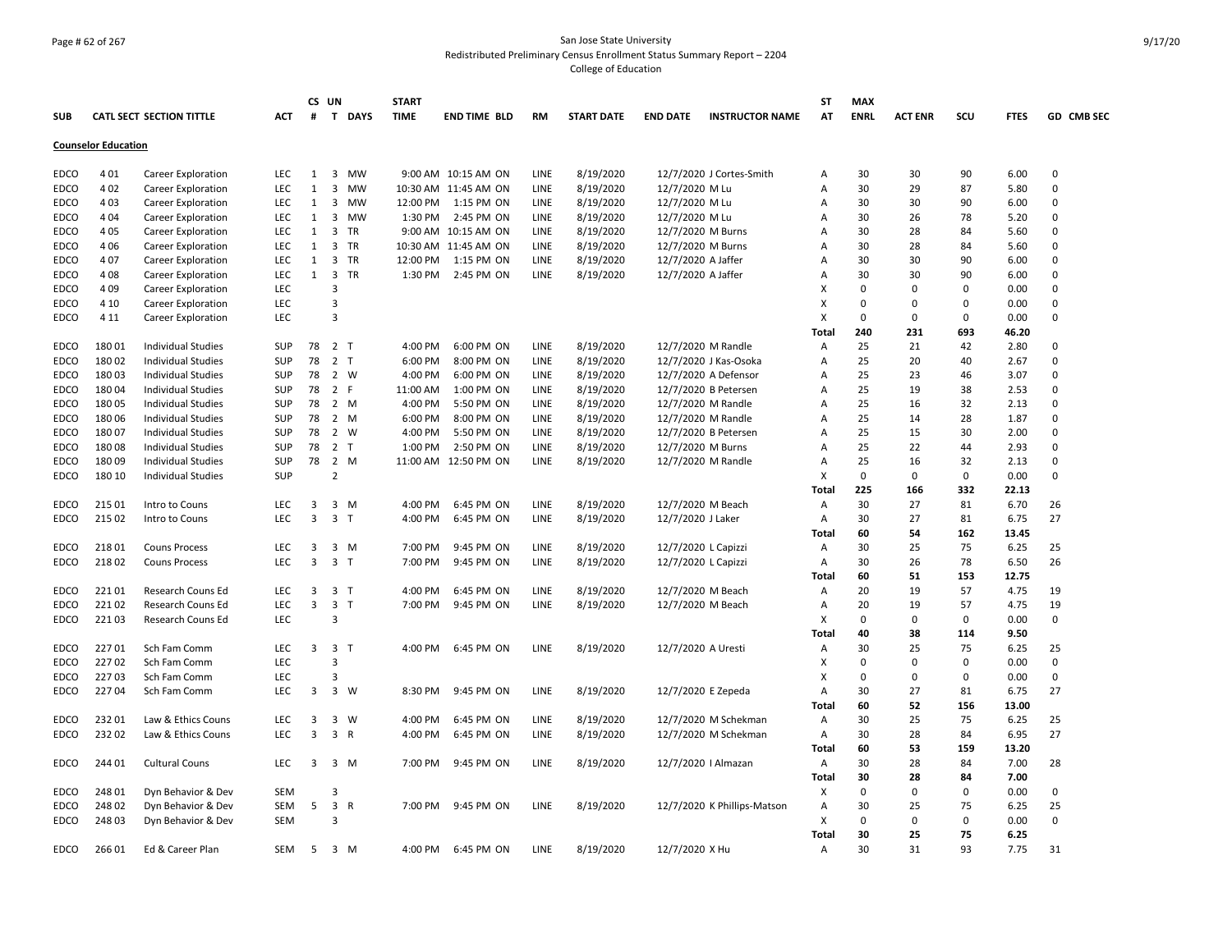# Page # 62 of 267 San Jose State University Redistributed Preliminary Census Enrollment Status Summary Report – 2204 College of Education

|             |                            |                           |            |              | CS UN                   |                | <b>START</b> |                      |      |                   |                     |                             | ST           | <b>MAX</b>  |                |             |             |             |
|-------------|----------------------------|---------------------------|------------|--------------|-------------------------|----------------|--------------|----------------------|------|-------------------|---------------------|-----------------------------|--------------|-------------|----------------|-------------|-------------|-------------|
| <b>SUB</b>  |                            | CATL SECT SECTION TITTLE  | <b>ACT</b> | #            | $\mathbf{T}$            | <b>DAYS</b>    | <b>TIME</b>  | <b>END TIME BLD</b>  | RM   | <b>START DATE</b> | <b>END DATE</b>     | <b>INSTRUCTOR NAME</b>      | AT           | <b>ENRL</b> | <b>ACT ENR</b> | scu         | <b>FTES</b> | GD CMB SEC  |
|             | <b>Counselor Education</b> |                           |            |              |                         |                |              |                      |      |                   |                     |                             |              |             |                |             |             |             |
| <b>EDCO</b> | 401                        | Career Exploration        | <b>LEC</b> | $\mathbf{1}$ | 3                       | <b>MW</b>      |              | 9:00 AM 10:15 AM ON  | LINE | 8/19/2020         |                     | 12/7/2020 J Cortes-Smith    | Α            | 30          | 30             | 90          | 6.00        | $\Omega$    |
| <b>EDCO</b> | 402                        | Career Exploration        | LEC        | $\mathbf{1}$ | $\overline{3}$          | <b>MW</b>      |              | 10:30 AM 11:45 AM ON | LINE | 8/19/2020         | 12/7/2020 M Lu      |                             | А            | 30          | 29             | 87          | 5.80        | $\Omega$    |
| EDCO        | 403                        | Career Exploration        | <b>LEC</b> | 1            | 3                       | <b>MW</b>      |              | 12:00 PM 1:15 PM ON  | LINE | 8/19/2020         | 12/7/2020 M Lu      |                             | Α            | 30          | 30             | 90          | 6.00        | $\Omega$    |
|             |                            |                           |            |              |                         |                |              |                      |      |                   |                     |                             |              |             |                |             |             | $\Omega$    |
| EDCO        | 404                        | Career Exploration        | <b>LEC</b> | $\mathbf{1}$ | 3                       | MW<br>TR       | 1:30 PM      | 2:45 PM ON           | LINE | 8/19/2020         | 12/7/2020 M Lu      |                             | Α            | 30          | 26             | 78          | 5.20        | $\Omega$    |
| <b>EDCO</b> | 405                        | Career Exploration        | <b>LEC</b> | $\mathbf{1}$ | 3                       |                |              | 9:00 AM 10:15 AM ON  | LINE | 8/19/2020         | 12/7/2020 M Burns   |                             | А            | 30          | 28             | 84          | 5.60        |             |
| EDCO        | 406                        | Career Exploration        | <b>LEC</b> | $\mathbf{1}$ | $\overline{3}$          | TR             |              | 10:30 AM 11:45 AM ON | LINE | 8/19/2020         | 12/7/2020 M Burns   |                             | Α            | 30          | 28             | 84          | 5.60        | $\Omega$    |
| EDCO        | 407                        | Career Exploration        | <b>LEC</b> | $\mathbf{1}$ | $\overline{3}$          | TR             | 12:00 PM     | 1:15 PM ON           | LINE | 8/19/2020         | 12/7/2020 A Jaffer  |                             | Α            | 30          | 30             | 90          | 6.00        | $\Omega$    |
| <b>EDCO</b> | 408                        | Career Exploration        | LEC.       | $\mathbf{1}$ | $\overline{3}$          | TR             |              | 1:30 PM 2:45 PM ON   | LINE | 8/19/2020         | 12/7/2020 A Jaffer  |                             | Α            | 30          | 30             | 90          | 6.00        | $\Omega$    |
| <b>EDCO</b> | 409                        | Career Exploration        | <b>LEC</b> |              | 3                       |                |              |                      |      |                   |                     |                             | X            | $\Omega$    | $\Omega$       | $\Omega$    | 0.00        | $\Omega$    |
| EDCO        | 4 1 0                      | Career Exploration        | LEC        |              | 3                       |                |              |                      |      |                   |                     |                             | X            | 0           | $\mathbf 0$    | 0           | 0.00        | 0           |
| EDCO        | 4 1 1                      | Career Exploration        | LEC        |              | 3                       |                |              |                      |      |                   |                     |                             | x            | $\Omega$    | $\Omega$       | 0           | 0.00        | $\Omega$    |
|             |                            |                           |            |              |                         |                |              |                      |      |                   |                     |                             | Total        | 240         | 231            | 693         | 46.20       |             |
| EDCO        | 18001                      | <b>Individual Studies</b> | <b>SUP</b> | 78           | 2 <sub>T</sub>          |                | 4:00 PM      | 6:00 PM ON           | LINE | 8/19/2020         |                     | 12/7/2020 M Randle          | Α            | 25          | 21             | 42          | 2.80        | $\Omega$    |
| EDCO        | 18002                      | <b>Individual Studies</b> | <b>SUP</b> | 78           | 2                       | $\mathsf{T}$   | 6:00 PM      | 8:00 PM ON           | LINE | 8/19/2020         |                     | 12/7/2020 J Kas-Osoka       | Α            | 25          | 20             | 40          | 2.67        | $\Omega$    |
| EDCO        | 18003                      | <b>Individual Studies</b> | <b>SUP</b> | 78           | 2                       | w              | 4:00 PM      | 6:00 PM ON           | LINE | 8/19/2020         |                     | 12/7/2020 A Defensor        | Α            | 25          | 23             | 46          | 3.07        | $\Omega$    |
| <b>EDCO</b> | 18004                      | <b>Individual Studies</b> | <b>SUP</b> | 78           |                         | 2 F            | 11:00 AM     | 1:00 PM ON           | LINE | 8/19/2020         |                     | 12/7/2020 B Petersen        | Α            | 25          | 19             | 38          | 2.53        | $\Omega$    |
| EDCO        | 18005                      | <b>Individual Studies</b> | <b>SUP</b> | 78           |                         | 2 M            | 4:00 PM      | 5:50 PM ON           | LINE | 8/19/2020         |                     | 12/7/2020 M Randle          | A            | 25          | 16             | 32          | 2.13        | $\Omega$    |
| <b>EDCO</b> | 18006                      | <b>Individual Studies</b> | <b>SUP</b> | 78           | $\overline{2}$          | M              | 6:00 PM      | 8:00 PM ON           | LINE | 8/19/2020         | 12/7/2020 M Randle  |                             | Α            | 25          | 14             | 28          | 1.87        | $\Omega$    |
| EDCO        | 18007                      | Individual Studies        | SUP        | 78           |                         | 2 W            | 4:00 PM      | 5:50 PM ON           | LINE | 8/19/2020         |                     | 12/7/2020 B Petersen        | Α            | 25          | 15             | 30          | 2.00        | $\Omega$    |
| EDCO        | 18008                      | Individual Studies        | SUP        | 78           | 2                       | $\mathsf{T}$   | 1:00 PM      | 2:50 PM ON           | LINE | 8/19/2020         | 12/7/2020 M Burns   |                             | А            | 25          | 22             | 44          | 2.93        | 0           |
| EDCO        | 18009                      | Individual Studies        | <b>SUP</b> | 78           | $\overline{2}$          | M              |              | 11:00 AM 12:50 PM ON | LINE | 8/19/2020         |                     | 12/7/2020 M Randle          | Α            | 25          | 16             | 32          | 2.13        | 0           |
| EDCO        | 180 10                     | <b>Individual Studies</b> | <b>SUP</b> |              | 2                       |                |              |                      |      |                   |                     |                             | X            | 0           | 0              | 0           | 0.00        | $\Omega$    |
|             |                            |                           |            |              |                         |                |              |                      |      |                   |                     |                             | Total        | 225         | 166            | 332         | 22.13       |             |
| <b>EDCO</b> | 215 01                     | Intro to Couns            | <b>LEC</b> | 3            |                         | 3 M            | 4:00 PM      | 6:45 PM ON           | LINE | 8/19/2020         | 12/7/2020 M Beach   |                             | Α            | 30          | 27             | 81          | 6.70        | 26          |
| EDCO        | 215 02                     | Intro to Couns            | <b>LEC</b> | 3            | $\overline{3}$          | $\mathsf{T}$   | 4:00 PM      | 6:45 PM ON           | LINE | 8/19/2020         | 12/7/2020 J Laker   |                             | Α            | 30          | 27             | 81          | 6.75        | 27          |
|             |                            |                           |            |              |                         |                |              |                      |      |                   |                     |                             | Total        | 60          | 54             | 162         | 13.45       |             |
| <b>EDCO</b> | 21801                      | <b>Couns Process</b>      | <b>LEC</b> | 3            |                         | $3 \, M$       | 7:00 PM      | 9:45 PM ON           | LINE | 8/19/2020         | 12/7/2020 L Capizzi |                             | Α            | 30          | 25             | 75          | 6.25        | 25          |
| EDCO        | 21802                      | <b>Couns Process</b>      | LEC        | 3            |                         | 3 <sub>T</sub> | 7:00 PM      | 9:45 PM ON           | LINE | 8/19/2020         | 12/7/2020 L Capizzi |                             | Α            | 30          | 26             | 78          | 6.50        | 26          |
|             |                            |                           |            |              |                         |                |              |                      |      |                   |                     |                             | Total        | 60          | 51             | 153         | 12.75       |             |
| EDCO        | 22101                      | Research Couns Ed         | LEC        | 3            | $\overline{\mathbf{3}}$ | $\mathsf{T}$   | 4:00 PM      | 6:45 PM ON           | LINE | 8/19/2020         | 12/7/2020 M Beach   |                             | Α            | 20          | 19             | 57          | 4.75        | 19          |
| EDCO        | 22102                      | Research Couns Ed         | LEC        | 3            | $\overline{\mathbf{3}}$ | $\mathsf{T}$   | 7:00 PM      | 9:45 PM ON           | LINE | 8/19/2020         | 12/7/2020 M Beach   |                             | Α            | 20          | 19             | 57          | 4.75        | 19          |
| <b>EDCO</b> | 22103                      | Research Couns Ed         | LEC        |              | 3                       |                |              |                      |      |                   |                     |                             | x            | $\mathbf 0$ | 0              | $\mathbf 0$ | 0.00        | 0           |
|             |                            |                           |            |              |                         |                |              |                      |      |                   |                     |                             | Total        | 40          | 38             | 114         | 9.50        |             |
| EDCO        | 22701                      | Sch Fam Comm              | <b>LEC</b> |              | 3 3 T                   |                | 4:00 PM      | 6:45 PM ON           | LINE | 8/19/2020         | 12/7/2020 A Uresti  |                             | Α            | 30          | 25             | 75          | 6.25        | 25          |
| <b>EDCO</b> | 22702                      | Sch Fam Comm              | LEC        |              | 3                       |                |              |                      |      |                   |                     |                             | X            | $\Omega$    | $\Omega$       | $\Omega$    | 0.00        | $\Omega$    |
| EDCO        | 22703                      | Sch Fam Comm              | <b>LEC</b> |              | 3                       |                |              |                      |      |                   |                     |                             | x            | 0           | 0              | 0           | 0.00        | $\mathbf 0$ |
| EDCO        | 22704                      | Sch Fam Comm              | <b>LEC</b> | 3            | $\overline{\mathbf{3}}$ | W              | 8:30 PM      | 9:45 PM ON           | LINE | 8/19/2020         | 12/7/2020 E Zepeda  |                             | Α            | 30          | 27             | 81          | 6.75        | 27          |
|             |                            |                           |            |              |                         |                |              |                      |      |                   |                     |                             | Tota         | 60          | 52             | 156         | 13.00       |             |
| EDCO        | 23201                      | Law & Ethics Couns        | LEC        | 3            | 3                       | W              | 4:00 PM      | 6:45 PM ON           | LINE | 8/19/2020         |                     | 12/7/2020 M Schekman        | Α            | 30          | 25             | 75          | 6.25        | 25          |
| <b>EDCO</b> | 23202                      | Law & Ethics Couns        | LEC        | 3            | $\overline{\mathbf{3}}$ | $\mathsf{R}$   | 4:00 PM      | 6:45 PM ON           | LINE |                   |                     | 12/7/2020 M Schekman        | Α            | 30          | 28             | 84          | 6.95        | 27          |
|             |                            |                           |            |              |                         |                |              |                      |      | 8/19/2020         |                     |                             | <b>Total</b> | 60          | 53             | 159         | 13.20       |             |
|             | 24401                      |                           | <b>LEC</b> | 3            |                         |                | 7:00 PM      |                      |      |                   |                     |                             |              | 30          |                | 84          |             |             |
| EDCO        |                            | <b>Cultural Couns</b>     |            |              | 3                       | M              |              | 9:45 PM ON           | LINE | 8/19/2020         |                     | 12/7/2020   Almazan         | Α            |             | 28             |             | 7.00        | 28          |
|             |                            |                           |            |              |                         |                |              |                      |      |                   |                     |                             | Total        | 30          | 28             | 84          | 7.00        |             |
| EDCO        | 24801                      | Dyn Behavior & Dev        | <b>SEM</b> |              | 3                       |                |              |                      |      |                   |                     |                             | Х            | 0           | 0              | 0           | 0.00        | 0           |
| EDCO        | 24802                      | Dyn Behavior & Dev        | SEM        | 5            | $\overline{\mathbf{3}}$ | R              | 7:00 PM      | 9:45 PM ON           | LINE | 8/19/2020         |                     | 12/7/2020 K Phillips-Matson | Α            | 30          | 25             | 75          | 6.25        | 25          |
| EDCO        | 24803                      | Dyn Behavior & Dev        | <b>SEM</b> |              | 3                       |                |              |                      |      |                   |                     |                             | х            | $\Omega$    | 0              | 0           | 0.00        | $\Omega$    |
|             |                            |                           |            |              |                         |                |              |                      |      |                   |                     |                             | Total        | 30          | 25             | 75          | 6.25        |             |
| EDCO        | 26601                      | Ed & Career Plan          | <b>SEM</b> | 5            |                         | 3 M            | 4:00 PM      | 6:45 PM ON           | LINE | 8/19/2020         | 12/7/2020 X Hu      |                             | Α            | 30          | 31             | 93          | 7.75        | 31          |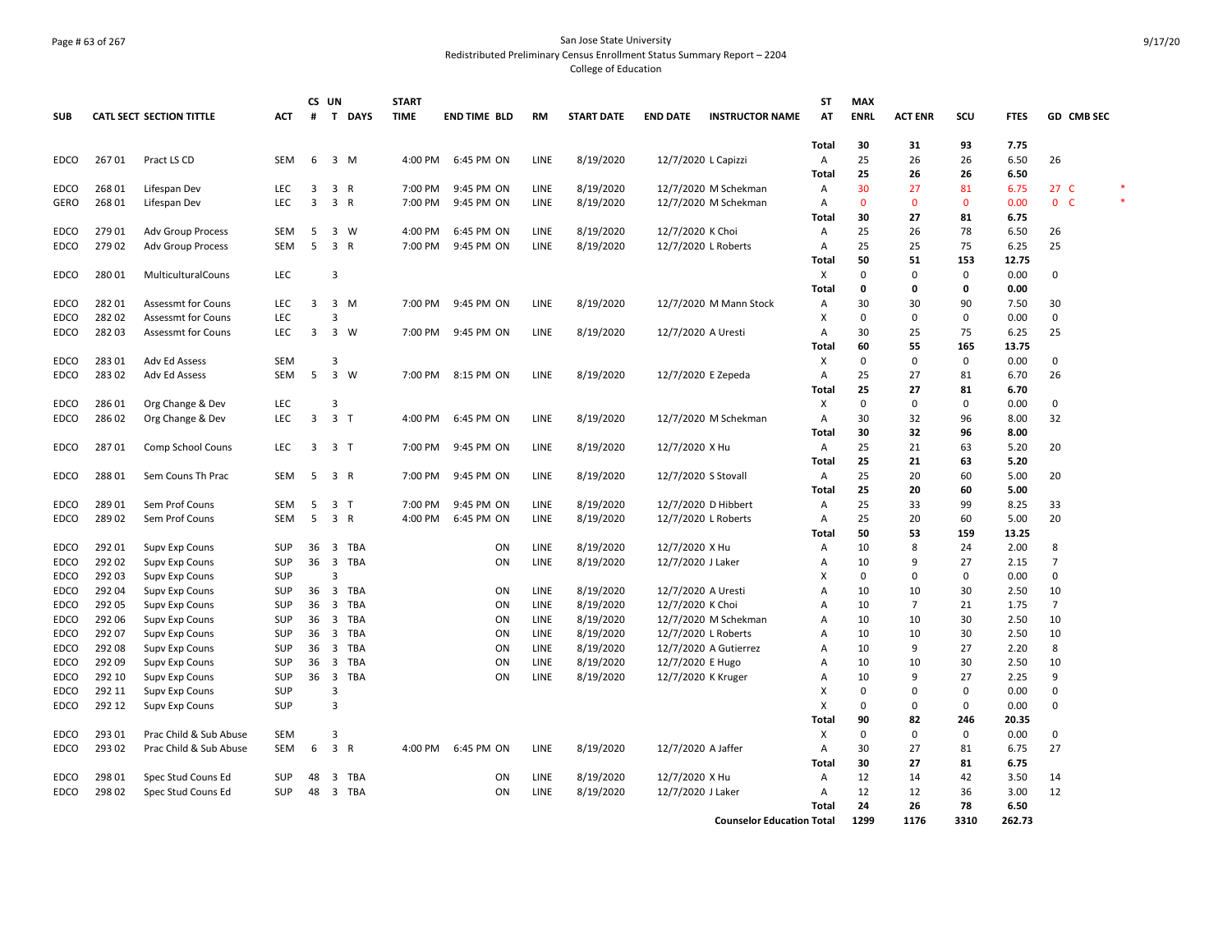# Page # 63 of 267 San Jose State University Redistributed Preliminary Census Enrollment Status Summary Report – 2204 College of Education

|             |        |                           |            | CS UN |                         |             | <b>START</b> |                     |             |                   |                    |                                  | <b>ST</b>    | <b>MAX</b>   |                |              |             |                          |
|-------------|--------|---------------------------|------------|-------|-------------------------|-------------|--------------|---------------------|-------------|-------------------|--------------------|----------------------------------|--------------|--------------|----------------|--------------|-------------|--------------------------|
| <b>SUB</b>  |        | CATL SECT SECTION TITTLE  | <b>ACT</b> | #     | $\mathbf{T}$            | <b>DAYS</b> | <b>TIME</b>  | <b>END TIME BLD</b> | <b>RM</b>   | <b>START DATE</b> | <b>END DATE</b>    | <b>INSTRUCTOR NAME</b>           | AT           | <b>ENRL</b>  | <b>ACT ENR</b> | SCU          | <b>FTES</b> | GD CMB SEC               |
|             |        |                           |            |       |                         |             |              |                     |             |                   |                    |                                  | Total        | 30           | 31             | 93           | 7.75        |                          |
| <b>EDCO</b> | 26701  | Pract LS CD               | SEM        | 6     |                         | 3 M         | 4:00 PM      | 6:45 PM ON          | LINE        | 8/19/2020         |                    | 12/7/2020 L Capizzi              | Α            | 25           | 26             | 26           | 6.50        | 26                       |
|             |        |                           |            |       |                         |             |              |                     |             |                   |                    |                                  | <b>Total</b> | 25           | 26             | 26           | 6.50        |                          |
| EDCO        | 26801  | Lifespan Dev              | <b>LEC</b> | 3     | 3                       | R           | 7:00 PM      | 9:45 PM ON          | LINE        | 8/19/2020         |                    | 12/7/2020 M Schekman             | A            | 30           | 27             | 81           | 6.75        | $\ast$<br>27 C           |
| GERO        | 268 01 | Lifespan Dev              | <b>LEC</b> | 3     | 3 R                     |             | 7:00 PM      | 9:45 PM ON          | <b>LINE</b> | 8/19/2020         |                    | 12/7/2020 M Schekman             | A            | $\mathbf{0}$ | $\Omega$       | $\mathbf{0}$ | 0.00        | $\ast$<br>0 <sup>o</sup> |
|             |        |                           |            |       |                         |             |              |                     |             |                   |                    |                                  | Total        | 30           | 27             | 81           | 6.75        |                          |
| <b>EDCO</b> | 279 01 | <b>Adv Group Process</b>  | SEM        | 5     | $\mathbf{3}$            | W           | 4:00 PM      | 6:45 PM ON          | LINE        | 8/19/2020         | 12/7/2020 K Choi   |                                  | Α            | 25           | 26             | 78           | 6.50        | 26                       |
| <b>EDCO</b> | 279 02 | <b>Adv Group Process</b>  | <b>SEM</b> | 5     | $\overline{3}$          | R           | 7:00 PM      | 9:45 PM ON          | LINE        | 8/19/2020         |                    | 12/7/2020 L Roberts              | А            | 25           | 25             | 75           | 6.25        | 25                       |
|             |        |                           |            |       |                         |             |              |                     |             |                   |                    |                                  | Total        | 50           | 51             | 153          | 12.75       |                          |
| <b>EDCO</b> | 28001  | MulticulturalCouns        | LEC        |       | 3                       |             |              |                     |             |                   |                    |                                  | X            | 0            | $\Omega$       | 0            | 0.00        | 0                        |
|             |        |                           |            |       |                         |             |              |                     |             |                   |                    |                                  | Total        | 0            | 0              | 0            | 0.00        |                          |
| <b>EDCO</b> | 28201  | <b>Assessmt for Couns</b> | <b>LEC</b> | 3     | $\overline{\mathbf{3}}$ | M           | 7:00 PM      | 9:45 PM ON          | LINE        | 8/19/2020         |                    | 12/7/2020 M Mann Stock           | Α            | 30           | 30             | 90           | 7.50        | 30                       |
| EDCO        | 28202  | <b>Assessmt for Couns</b> | <b>LEC</b> |       | 3                       |             |              |                     |             |                   |                    |                                  | x            | 0            | $\Omega$       | 0            | 0.00        | 0                        |
| <b>EDCO</b> | 28203  | <b>Assessmt for Couns</b> | LEC        | 3     |                         | 3 W         | 7:00 PM      | 9:45 PM ON          | LINE        | 8/19/2020         | 12/7/2020 A Uresti |                                  | Α            | 30           | 25             | 75           | 6.25        | 25                       |
|             |        |                           |            |       |                         |             |              |                     |             |                   |                    |                                  | <b>Total</b> | 60           | 55             | 165          | 13.75       |                          |
| <b>EDCO</b> | 28301  | Adv Ed Assess             | <b>SEM</b> |       | 3                       |             |              |                     |             |                   |                    |                                  | Х            | 0            | $\mathbf 0$    | 0            | 0.00        | 0                        |
| EDCO        | 28302  | Adv Ed Assess             | <b>SEM</b> | 5     | $\overline{3}$          | W           | 7:00 PM      | 8:15 PM ON          | <b>LINE</b> | 8/19/2020         |                    | 12/7/2020 E Zepeda               | Α            | 25           | 27             | 81           | 6.70        | 26                       |
|             |        |                           |            |       |                         |             |              |                     |             |                   |                    |                                  | Total        | 25           | 27             | 81           | 6.70        |                          |
| EDCO        | 28601  | Org Change & Dev          | <b>LEC</b> |       | 3                       |             |              |                     |             |                   |                    |                                  | X            | 0            | $\Omega$       | 0            | 0.00        | 0                        |
| <b>EDCO</b> | 28602  | Org Change & Dev          | <b>LEC</b> | 3     | 3 <sub>1</sub>          |             | 4:00 PM      | 6:45 PM ON          | LINE        | 8/19/2020         |                    | 12/7/2020 M Schekman             | Α            | 30           | 32             | 96           | 8.00        | 32                       |
|             |        |                           |            |       |                         |             |              |                     |             |                   |                    |                                  | <b>Total</b> | 30           | 32             | 96           | 8.00        |                          |
| <b>EDCO</b> | 28701  | Comp School Couns         | <b>LEC</b> | 3     | 3 T                     |             | 7:00 PM      | 9:45 PM ON          | LINE        | 8/19/2020         | 12/7/2020 X Hu     |                                  | Α            | 25           | 21             | 63           | 5.20        | 20                       |
|             |        |                           |            |       |                         |             |              |                     |             |                   |                    |                                  | <b>Total</b> | 25           | 21             | 63           | 5.20        |                          |
| <b>EDCO</b> | 28801  | Sem Couns Th Prac         | <b>SEM</b> | 5     | 3 R                     |             | 7:00 PM      | 9:45 PM ON          | LINE        | 8/19/2020         |                    | 12/7/2020 S Stovall              | Α            | 25           | 20             | 60           | 5.00        | 20                       |
|             |        |                           |            |       |                         |             |              |                     |             |                   |                    |                                  | <b>Total</b> | 25           | 20             | 60           | 5.00        |                          |
| EDCO        | 28901  | Sem Prof Couns            | <b>SEM</b> | 5     | 3 <sub>T</sub>          |             | 7:00 PM      | 9:45 PM ON          | <b>LINE</b> | 8/19/2020         |                    | 12/7/2020 D Hibbert              | A            | 25           | 33             | 99           | 8.25        | 33                       |
| <b>EDCO</b> | 28902  | Sem Prof Couns            | SEM        | 5     | 3 R                     |             | 4:00 PM      | 6:45 PM ON          | LINE        | 8/19/2020         |                    | 12/7/2020 L Roberts              | Α            | 25           | 20             | 60           | 5.00        | 20                       |
|             |        |                           |            |       |                         |             |              |                     |             |                   |                    |                                  | Total        | 50           | 53             | 159          | 13.25       |                          |
| <b>EDCO</b> | 292 01 | Supv Exp Couns            | <b>SUP</b> | 36    | $\overline{\mathbf{3}}$ | <b>TBA</b>  |              | ON                  | LINE        | 8/19/2020         | 12/7/2020 X Hu     |                                  | Α            | 10           | 8              | 24           | 2.00        | 8                        |
| EDCO        | 292 02 | Supv Exp Couns            | <b>SUP</b> | 36    | $\overline{\mathbf{3}}$ | <b>TBA</b>  |              | ON                  | LINE        | 8/19/2020         | 12/7/2020 J Laker  |                                  | A            | 10           | 9              | 27           | 2.15        | $\overline{7}$           |
| <b>EDCO</b> | 292 03 | Supv Exp Couns            | <b>SUP</b> |       | 3                       |             |              |                     |             |                   |                    |                                  | X            | $\Omega$     | $\Omega$       | 0            | 0.00        | 0                        |
| EDCO        | 292 04 | Supv Exp Couns            | <b>SUP</b> | 36    | $\overline{\mathbf{3}}$ | <b>TBA</b>  |              | ON                  | LINE        | 8/19/2020         | 12/7/2020 A Uresti |                                  | A            | 10           | 10             | 30           | 2.50        | 10                       |
| <b>EDCO</b> | 292 05 | Supv Exp Couns            | <b>SUP</b> | 36    | $\overline{\mathbf{3}}$ | TBA         |              | ON                  | LINE        | 8/19/2020         | 12/7/2020 K Choi   |                                  | A            | 10           | $\overline{7}$ | 21           | 1.75        | $\overline{7}$           |
| <b>EDCO</b> | 292 06 |                           | <b>SUP</b> | 36    | $\overline{\mathbf{3}}$ | <b>TBA</b>  |              | ON                  | LINE        | 8/19/2020         |                    | 12/7/2020 M Schekman             | A            | 10           | 10             | 30           | 2.50        | 10                       |
| EDCO        | 292 07 | Supv Exp Couns            | <b>SUP</b> |       | $\overline{\mathbf{3}}$ | TBA         |              | ON                  | LINE        |                   |                    |                                  | A            | 10           | 10             | 30           | 2.50        | 10                       |
|             |        | Supv Exp Couns            |            | 36    |                         |             |              |                     |             | 8/19/2020         |                    | 12/7/2020 L Roberts              |              |              |                |              |             |                          |
| <b>EDCO</b> | 292 08 | <b>Supv Exp Couns</b>     | <b>SUP</b> | 36    | $\overline{\mathbf{3}}$ | <b>TBA</b>  |              | ON                  | LINE        | 8/19/2020         |                    | 12/7/2020 A Gutierrez            | Α            | 10           | 9              | 27           | 2.20        | 8                        |
| <b>EDCO</b> | 292 09 | <b>Supv Exp Couns</b>     | <b>SUP</b> | 36    | $\overline{\mathbf{3}}$ | <b>TBA</b>  |              | ON                  | LINE        | 8/19/2020         | 12/7/2020 E Hugo   |                                  | Α            | 10           | 10             | 30           | 2.50        | 10                       |
| <b>EDCO</b> | 292 10 | Supv Exp Couns            | <b>SUP</b> | 36    | $\overline{\mathbf{3}}$ | TBA         |              | ON                  | LINE        | 8/19/2020         |                    | 12/7/2020 K Kruger               | A            | 10           | 9              | 27           | 2.25        | 9                        |
| EDCO        | 292 11 | Supv Exp Couns            | <b>SUP</b> |       | 3                       |             |              |                     |             |                   |                    |                                  | X            | 0            | $\Omega$       | 0            | 0.00        | 0                        |
| EDCO        | 292 12 | Supv Exp Couns            | <b>SUP</b> |       | 3                       |             |              |                     |             |                   |                    |                                  | x            | 0            | $\Omega$       | $\Omega$     | 0.00        | 0                        |
|             |        |                           |            |       |                         |             |              |                     |             |                   |                    |                                  | <b>Total</b> | 90           | 82             | 246          | 20.35       |                          |
| <b>EDCO</b> | 293 01 | Prac Child & Sub Abuse    | SEM        |       | 3                       |             |              |                     |             |                   |                    |                                  | X            | $\mathbf 0$  | $\mathbf 0$    | 0            | 0.00        | 0                        |
| EDCO        | 293 02 | Prac Child & Sub Abuse    | <b>SEM</b> | 6     | 3 R                     |             | 4:00 PM      | 6:45 PM ON          | LINE        | 8/19/2020         | 12/7/2020 A Jaffer |                                  | Α            | 30           | 27             | 81           | 6.75        | 27                       |
|             |        |                           |            |       |                         |             |              |                     |             |                   |                    |                                  | <b>Total</b> | 30           | 27             | 81           | 6.75        |                          |
| EDCO        | 298 01 | Spec Stud Couns Ed        | <b>SUP</b> | 48    | 3                       | <b>TBA</b>  |              | ON                  | LINE        | 8/19/2020         | 12/7/2020 X Hu     |                                  | Α            | 12           | 14             | 42           | 3.50        | 14                       |
| <b>EDCO</b> | 298 02 | Spec Stud Couns Ed        | <b>SUP</b> | 48    | $\overline{\mathbf{3}}$ | TBA         |              | ON                  | LINE        | 8/19/2020         | 12/7/2020 J Laker  |                                  | А            | 12           | 12             | 36           | 3.00        | 12                       |
|             |        |                           |            |       |                         |             |              |                     |             |                   |                    |                                  | Total        | 24           | 26             | 78           | 6.50        |                          |
|             |        |                           |            |       |                         |             |              |                     |             |                   |                    | <b>Counselor Education Total</b> |              | 1299         | 1176           | 3310         | 262.73      |                          |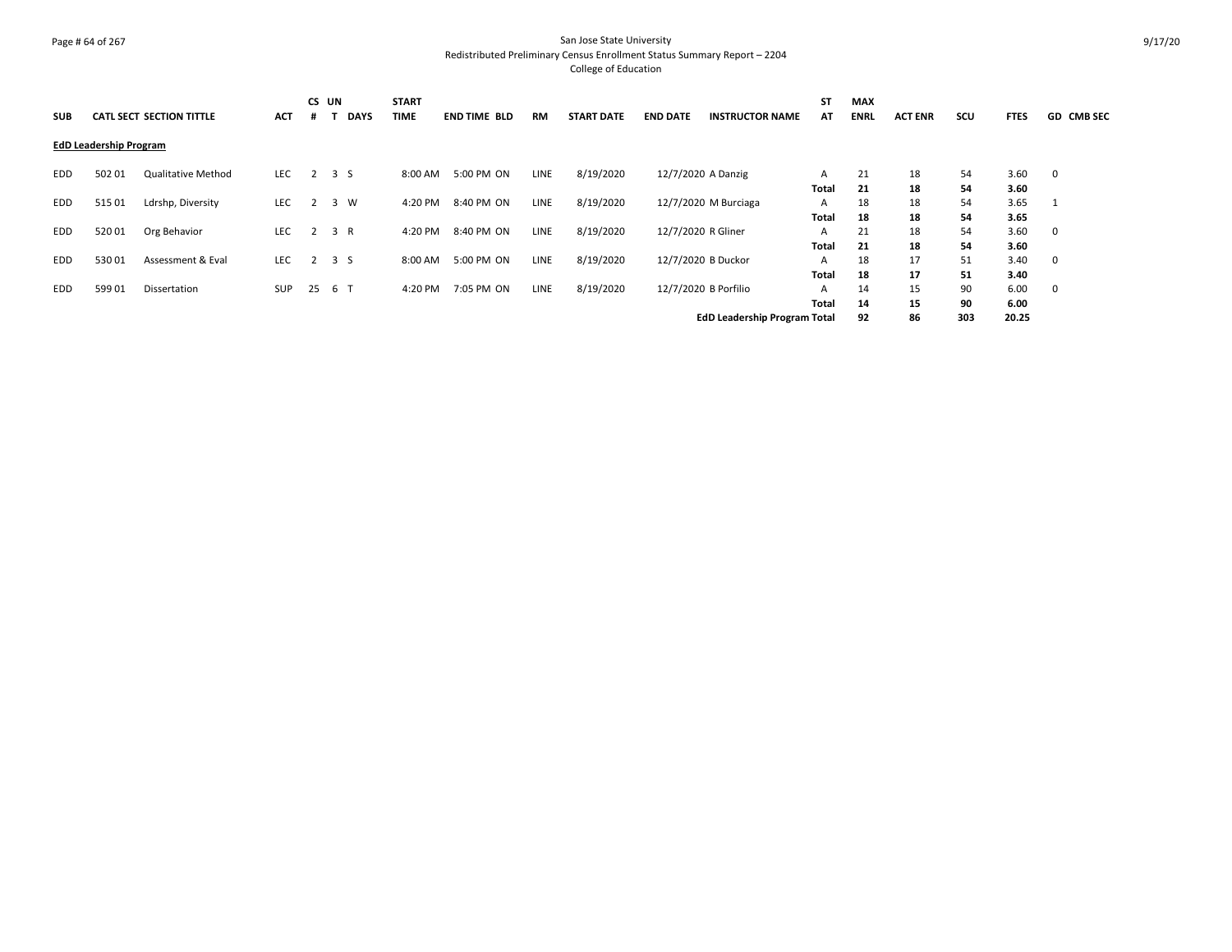#### Page # 64 of 267 San Jose State University Redistributed Preliminary Census Enrollment Status Summary Report – 2204 College of Education

| <b>SUB</b> |                               | <b>CATL SECT SECTION TITTLE</b> | <b>ACT</b> | CS UN |                | <b>DAYS</b> | <b>START</b><br><b>TIME</b> | <b>END TIME BLD</b> | <b>RM</b>   | <b>START DATE</b> | <b>END DATE</b>    | <b>INSTRUCTOR NAME</b>              | <b>ST</b><br>AT | <b>MAX</b><br><b>ENRL</b> | <b>ACT ENR</b> | scu      | <b>FTES</b>  | <b>GD CMB SEC</b> |
|------------|-------------------------------|---------------------------------|------------|-------|----------------|-------------|-----------------------------|---------------------|-------------|-------------------|--------------------|-------------------------------------|-----------------|---------------------------|----------------|----------|--------------|-------------------|
|            | <b>EdD Leadership Program</b> |                                 |            |       |                |             |                             |                     |             |                   |                    |                                     |                 |                           |                |          |              |                   |
| EDD        | 502 01                        | <b>Qualitative Method</b>       | LEC        | 2     | 3 S            |             | 8:00 AM                     | 5:00 PM ON          | <b>LINE</b> | 8/19/2020         |                    | 12/7/2020 A Danzig                  | A<br>Total      | 21<br>21                  | 18<br>18       | 54<br>54 | 3.60<br>3.60 | 0                 |
| <b>EDD</b> | 51501                         | Ldrshp, Diversity               | <b>LEC</b> |       | 3              | <b>W</b>    | 4:20 PM                     | 8:40 PM ON          | <b>LINE</b> | 8/19/2020         |                    | 12/7/2020 M Burciaga                | A<br>Total      | 18<br>18                  | 18<br>18       | 54<br>54 | 3.65<br>3.65 |                   |
| <b>EDD</b> | 52001                         | Org Behavior                    | <b>LEC</b> |       | 3 R            |             | 4:20 PM                     | 8:40 PM ON          | LINE        | 8/19/2020         | 12/7/2020 R Gliner |                                     | A<br>Total      | 21<br>21                  | 18<br>18       | 54<br>54 | 3.60<br>3.60 | 0                 |
| <b>EDD</b> | 53001                         | Assessment & Eval               | <b>LEC</b> |       | 3 <sub>5</sub> |             | 8:00 AM                     | 5:00 PM ON          | LINE        | 8/19/2020         |                    | 12/7/2020 B Duckor                  | A<br>Total      | 18<br>18                  | 17<br>17       | 51<br>51 | 3.40<br>3.40 | 0                 |
| <b>EDD</b> | 59901                         | Dissertation                    | <b>SUP</b> | 25    | 6 <sup>6</sup> |             | 4:20 PM                     | 7:05 PM ON          | LINE        | 8/19/2020         |                    | 12/7/2020 B Porfilio                | A<br>Total      | 14<br>14                  | 15<br>15       | 90<br>90 | 6.00<br>6.00 | 0                 |
|            |                               |                                 |            |       |                |             |                             |                     |             |                   |                    | <b>EdD Leadership Program Total</b> |                 | 92                        | 86             | 303      | 20.25        |                   |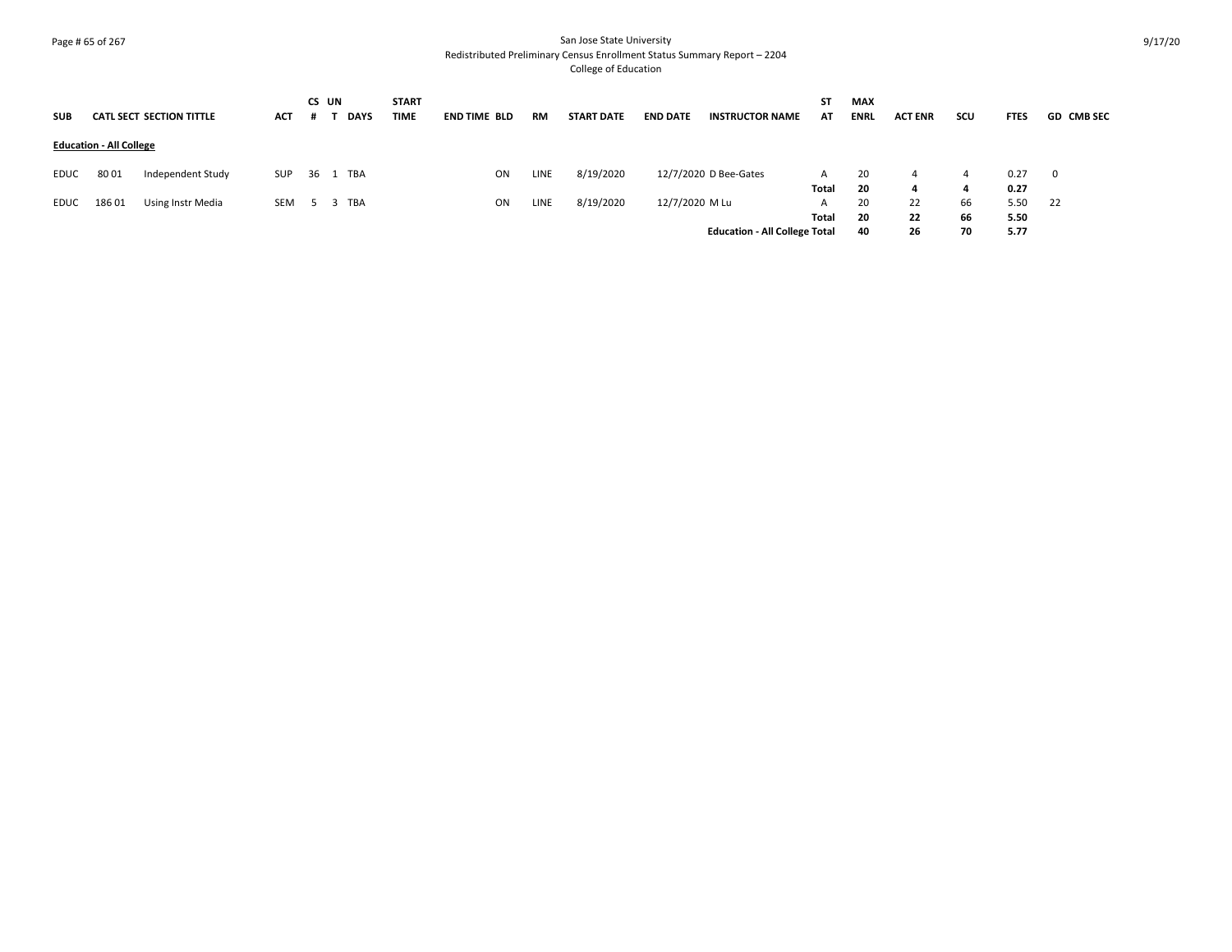# Page # 65 of 267 San Jose State University Redistributed Preliminary Census Enrollment Status Summary Report – 2204 College of Education

| <b>SUB</b> |                                | <b>CATL SECT SECTION TITTLE</b> | <b>ACT</b> | CS UN | <b>DAYS</b> | <b>START</b><br><b>TIME</b> | <b>END TIME BLD</b> | <b>RM</b>   | <b>START DATE</b> | <b>END DATE</b> | <b>INSTRUCTOR NAME</b>               | ST<br>AT   | <b>MAX</b><br><b>ENRL</b> | <b>ACT ENR</b> | scu            | <b>FTES</b>          | <b>GD CMB SEC</b> |
|------------|--------------------------------|---------------------------------|------------|-------|-------------|-----------------------------|---------------------|-------------|-------------------|-----------------|--------------------------------------|------------|---------------------------|----------------|----------------|----------------------|-------------------|
|            | <b>Education - All College</b> |                                 |            |       |             |                             |                     |             |                   |                 |                                      |            |                           |                |                |                      |                   |
| EDUC       | 8001                           | Independent Study               | SUP        |       | 36 1 TBA    |                             | ON                  | <b>LINE</b> | 8/19/2020         |                 | 12/7/2020 D Bee-Gates                | A<br>Total | 20<br>-20                 | 4<br>4         | 4<br>4         | 0.27<br>0.27         |                   |
| EDUC       | 18601                          | Using Instr Media               | SEM        |       | 5 3 TBA     |                             | ON                  | <b>LINE</b> | 8/19/2020         | 12/7/2020 M Lu  | <b>Education - All College Total</b> | A<br>Total | 20<br>-20<br>40           | 22<br>22<br>26 | 66<br>66<br>70 | 5.50<br>5.50<br>5.77 | 22                |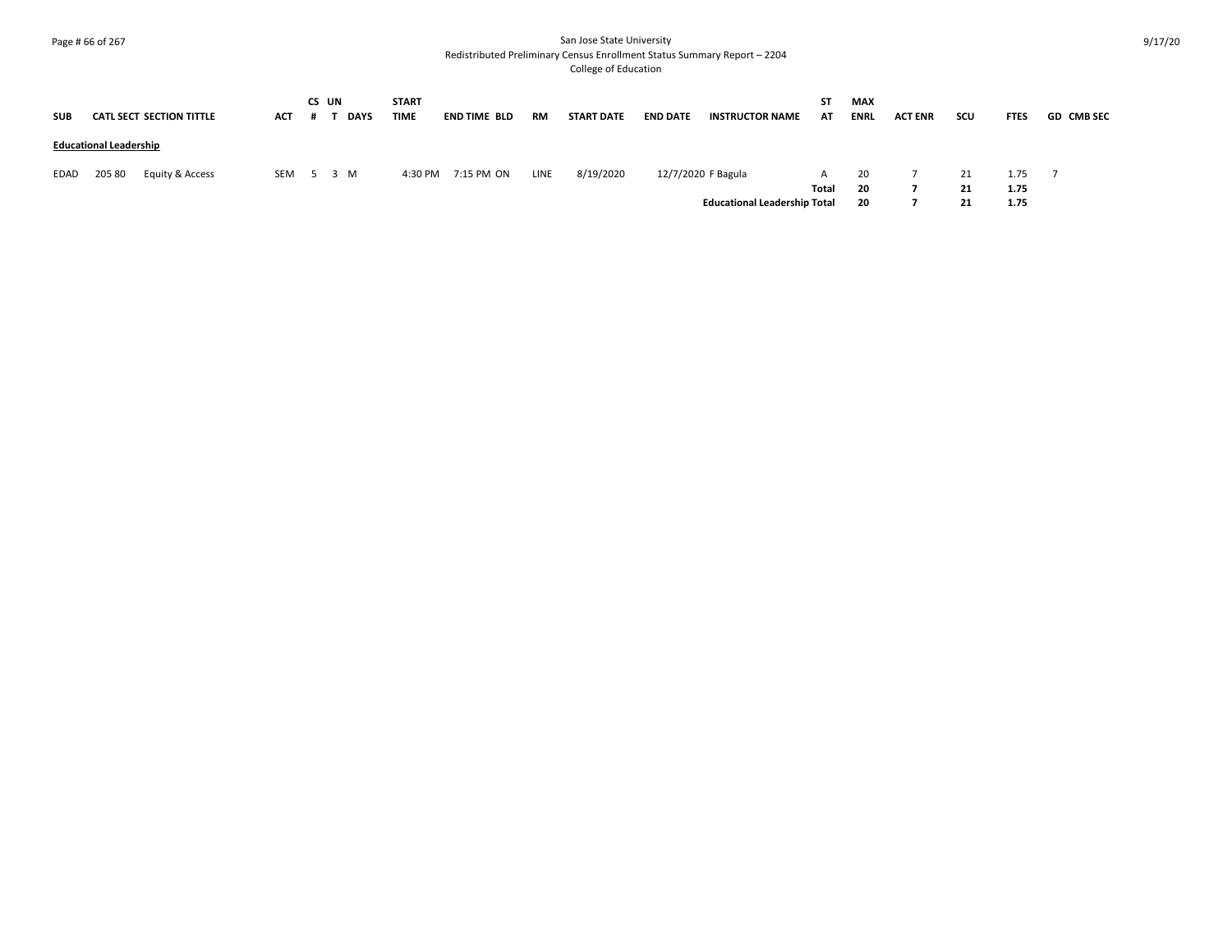# Page # 66 of 267 San Jose State University Redistributed Preliminary Census Enrollment Status Summary Report – 2204 College of Education

| <b>SUB</b> |                               | <b>CATL SECT SECTION TITTLE</b> | <b>ACT</b> | CS UN | <b>DAYS</b> | <b>START</b><br><b>TIME</b> | <b>END TIME BLD</b> | RM          | <b>START DATE</b> | <b>END DATE</b> | <b>INSTRUCTOR NAME</b>              | ST<br>AT | <b>MAX</b><br><b>ENRL</b> | <b>ACT ENR</b> | scu | <b>FTES</b> | <b>GD CMB SEC</b> |
|------------|-------------------------------|---------------------------------|------------|-------|-------------|-----------------------------|---------------------|-------------|-------------------|-----------------|-------------------------------------|----------|---------------------------|----------------|-----|-------------|-------------------|
|            | <b>Educational Leadership</b> |                                 |            |       |             |                             |                     |             |                   |                 |                                     |          |                           |                |     |             |                   |
| EDAD       | 205 80                        | Equity & Access                 | SEM        | 5 3 M |             | 4:30 PM                     | 7:15 PM ON          | <b>LINE</b> | 8/19/2020         |                 | 12/7/2020 F Bagula                  |          | 20                        |                | 21  | 1.75        |                   |
|            |                               |                                 |            |       |             |                             |                     |             |                   |                 |                                     | Total    | 20                        |                | 21  | 1.75        |                   |
|            |                               |                                 |            |       |             |                             |                     |             |                   |                 | <b>Educational Leadership Total</b> |          | 20                        |                |     | 1.75        |                   |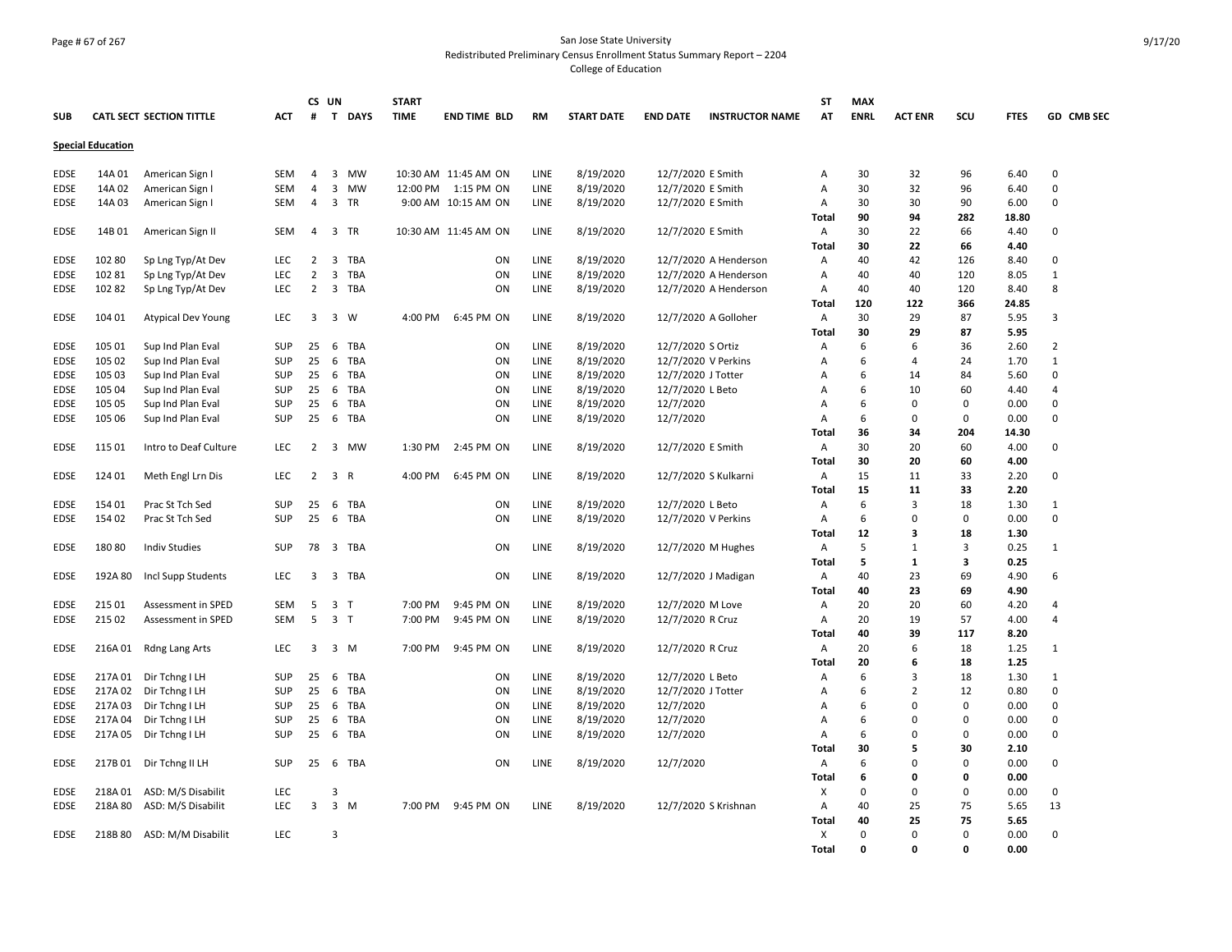# Page # 67 of 267 San Jose State University Redistributed Preliminary Census Enrollment Status Summary Report – 2204 College of Education

|             |                          |                                 |            |                | CS UN                   |              | <b>START</b> |                      |           |                   |                    |                        | <b>ST</b>    | <b>MAX</b>  |                      |             |              |                |
|-------------|--------------------------|---------------------------------|------------|----------------|-------------------------|--------------|--------------|----------------------|-----------|-------------------|--------------------|------------------------|--------------|-------------|----------------------|-------------|--------------|----------------|
| <b>SUB</b>  |                          | <b>CATL SECT SECTION TITTLE</b> | <b>ACT</b> | #              |                         | T DAYS       | <b>TIME</b>  | <b>END TIME BLD</b>  | <b>RM</b> | <b>START DATE</b> | <b>END DATE</b>    | <b>INSTRUCTOR NAME</b> | AT           | <b>ENRL</b> | <b>ACT ENR</b>       | SCU         | <b>FTES</b>  | GD CMB SEC     |
|             | <b>Special Education</b> |                                 |            |                |                         |              |              |                      |           |                   |                    |                        |              |             |                      |             |              |                |
| EDSE        | 14A 01                   | American Sign I                 | SEM        | 4              | 3                       | <b>MW</b>    |              | 10:30 AM 11:45 AM ON | LINE      | 8/19/2020         | 12/7/2020 E Smith  |                        | Α            | 30          | 32                   | 96          | 6.40         | $\Omega$       |
| EDSE        | 14A 02                   | American Sign I                 | SEM        | $\overline{4}$ | 3                       | MW           |              | 12:00 PM 1:15 PM ON  | LINE      | 8/19/2020         | 12/7/2020 E Smith  |                        | Α            | 30          | 32                   | 96          | 6.40         | $\Omega$       |
| <b>EDSE</b> | 14A 03                   | American Sign I                 | <b>SEM</b> | 4              | 3                       | <b>TR</b>    |              | 9:00 AM 10:15 AM ON  | LINE      | 8/19/2020         | 12/7/2020 E Smith  |                        | Α            | 30          | 30                   | 90          | 6.00         | $\Omega$       |
|             |                          |                                 |            |                |                         |              |              |                      |           |                   |                    |                        | <b>Total</b> | 90          | 94                   | 282         | 18.80        |                |
| EDSE        | 14B01                    | American Sign II                | SEM        | 4              | 3                       | TR           |              | 10:30 AM 11:45 AM ON | LINE      | 8/19/2020         | 12/7/2020 E Smith  |                        | Α            | 30          | 22                   | 66          | 4.40         | $\Omega$       |
|             |                          |                                 |            |                |                         |              |              |                      |           |                   |                    |                        | Total        | 30          | 22                   | 66          | 4.40         |                |
| EDSE        | 102 80                   | Sp Lng Typ/At Dev               | <b>LEC</b> | 2              | $\overline{\mathbf{3}}$ | TBA          |              | ON                   | LINE      | 8/19/2020         |                    | 12/7/2020 A Henderson  | Α            | 40          | 42                   | 126         | 8.40         | $\Omega$       |
| <b>EDSE</b> | 10281                    | Sp Lng Typ/At Dev               | <b>LEC</b> | 2              | 3                       | TBA          |              | ON                   | LINE      | 8/19/2020         |                    | 12/7/2020 A Henderson  | Α            | 40          | 40                   | 120         | 8.05         | 1              |
| <b>EDSE</b> | 10282                    | Sp Lng Typ/At Dev               | <b>LEC</b> | $\overline{2}$ |                         | 3 TBA        |              | ON                   | LINE      | 8/19/2020         |                    | 12/7/2020 A Henderson  | Α            | 40          | 40                   | 120         | 8.40         | 8              |
|             |                          |                                 |            |                |                         |              |              |                      |           |                   |                    |                        | Total        | 120         | 122                  | 366         | 24.85        |                |
| EDSE        | 104 01                   | <b>Atypical Dev Young</b>       | LEC        | 3              | $\overline{\mathbf{3}}$ | W            | $4:00$ PM    | 6:45 PM ON           | LINE      | 8/19/2020         |                    | 12/7/2020 A Golloher   | Α            | 30          | 29                   | 87          | 5.95         | 3              |
|             |                          |                                 |            |                |                         |              |              |                      |           |                   |                    |                        | Total        | 30          | 29                   | 87          | 5.95         |                |
| EDSE        | 105 01                   | Sup Ind Plan Eval               | <b>SUP</b> | 25             | 6                       | <b>TBA</b>   |              | ON                   | LINE      | 8/19/2020         | 12/7/2020 S Ortiz  |                        | Α            | 6           | 6                    | 36          | 2.60         | $\overline{2}$ |
| <b>EDSE</b> | 105 02                   | Sup Ind Plan Eval               | <b>SUP</b> | 25             | 6                       | TBA          |              | ON                   | LINE      | 8/19/2020         |                    | 12/7/2020 V Perkins    | Α            | 6           | $\overline{4}$       | 24          | 1.70         | $\mathbf{1}$   |
| EDSE        | 105 03                   | Sup Ind Plan Eval               | <b>SUP</b> | 25             | 6                       | TBA          |              | ON                   | LINE      | 8/19/2020         | 12/7/2020 J Totter |                        | Α            | 6           | 14                   | 84          | 5.60         | $\Omega$       |
| <b>EDSE</b> | 105 04                   | Sup Ind Plan Eval               | <b>SUP</b> | 25             | 6                       | TBA          |              | ON                   | LINE      | 8/19/2020         | 12/7/2020 L Beto   |                        | Α            | 6           | 10                   | 60          | 4.40         | 4              |
| <b>EDSE</b> | 105 05                   | Sup Ind Plan Eval               | <b>SUP</b> | 25             | 6                       | TBA          |              | ON                   | LINE      | 8/19/2020         | 12/7/2020          |                        | Α            | 6           | $\mathbf 0$          | 0           | 0.00         | 0              |
| EDSE        | 105 06                   | Sup Ind Plan Eval               | <b>SUP</b> | 25             | 6                       | TBA          |              | ON                   | LINE      | 8/19/2020         | 12/7/2020          |                        | Α            | 6           | 0                    | 0           | 0.00         | $\Omega$       |
|             |                          |                                 |            |                |                         |              |              |                      |           |                   |                    |                        | Total        | 36          | 34                   | 204         | 14.30        |                |
| EDSE        | 115 01                   | Intro to Deaf Culture           | <b>LEC</b> | 2              | 3                       | MW           | 1:30 PM      | 2:45 PM ON           | LINE      | 8/19/2020         | 12/7/2020 E Smith  |                        | Α            | 30          | 20                   | 60          | 4.00         | $\Omega$       |
|             |                          |                                 |            |                |                         |              |              |                      |           |                   |                    |                        | <b>Total</b> | 30          | 20                   | 60          | 4.00         |                |
| <b>EDSE</b> | 124 01                   | Meth Engl Lrn Dis               | <b>LEC</b> | 2              | $\overline{3}$          | $\mathsf{R}$ | 4:00 PM      | 6:45 PM ON           | LINE      | 8/19/2020         |                    | 12/7/2020 S Kulkarni   | A            | 15          | 11                   | 33          | 2.20         | $\Omega$       |
|             |                          |                                 |            |                |                         |              |              |                      |           |                   |                    |                        | Total        | 15          | 11                   | 33          | 2.20         |                |
| <b>EDSE</b> | 154 01                   | Prac St Tch Sed                 | <b>SUP</b> | 25             | 6                       | TBA          |              | ON                   | LINE      | 8/19/2020         | 12/7/2020 L Beto   |                        | Α            | 6           | 3                    | 18          | 1.30         | 1              |
| EDSE        | 154 02                   | Prac St Tch Sed                 | <b>SUP</b> | 25             | 6                       | TBA          |              | ON                   | LINE      | 8/19/2020         |                    | 12/7/2020 V Perkins    | Α            | 6           | $\Omega$             | 0           | 0.00         | $\Omega$       |
|             |                          |                                 |            |                |                         |              |              |                      |           |                   |                    |                        | Total        | 12          | 3                    | 18          | 1.30         |                |
| <b>EDSE</b> | 18080                    | <b>Indiv Studies</b>            | <b>SUP</b> | 78             |                         | 3 TBA        |              | ON                   | LINE      | 8/19/2020         |                    | 12/7/2020 M Hughes     | А            | 5           | 1                    | 3           | 0.25         | 1              |
|             |                          |                                 |            |                |                         |              |              |                      |           |                   |                    |                        | <b>Total</b> | 5           | 1                    | 3           | 0.25         |                |
| EDSE        | 192A 80                  |                                 | LEC        | 3              |                         | 3 TBA        |              | ON                   | LINE      | 8/19/2020         |                    | 12/7/2020 J Madigan    |              | 40          | 23                   | 69          | 4.90         | 6              |
|             |                          | Incl Supp Students              |            |                |                         |              |              |                      |           |                   |                    |                        | Α<br>Total   | 40          | 23                   | 69          | 4.90         |                |
| EDSE        | 215 01                   | Assessment in SPED              | SEM        | 5              | $\overline{\mathbf{3}}$ | $\top$       | 7:00 PM      | 9:45 PM ON           | LINE      | 8/19/2020         | 12/7/2020 M Love   |                        | Α            | 20          | 20                   | 60          | 4.20         | 4              |
| <b>EDSE</b> | 215 02                   | <b>Assessment in SPED</b>       | <b>SEM</b> | 5              | 3 <sub>T</sub>          |              | 7:00 PM      | 9:45 PM ON           | LINE      |                   |                    |                        | Α            | 20          | 19                   | 57          | 4.00         | $\overline{4}$ |
|             |                          |                                 |            |                |                         |              |              |                      |           | 8/19/2020         | 12/7/2020 R Cruz   |                        | Total        | 40          | 39                   | 117         | 8.20         |                |
|             |                          |                                 |            | 3              |                         | 3 M          | 7:00 PM      |                      |           |                   |                    |                        |              | 20          | 6                    |             |              |                |
| EDSE        | 216A 01                  | Rdng Lang Arts                  | LEC        |                |                         |              |              | 9:45 PM ON           | LINE      | 8/19/2020         | 12/7/2020 R Cruz   |                        | А            |             | 6                    | 18          | 1.25         | 1              |
|             |                          |                                 |            | 25             |                         |              |              |                      | LINE      |                   |                    |                        | Total        | 20          | 3                    | 18          | 1.25<br>1.30 |                |
| EDSE        | 217A 01                  | Dir Tchng I LH                  | <b>SUP</b> |                | 6                       | TBA          |              | ON                   | LINE      | 8/19/2020         | 12/7/2020 L Beto   |                        | Α            | 6           |                      | 18          |              | 1<br>$\Omega$  |
| <b>EDSE</b> | 217A 02                  | Dir Tchng I LH                  | <b>SUP</b> | 25             | 6                       | TBA          |              | ON                   |           | 8/19/2020         | 12/7/2020 J Totter |                        | Α            | 6           | $\overline{2}$       | 12          | 0.80         |                |
| EDSE        | 217A 03                  | Dir Tchng I LH                  | <b>SUP</b> | 25             | 6                       | <b>TBA</b>   |              | ON                   | LINE      | 8/19/2020         | 12/7/2020          |                        | A            | 6           | $\Omega$<br>$\Omega$ | $\mathbf 0$ | 0.00         | $\Omega$       |
| <b>EDSE</b> | 217A 04                  | Dir Tchng I LH                  | <b>SUP</b> | 25             | 6                       | <b>TBA</b>   |              | ON                   | LINE      | 8/19/2020         | 12/7/2020          |                        | Α            | 6           |                      | $\mathbf 0$ | 0.00         | $\Omega$       |
| EDSE        | 217A 05                  | Dir Tchng I LH                  | <b>SUP</b> | 25             | 6                       | TBA          |              | ON                   | LINE      | 8/19/2020         | 12/7/2020          |                        | Α            | 6           | $\Omega$             | $\Omega$    | 0.00         | $\Omega$       |
|             |                          |                                 |            |                |                         |              |              |                      |           |                   |                    |                        | Total        | 30          | 5                    | 30          | 2.10         |                |
| EDSE        | 217B 01                  | Dir Tchng II LH                 | <b>SUP</b> | 25             | 6                       | TBA          |              | ON                   | LINE      | 8/19/2020         | 12/7/2020          |                        | Α            | 6           | $\Omega$             | 0           | 0.00         | 0              |
|             |                          |                                 |            |                |                         |              |              |                      |           |                   |                    |                        | Total        | 6           | 0                    | 0           | 0.00         |                |
| EDSE        | 218A01                   | ASD: M/S Disabilit              | LEC        |                | 3                       |              |              |                      |           |                   |                    |                        | х            | $\Omega$    | $\Omega$             | $\mathbf 0$ | 0.00         | $\Omega$       |
| EDSE        | 218A 80                  | ASD: M/S Disabilit              | LEC        | 3              |                         | $3 \, M$     | 7:00 PM      | 9:45 PM ON           | LINE      | 8/19/2020         |                    | 12/7/2020 S Krishnan   | Α            | 40          | 25                   | 75          | 5.65         | 13             |
|             |                          |                                 |            |                |                         |              |              |                      |           |                   |                    |                        | Total        | 40          | 25                   | 75          | 5.65         |                |
| EDSE        | 218B 80                  | ASD: M/M Disabilit              | <b>LEC</b> |                | 3                       |              |              |                      |           |                   |                    |                        | Х            | $\Omega$    | $\Omega$             | 0           | 0.00         | $\Omega$       |
|             |                          |                                 |            |                |                         |              |              |                      |           |                   |                    |                        | <b>Total</b> | $\Omega$    | $\Omega$             | $\Omega$    | 0.00         |                |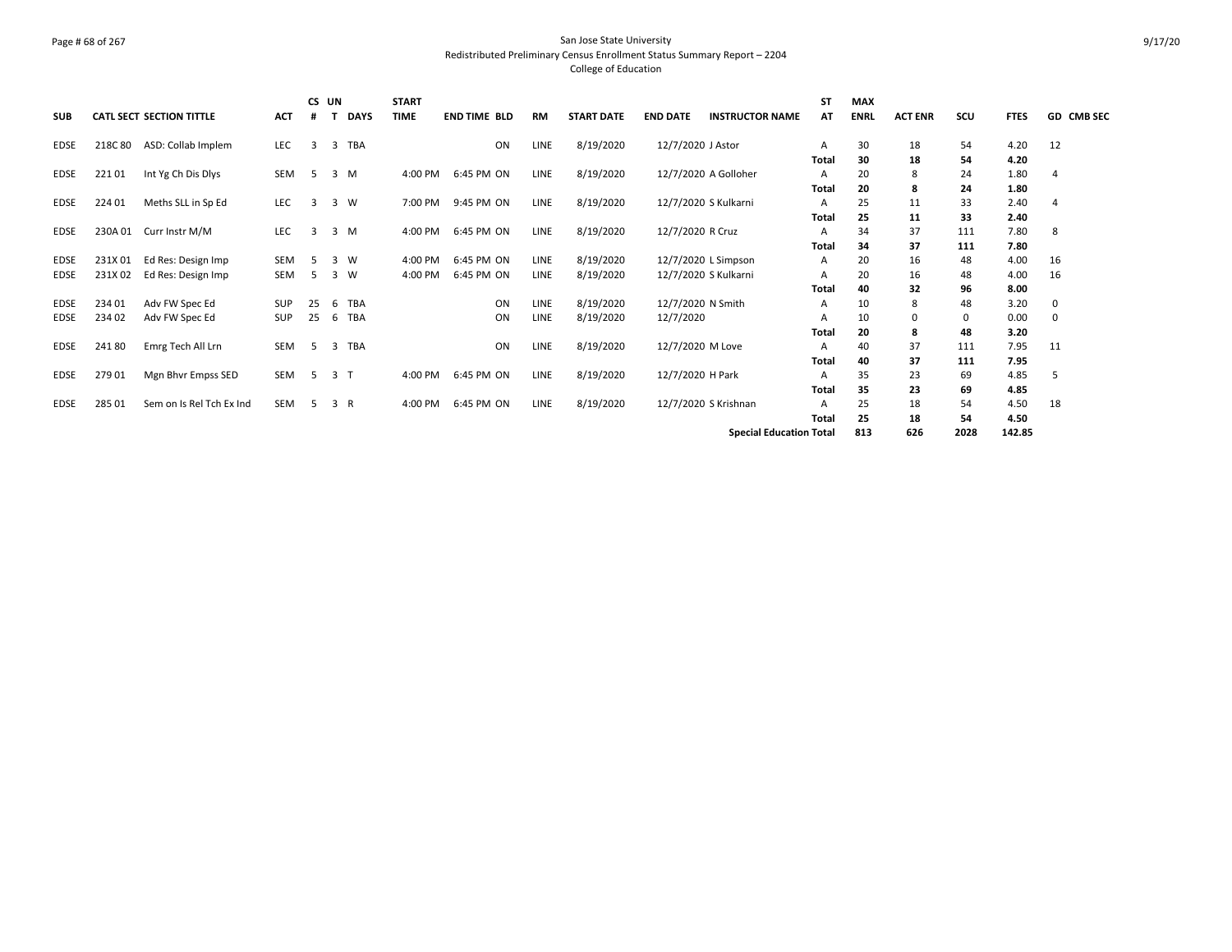#### Page # 68 of 267 San Jose State University Redistributed Preliminary Census Enrollment Status Summary Report – 2204 College of Education

| <b>SUB</b>  |                                | <b>CATL SECT SECTION TITTLE</b> | <b>ACT</b> | CS UN          |                | <b>DAYS</b> | <b>START</b><br><b>TIME</b> | <b>END TIME BLD</b> | <b>RM</b>   | <b>START DATE</b> | <b>END DATE</b>      | <b>INSTRUCTOR NAME</b> | <b>ST</b><br>AT | <b>MAX</b><br><b>ENRL</b> | <b>ACT ENR</b> | scu  | <b>FTES</b> | <b>GD CMB SEC</b> |
|-------------|--------------------------------|---------------------------------|------------|----------------|----------------|-------------|-----------------------------|---------------------|-------------|-------------------|----------------------|------------------------|-----------------|---------------------------|----------------|------|-------------|-------------------|
| <b>EDSE</b> | 218C 80                        | ASD: Collab Implem              | LEC        | $\overline{3}$ | 3              | TBA         |                             | ON                  | LINE        | 8/19/2020         | 12/7/2020 J Astor    |                        | A               | 30                        | 18             | 54   | 4.20        | 12                |
|             |                                |                                 |            |                |                |             |                             |                     |             |                   |                      |                        | <b>Total</b>    | 30                        | 18             | 54   | 4.20        |                   |
| <b>EDSE</b> | 22101                          | Int Yg Ch Dis Dlys              | SEM        | -5             |                | 3 M         | 4:00 PM                     | 6:45 PM ON          | <b>LINE</b> | 8/19/2020         | 12/7/2020 A Golloher |                        | A               | 20                        | 8              | 24   | 1.80        | 4                 |
|             |                                |                                 |            |                |                |             |                             |                     |             |                   |                      |                        | Total           | 20                        | 8              | 24   | 1.80        |                   |
| <b>EDSE</b> | 224 01                         | Meths SLL in Sp Ed              | LEC        | 3              |                | 3 W         | 7:00 PM                     | 9:45 PM ON          | LINE        | 8/19/2020         | 12/7/2020 S Kulkarni |                        | A               | 25                        | 11             | 33   | 2.40        | 4                 |
|             |                                |                                 |            |                |                |             |                             |                     |             |                   |                      |                        | <b>Total</b>    | 25                        | 11             | 33   | 2.40        |                   |
| <b>EDSE</b> | 230A 01                        | Curr Instr M/M                  | LEC        | 3              |                | 3 M         | 4:00 PM                     | 6:45 PM ON          | LINE        | 8/19/2020         | 12/7/2020 R Cruz     |                        | A               | 34                        | 37             | 111  | 7.80        | 8                 |
|             |                                |                                 |            |                |                |             |                             |                     |             |                   |                      |                        | Total           | 34                        | 37             | 111  | 7.80        |                   |
| <b>EDSE</b> | 231X 01                        | Ed Res: Design Imp              | <b>SEM</b> | -5             | 3              | W           | 4:00 PM                     | 6:45 PM ON          | <b>LINE</b> | 8/19/2020         | 12/7/2020 L Simpson  |                        | A               | 20                        | 16             | 48   | 4.00        | 16                |
| <b>EDSE</b> | 231X02                         | Ed Res: Design Imp              | SEM        | .5             | 3              | W           | 4:00 PM                     | 6:45 PM ON          | <b>LINE</b> | 8/19/2020         | 12/7/2020 S Kulkarni |                        | A               | 20                        | 16             | 48   | 4.00        | 16                |
|             |                                |                                 |            |                |                |             |                             |                     |             |                   |                      |                        | Total           | 40                        | 32             | 96   | 8.00        |                   |
| <b>EDSE</b> | 234 01                         | Adv FW Spec Ed                  | SUP        | 25             | 6              | TBA         |                             | ON                  | LINE        | 8/19/2020         | 12/7/2020 N Smith    |                        | A               | 10                        | 8              | 48   | 3.20        | 0                 |
| <b>EDSE</b> | 234 02                         | Adv FW Spec Ed                  | SUP        | 25             | 6              | TBA         |                             | ON                  | LINE        | 8/19/2020         | 12/7/2020            |                        | A               | 10                        |                | 0    | 0.00        | 0                 |
|             |                                |                                 |            |                |                |             |                             |                     |             |                   |                      |                        | <b>Total</b>    | 20                        | 8              | 48   | 3.20        |                   |
| <b>EDSE</b> | 24180                          | Emrg Tech All Lrn               | <b>SEM</b> | - 5            | 3              | <b>TBA</b>  |                             | ON                  | LINE        | 8/19/2020         | 12/7/2020 M Love     |                        | A               | 40                        | 37             | 111  | 7.95        | 11                |
|             |                                |                                 |            |                |                |             |                             |                     |             |                   |                      |                        | Total           | 40                        | 37             | 111  | 7.95        |                   |
| <b>EDSE</b> | 27901                          | Mgn Bhvr Empss SED              | SEM        | -5             | 3 <sub>T</sub> |             | 4:00 PM                     | 6:45 PM ON          | LINE        | 8/19/2020         | 12/7/2020 H Park     |                        | A               | 35                        | 23             | 69   | 4.85        | 5                 |
|             |                                |                                 |            |                |                |             |                             |                     |             |                   |                      |                        | Total           | 35                        | 23             | 69   | 4.85        |                   |
| <b>EDSE</b> | 285 01                         | Sem on Is Rel Tch Ex Ind        | SEM        | -5             | 3 R            |             | 4:00 PM                     | 6:45 PM ON          | LINE        | 8/19/2020         | 12/7/2020 S Krishnan |                        | A               | 25                        | 18             | 54   | 4.50        | 18                |
|             |                                |                                 |            |                |                |             |                             |                     |             |                   |                      |                        | Total           | 25                        | 18             | 54   | 4.50        |                   |
|             |                                |                                 |            |                |                |             |                             |                     |             |                   |                      |                        |                 | 813                       | 626            | 2028 | 142.85      |                   |
|             | <b>Special Education Total</b> |                                 |            |                |                |             |                             |                     |             |                   |                      |                        |                 |                           |                |      |             |                   |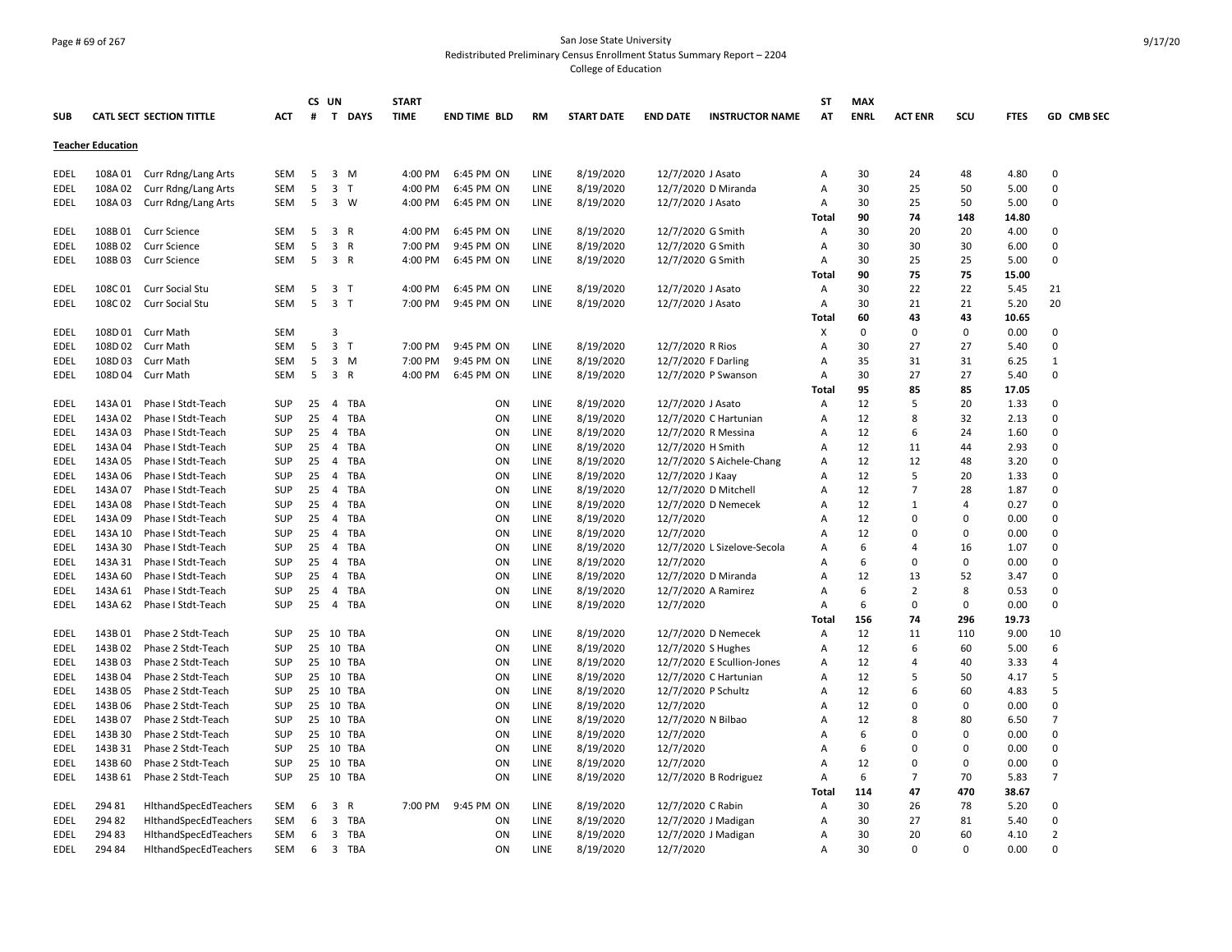# Page # 69 of 267 San Jose State University Redistributed Preliminary Census Enrollment Status Summary Report – 2204 College of Education

|                          |         |                                 |            |    | CS UN                   |              | <b>START</b> |                     |             |                   |                   |                             | ST           | <b>MAX</b>  |                |             |               |                          |
|--------------------------|---------|---------------------------------|------------|----|-------------------------|--------------|--------------|---------------------|-------------|-------------------|-------------------|-----------------------------|--------------|-------------|----------------|-------------|---------------|--------------------------|
| <b>SUB</b>               |         | <b>CATL SECT SECTION TITTLE</b> | ACT        | #  |                         | T DAYS       | <b>TIME</b>  | <b>END TIME BLD</b> | <b>RM</b>   | <b>START DATE</b> | <b>END DATE</b>   | <b>INSTRUCTOR NAME</b>      | AT           | <b>ENRL</b> | <b>ACT ENR</b> | scu         | <b>FTES</b>   | GD CMB SEC               |
| <b>Teacher Education</b> |         |                                 |            |    |                         |              |              |                     |             |                   |                   |                             |              |             |                |             |               |                          |
| EDEL                     | 108A 01 | Curr Rdng/Lang Arts             | SEM        | 5  |                         | 3 M          | 4:00 PM      | 6:45 PM ON          | LINE        | 8/19/2020         | 12/7/2020 J Asato |                             | Α            | 30          | 24             | 48          | 4.80          | 0                        |
| EDEL                     | 108A 02 | Curr Rdng/Lang Arts             | SEM        | 5  | $\overline{3}$          | $\mathsf{T}$ | 4:00 PM      | 6:45 PM ON          | LINE        | 8/19/2020         |                   | 12/7/2020 D Miranda         | А            | 30          | 25             | 50          | 5.00          | $\Omega$                 |
| EDEL                     | 108A03  | Curr Rdng/Lang Arts             | <b>SEM</b> | 5  |                         | 3 W          | 4:00 PM      | 6:45 PM ON          | <b>LINE</b> | 8/19/2020         | 12/7/2020 J Asato |                             | Α            | 30          | 25             | 50          | 5.00          | $\Omega$                 |
|                          |         |                                 |            |    |                         |              |              |                     |             |                   |                   |                             | Total        | 90          | 74             | 148         | 14.80         |                          |
| EDEL                     | 108B01  | <b>Curr Science</b>             | <b>SEM</b> | 5  | $\overline{\mathbf{3}}$ | R            | 4:00 PM      | 6:45 PM ON          | <b>LINE</b> | 8/19/2020         | 12/7/2020 G Smith |                             | Α            | 30          | 20             | 20          | 4.00          | $\Omega$                 |
| EDEL                     | 108B02  | <b>Curr Science</b>             | <b>SEM</b> | 5  | $\overline{\mathbf{3}}$ | $\mathsf{R}$ | 7:00 PM      | 9:45 PM ON          | LINE        | 8/19/2020         | 12/7/2020 G Smith |                             | Α            | 30          | 30             | 30          | 6.00          | $\Omega$                 |
| <b>EDEL</b>              | 108B03  |                                 | <b>SEM</b> | 5  | 3 R                     |              | 4:00 PM      | 6:45 PM ON          | LINE        | 8/19/2020         | 12/7/2020 G Smith |                             | A            | 30          | 25             | 25          | 5.00          | $\Omega$                 |
|                          |         | <b>Curr Science</b>             |            |    |                         |              |              |                     |             |                   |                   |                             | <b>Total</b> | 90          | 75             | 75          | 15.00         |                          |
|                          | 108C01  |                                 |            | 5  | $\overline{\mathbf{3}}$ | $\top$       | 4:00 PM      | 6:45 PM ON          | LINE        | 8/19/2020         | 12/7/2020 J Asato |                             |              | 30          | 22             | 22          |               | 21                       |
| EDEL                     | 108C02  | <b>Curr Social Stu</b>          | SEM        |    | $\overline{\mathbf{3}}$ |              |              |                     |             |                   |                   |                             | Α            | 30          |                |             | 5.45          | 20                       |
| <b>EDEL</b>              |         | Curr Social Stu                 | SEM        | 5  |                         | $\top$       | 7:00 PM      | 9:45 PM ON          | LINE        | 8/19/2020         | 12/7/2020 J Asato |                             | Α<br>Total   | 60          | 21<br>43       | 21<br>43    | 5.20<br>10.65 |                          |
|                          |         |                                 |            |    | 3                       |              |              |                     |             |                   |                   |                             |              | $\mathbf 0$ | $\mathbf 0$    | $\mathbf 0$ |               |                          |
| <b>EDEL</b>              |         | 108D 01 Curr Math               | <b>SEM</b> |    |                         |              |              |                     |             |                   |                   |                             | Х            |             |                |             | 0.00          | $\Omega$<br>$\Omega$     |
| <b>EDEL</b>              |         | 108D 02 Curr Math               | <b>SEM</b> | 5  | $\overline{\mathbf{3}}$ | $\mathsf{T}$ | 7:00 PM      | 9:45 PM ON          | LINE        | 8/19/2020         | 12/7/2020 R Rios  |                             | Α            | 30          | 27             | 27          | 5.40          |                          |
| <b>EDEL</b>              | 108D03  | <b>Curr Math</b>                | <b>SEM</b> | 5  | $\overline{\mathbf{3}}$ | M            | 7:00 PM      | 9:45 PM ON          | LINE        | 8/19/2020         |                   | 12/7/2020 F Darling         | Α            | 35          | 31             | 31          | 6.25          | $\mathbf{1}$<br>$\Omega$ |
| <b>EDEL</b>              | 108D 04 | Curr Math                       | SEM        | 5  | $\overline{\mathbf{3}}$ | R            | 4:00 PM      | 6:45 PM ON          | LINE        | 8/19/2020         |                   | 12/7/2020 P Swanson         | А            | 30          | 27             | 27          | 5.40          |                          |
|                          |         |                                 |            |    |                         |              |              |                     |             |                   |                   |                             | Tota         | 95          | 85             | 85          | 17.05         |                          |
| EDEL                     | 143A 01 | Phase I Stdt-Teach              | <b>SUP</b> | 25 |                         | 4 TBA        |              | ON                  | LINE        | 8/19/2020         | 12/7/2020 J Asato |                             | Α            | 12          | 5              | 20          | 1.33          | $\Omega$                 |
| EDEL                     | 143A 02 | Phase I Stdt-Teach              | <b>SUP</b> | 25 | $\overline{4}$          | <b>TBA</b>   |              | ON                  | LINE        | 8/19/2020         |                   | 12/7/2020 C Hartunian       | Α            | 12          | 8              | 32          | 2.13          | $\Omega$                 |
| EDEL                     | 143A 03 | Phase I Stdt-Teach              | <b>SUP</b> | 25 | $\overline{4}$          | TBA          |              | ON                  | LINE        | 8/19/2020         |                   | 12/7/2020 R Messina         | Α            | 12          | 6              | 24          | 1.60          | $\Omega$                 |
| EDEL                     | 143A 04 | Phase I Stdt-Teach              | <b>SUP</b> | 25 | $\overline{4}$          | TBA          |              | ON                  | LINE        | 8/19/2020         | 12/7/2020 H Smith |                             | А            | 12          | 11             | 44          | 2.93          | $\Omega$                 |
| EDEL                     | 143A 05 | Phase I Stdt-Teach              | <b>SUP</b> | 25 | $\overline{4}$          | <b>TBA</b>   |              | ON                  | LINE        | 8/19/2020         |                   | 12/7/2020 S Aichele-Chang   | A            | 12          | 12             | 48          | 3.20          | $\Omega$                 |
| EDEL                     | 143A 06 | Phase I Stdt-Teach              | <b>SUP</b> | 25 | $\overline{4}$          | TBA          |              | ON                  | LINE        | 8/19/2020         | 12/7/2020 J Kaay  |                             | A            | 12          | 5              | 20          | 1.33          | $\Omega$                 |
| EDEL                     | 143A 07 | Phase I Stdt-Teach              | <b>SUP</b> | 25 | $\overline{4}$          | <b>TBA</b>   |              | ON                  | LINE        | 8/19/2020         |                   | 12/7/2020 D Mitchell        | Α            | 12          | $\overline{7}$ | 28          | 1.87          | $\Omega$                 |
| EDEL                     | 143A 08 | Phase I Stdt-Teach              | <b>SUP</b> | 25 | $\overline{4}$          | TBA          |              | ON                  | LINE        | 8/19/2020         |                   | 12/7/2020 D Nemecek         | А            | 12          | 1              | 4           | 0.27          | $\Omega$                 |
| EDEL                     | 143A 09 | Phase I Stdt-Teach              | <b>SUP</b> | 25 | 4                       | TBA          |              | ON                  | LINE        | 8/19/2020         | 12/7/2020         |                             | Α            | 12          | $\Omega$       | $\Omega$    | 0.00          | $\Omega$                 |
| EDEL                     | 143A 10 | Phase I Stdt-Teach              | <b>SUP</b> | 25 | $\overline{4}$          | TBA          |              | ON                  | LINE        | 8/19/2020         | 12/7/2020         |                             | A            | 12          | $\Omega$       | 0           | 0.00          | $\Omega$                 |
| EDEL                     | 143A 30 | Phase I Stdt-Teach              | <b>SUP</b> | 25 | $\overline{4}$          | TBA          |              | ON                  | <b>LINE</b> | 8/19/2020         |                   | 12/7/2020 L Sizelove-Secola | Α            | 6           | 4              | 16          | 1.07          | $\Omega$                 |
| EDEL                     | 143A 31 | Phase I Stdt-Teach              | <b>SUP</b> | 25 | $\overline{4}$          | <b>TBA</b>   |              | ON                  | LINE        | 8/19/2020         | 12/7/2020         |                             | Α            | 6           | $\Omega$       | $\mathbf 0$ | 0.00          | $\Omega$                 |
| EDEL                     | 143A 60 | Phase I Stdt-Teach              | <b>SUP</b> | 25 | $\overline{4}$          | TBA          |              | ON                  | LINE        | 8/19/2020         |                   | 12/7/2020 D Miranda         | A            | 12          | 13             | 52          | 3.47          | $\Omega$                 |
| EDEL                     | 143A 61 | Phase I Stdt-Teach              | <b>SUP</b> | 25 | $\overline{4}$          | TBA          |              | ON                  | LINE        | 8/19/2020         |                   | 12/7/2020 A Ramirez         | А            | 6           | $\overline{2}$ | 8           | 0.53          | $\Omega$                 |
| <b>EDEL</b>              | 143A 62 | Phase I Stdt-Teach              | <b>SUP</b> | 25 |                         | 4 TBA        |              | ON                  | LINE        | 8/19/2020         | 12/7/2020         |                             | Α            | 6           | 0              | $\pmb{0}$   | 0.00          | $\Omega$                 |
|                          |         |                                 |            |    |                         |              |              |                     |             |                   |                   |                             | Total        | 156         | 74             | 296         | 19.73         |                          |
| EDEL                     | 143B 01 | Phase 2 Stdt-Teach              | <b>SUP</b> | 25 |                         | 10 TBA       |              | ON                  | LINE        | 8/19/2020         |                   | 12/7/2020 D Nemecek         | Α            | 12          | 11             | 110         | 9.00          | 10                       |
| EDEL                     | 143B 02 | Phase 2 Stdt-Teach              | <b>SUP</b> |    |                         | 25 10 TBA    |              | ON                  | LINE        | 8/19/2020         |                   | 12/7/2020 S Hughes          | Α            | 12          | 6              | 60          | 5.00          | 6                        |
| EDEL                     | 143B03  | Phase 2 Stdt-Teach              | <b>SUP</b> | 25 |                         | 10 TBA       |              | ON                  | LINE        | 8/19/2020         |                   | 12/7/2020 E Scullion-Jones  | Α            | 12          | $\overline{a}$ | 40          | 3.33          | $\overline{a}$           |
| EDEL                     | 143B 04 | Phase 2 Stdt-Teach              | <b>SUP</b> | 25 |                         | 10 TBA       |              | ON                  | LINE        | 8/19/2020         |                   | 12/7/2020 C Hartunian       | Α            | 12          | 5              | 50          | 4.17          | 5                        |
| <b>EDEL</b>              | 143B 05 | Phase 2 Stdt-Teach              | <b>SUP</b> | 25 |                         | 10 TBA       |              | ON                  | LINE        | 8/19/2020         |                   | 12/7/2020 P Schultz         | А            | 12          | 6              | 60          | 4.83          | 5                        |
| EDEL                     | 143B 06 | Phase 2 Stdt-Teach              | <b>SUP</b> | 25 | 10                      | TBA          |              | ON                  | LINE        | 8/19/2020         | 12/7/2020         |                             | Α            | 12          | $\Omega$       | $\Omega$    | 0.00          | $\Omega$                 |
| EDEL                     | 143B 07 | Phase 2 Stdt-Teach              | <b>SUP</b> |    |                         | 25 10 TBA    |              | ON                  | LINE        | 8/19/2020         |                   | 12/7/2020 N Bilbao          | Α            | 12          | 8              | 80          | 6.50          | 7                        |
| <b>EDEL</b>              | 143B 30 | Phase 2 Stdt-Teach              | <b>SUP</b> | 25 |                         | 10 TBA       |              | ON                  | LINE        | 8/19/2020         | 12/7/2020         |                             | А            | 6           | $\Omega$       | $\Omega$    | 0.00          | $\Omega$                 |
| <b>EDEL</b>              | 143B 31 | Phase 2 Stdt-Teach              | <b>SUP</b> | 25 | 10                      | TBA          |              | ON                  | LINE        | 8/19/2020         | 12/7/2020         |                             | Α            | 6           | $\Omega$       | 0           | 0.00          | $\Omega$                 |
| <b>EDEL</b>              | 143B 60 | Phase 2 Stdt-Teach              | <b>SUP</b> | 25 | 10                      | TBA          |              | ON                  | LINE        | 8/19/2020         | 12/7/2020         |                             | A            | 12          | $\Omega$       | 0           | 0.00          | $\Omega$                 |
| EDEL                     | 143B 61 | Phase 2 Stdt-Teach              | <b>SUP</b> |    |                         | 25 10 TBA    |              | ON                  | LINE        | 8/19/2020         |                   | 12/7/2020 B Rodriguez       | Α            | 6           | $\overline{7}$ | 70          | 5.83          | $\overline{7}$           |
|                          |         |                                 |            |    |                         |              |              |                     |             |                   |                   |                             | Total        | 114         | 47             | 470         | 38.67         |                          |
| EDEL                     | 294 81  | HithandSpecEdTeachers           | SEM        | 6  | $\overline{3}$          | $\mathsf{R}$ |              | 7:00 PM 9:45 PM ON  | LINE        | 8/19/2020         | 12/7/2020 C Rabin |                             | Α            | 30          | 26             | 78          | 5.20          | $\Omega$                 |
| EDEL                     | 294 82  | HithandSpecEdTeachers           | SEM        | 6  | $\overline{\mathbf{3}}$ | TBA          |              | ON                  | LINE        | 8/19/2020         |                   | 12/7/2020 J Madigan         | Α            | 30          | 27             | 81          | 5.40          | $\Omega$                 |
| <b>EDEL</b>              | 294 83  | HithandSpecEdTeachers           | SEM        | 6  | 3                       | TBA          |              | ON                  | LINE        | 8/19/2020         |                   | 12/7/2020 J Madigan         | А            | 30          | 20             | 60          | 4.10          | $\overline{2}$           |
| <b>EDEL</b>              | 294 84  | HithandSpecEdTeachers           | <b>SEM</b> | 6  |                         | 3 TBA        |              | ON                  | LINE        | 8/19/2020         | 12/7/2020         |                             | A            | 30          | $\Omega$       | $\Omega$    | 0.00          | $\Omega$                 |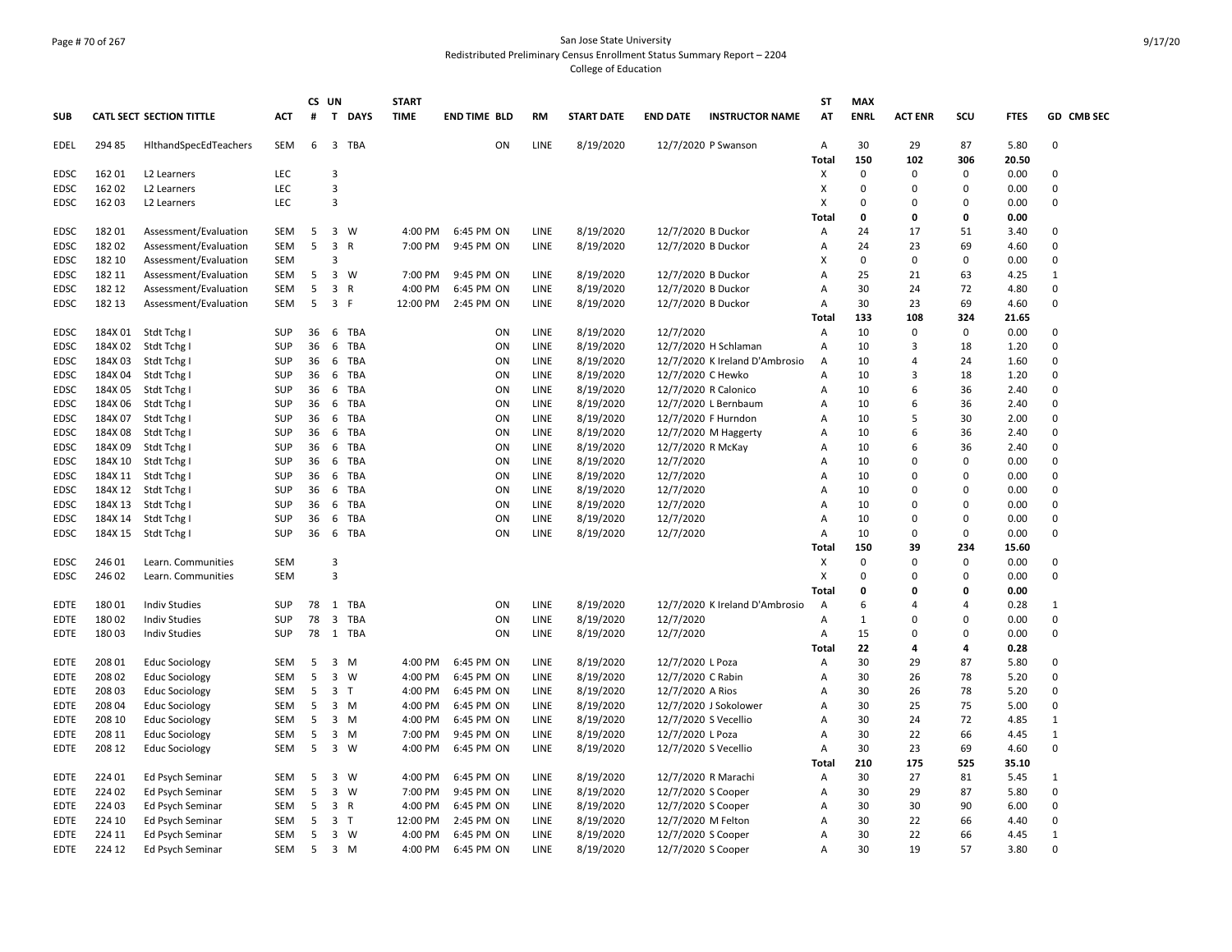# Page # 70 of 267 San Jose State University Redistributed Preliminary Census Enrollment Status Summary Report – 2204 College of Education

| <b>SUB</b>  |         |                          |            |    |                         |             |             |                     |             |                   |                    |                                | <b>ST</b>      | <b>MAX</b>  |                |                |             |              |
|-------------|---------|--------------------------|------------|----|-------------------------|-------------|-------------|---------------------|-------------|-------------------|--------------------|--------------------------------|----------------|-------------|----------------|----------------|-------------|--------------|
|             |         | CATL SECT SECTION TITTLE | ACT        | #  | T                       | <b>DAYS</b> | <b>TIME</b> | <b>END TIME BLD</b> | RM          | <b>START DATE</b> | <b>END DATE</b>    | <b>INSTRUCTOR NAME</b>         | AT             | <b>ENRL</b> | <b>ACT ENR</b> | SCU            | <b>FTES</b> | GD CMB SEC   |
| EDEL        | 29485   | HithandSpecEdTeachers    | SEM        | 6  |                         | 3 TBA       |             | ON                  | <b>LINE</b> | 8/19/2020         |                    | 12/7/2020 P Swanson            | Α              | 30          | 29             | 87             | 5.80        | 0            |
|             |         |                          |            |    |                         |             |             |                     |             |                   |                    |                                | Total          | 150         | 102            | 306            | 20.50       |              |
| <b>EDSC</b> | 16201   | L <sub>2</sub> Learners  | LEC        |    | $\overline{3}$          |             |             |                     |             |                   |                    |                                | х              | $\Omega$    | $\Omega$       | $\mathbf 0$    | 0.00        | $\Omega$     |
| <b>EDSC</b> | 162 02  | L2 Learners              | LEC        |    | $\overline{\mathbf{3}}$ |             |             |                     |             |                   |                    |                                | X              | 0           | $\Omega$       | $\mathbf 0$    | 0.00        | 0            |
| <b>EDSC</b> | 16203   | L2 Learners              | LEC        |    | 3                       |             |             |                     |             |                   |                    |                                | х              | 0           | 0              | 0              | 0.00        | 0            |
|             |         |                          |            |    |                         |             |             |                     |             |                   |                    |                                | Total          | 0           | 0              | 0              | 0.00        |              |
| <b>EDSC</b> | 18201   | Assessment/Evaluation    | SEM        | 5  |                         | 3 W         | 4:00 PM     | 6:45 PM ON          | LINE        | 8/19/2020         |                    | 12/7/2020 B Duckor             | Α              | 24          | 17             | 51             | 3.40        | 0            |
| <b>EDSC</b> | 18202   | Assessment/Evaluation    | <b>SEM</b> | 5  | 3                       | R           | 7:00 PM     | 9:45 PM ON          | LINE        | 8/19/2020         | 12/7/2020 B Duckor |                                | Α              | 24          | 23             | 69             | 4.60        | 0            |
| <b>EDSC</b> | 182 10  | Assessment/Evaluation    | <b>SEM</b> |    | 3                       |             |             |                     |             |                   |                    |                                | X              | $\mathbf 0$ | $\Omega$       | $\mathbf 0$    | 0.00        | 0            |
| EDSC        | 182 11  | Assessment/Evaluation    | SEM        | 5  | $\overline{3}$          | W           | 7:00 PM     | 9:45 PM ON          | LINE        | 8/19/2020         | 12/7/2020 B Duckor |                                | A              | 25          | 21             | 63             | 4.25        | $\mathbf{1}$ |
| EDSC        | 182 12  | Assessment/Evaluation    | SEM        | 5  | $\overline{\mathbf{3}}$ | R           | 4:00 PM     | 6:45 PM ON          | LINE        | 8/19/2020         | 12/7/2020 B Duckor |                                | Α              | 30          | 24             | 72             | 4.80        | 0            |
| EDSC        | 182 13  | Assessment/Evaluation    | SEM        | 5  | 3 F                     |             | 12:00 PM    | 2:45 PM ON          | LINE        | 8/19/2020         | 12/7/2020 B Duckor |                                | A              | 30          | 23             | 69             | 4.60        | 0            |
|             |         |                          |            |    |                         |             |             |                     |             |                   |                    |                                | Total          | 133         | 108            | 324            | 21.65       |              |
| <b>EDSC</b> | 184X 01 | Stdt Tchg I              | <b>SUP</b> | 36 |                         | 6 TBA       |             | ON                  | LINE        | 8/19/2020         | 12/7/2020          |                                | A              | 10          | $\Omega$       | $\mathbf 0$    | 0.00        | 0            |
| EDSC        | 184X 02 | Stdt Tchg                | <b>SUP</b> | 36 | 6                       | TBA         |             | ON                  | LINE        | 8/19/2020         |                    | 12/7/2020 H Schlaman           | A              | 10          | 3              | 18             | 1.20        | 0            |
| <b>EDSC</b> | 184X 03 | Stdt Tchg                | <b>SUP</b> | 36 | 6                       | TBA         |             | ON                  | <b>LINE</b> | 8/19/2020         |                    | 12/7/2020 K Ireland D'Ambrosio | A              | 10          | $\overline{a}$ | 24             | 1.60        | $\Omega$     |
| <b>EDSC</b> | 184X 04 | Stdt Tchg                | <b>SUP</b> | 36 | 6                       | TBA         |             | ON                  | LINE        | 8/19/2020         | 12/7/2020 C Hewko  |                                | A              | 10          | 3              | 18             | 1.20        | 0            |
| EDSC        | 184X 05 | Stdt Tchg                | <b>SUP</b> | 36 | 6                       | TBA         |             | ON                  | LINE        | 8/19/2020         |                    | 12/7/2020 R Calonico           | Α              | 10          | 6              | 36             | 2.40        | 0            |
| EDSC        | 184X 06 | Stdt Tchg                | <b>SUP</b> | 36 |                         | 6 TBA       |             | ON                  | LINE        | 8/19/2020         |                    | 12/7/2020 L Bernbaum           | Α              | 10          | 6              | 36             | 2.40        | 0            |
| EDSC        | 184X 07 | Stdt Tchg                | <b>SUP</b> | 36 | 6                       | TBA         |             | ON                  | LINE        | 8/19/2020         |                    | 12/7/2020 F Hurndon            | A              | 10          | 5              | 30             | 2.00        | 0            |
| <b>EDSC</b> | 184X 08 | Stdt Tchg                | <b>SUP</b> | 36 | 6                       | TBA         |             | ON                  | LINE        | 8/19/2020         |                    | 12/7/2020 M Haggerty           | Α              | 10          | 6              | 36             | 2.40        | $\Omega$     |
| <b>EDSC</b> | 184X 09 | Stdt Tchg                | <b>SUP</b> | 36 | 6                       | TBA         |             | ON                  | <b>LINE</b> | 8/19/2020         | 12/7/2020 R McKay  |                                | A              | 10          | 6              | 36             | 2.40        | $\Omega$     |
| <b>EDSC</b> | 184X 10 | Stdt Tchg                | <b>SUP</b> | 36 | 6                       | TBA         |             | ON                  | LINE        | 8/19/2020         | 12/7/2020          |                                | A              | 10          | $\Omega$       | $\mathbf 0$    | 0.00        | 0            |
| EDSC        |         | 184X 11 Stdt Tchg        | SUP        | 36 | 6                       | TBA         |             | ON                  | LINE        | 8/19/2020         | 12/7/2020          |                                | Α              | 10          | $\Omega$       | $\mathbf 0$    | 0.00        | $\Omega$     |
| EDSC        | 184X 12 | Stdt Tchg                | <b>SUP</b> | 36 | 6                       | TBA         |             | ON                  | LINE        | 8/19/2020         | 12/7/2020          |                                | Α              | 10          | $\Omega$       | 0              | 0.00        | $\Omega$     |
| <b>EDSC</b> | 184X 13 | Stdt Tchg                | <b>SUP</b> | 36 | 6                       | TBA         |             | ON                  | LINE        | 8/19/2020         | 12/7/2020          |                                | A              | 10          | 0              | 0              | 0.00        | 0            |
| EDSC        | 184X 14 | Stdt Tchg                | <b>SUP</b> | 36 | 6                       | TBA         |             | ON                  | <b>LINE</b> | 8/19/2020         | 12/7/2020          |                                | A              | 10          | $\Omega$       | $\Omega$       | 0.00        | $\Omega$     |
| EDSC        |         | 184X 15 Stdt Tchg        | <b>SUP</b> | 36 | 6                       | TBA         |             | ON                  | LINE        | 8/19/2020         | 12/7/2020          |                                | $\overline{A}$ | 10          | $\Omega$       | $\mathbf 0$    | 0.00        | 0            |
|             |         |                          |            |    |                         |             |             |                     |             |                   |                    |                                | Total          | 150         | 39             | 234            | 15.60       |              |
| EDSC        | 24601   | Learn. Communities       | <b>SEM</b> |    | 3                       |             |             |                     |             |                   |                    |                                | X              | 0           | $\Omega$       | $\mathbf 0$    | 0.00        | 0            |
| <b>EDSC</b> | 246 02  | Learn. Communities       | <b>SEM</b> |    | 3                       |             |             |                     |             |                   |                    |                                | X              | 0           | 0              | 0              | 0.00        | 0            |
|             |         |                          |            |    |                         |             |             |                     |             |                   |                    |                                | Total          | 0           | 0              | 0              | 0.00        |              |
| EDTE        | 18001   | <b>Indiv Studies</b>     | <b>SUP</b> | 78 | 1                       | TBA         |             | ON                  | LINE        | 8/19/2020         |                    | 12/7/2020 K Ireland D'Ambrosio | A              | 6           | 4              | $\overline{4}$ | 0.28        | $\mathbf{1}$ |
| <b>EDTE</b> | 18002   | <b>Indiv Studies</b>     | <b>SUP</b> | 78 | $\overline{3}$          | TBA         |             | ON                  | LINE        | 8/19/2020         | 12/7/2020          |                                | A              | 1           | $\Omega$       | $\mathbf 0$    | 0.00        | 0            |
| <b>EDTE</b> | 18003   | <b>Indiv Studies</b>     | <b>SUP</b> | 78 |                         | 1 TBA       |             | ON                  | LINE        | 8/19/2020         | 12/7/2020          |                                | $\overline{A}$ | 15          | $\Omega$       | 0              | 0.00        | 0            |
|             |         |                          |            |    |                         |             |             |                     |             |                   |                    |                                | Total          | 22          | 4              | 4              | 0.28        |              |
| EDTE        | 208 01  | <b>Educ Sociology</b>    | <b>SEM</b> | 5  | 3                       | M           | 4:00 PM     | 6:45 PM ON          | LINE        | 8/19/2020         | 12/7/2020 L Poza   |                                | Α              | 30          | 29             | 87             | 5.80        | 0            |
| EDTE        | 208 02  | Educ Sociology           | <b>SEM</b> | 5  | 3                       | W           | 4:00 PM     | 6:45 PM ON          | LINE        | 8/19/2020         | 12/7/2020 C Rabin  |                                | Α              | 30          | 26             | 78             | 5.20        | 0            |
| <b>EDTE</b> | 208 03  | <b>Educ Sociology</b>    | <b>SEM</b> | 5  | 3 <sub>T</sub>          |             | 4:00 PM     | 6:45 PM ON          | LINE        | 8/19/2020         | 12/7/2020 A Rios   |                                | Α              | 30          | 26             | 78             | 5.20        | 0            |
| <b>EDTE</b> | 208 04  | <b>Educ Sociology</b>    | <b>SEM</b> | 5  | 3                       | M           | 4:00 PM     | 6:45 PM ON          | LINE        | 8/19/2020         |                    | 12/7/2020 J Sokolower          | Α              | 30          | 25             | 75             | 5.00        | $\Omega$     |
| <b>EDTE</b> | 208 10  | <b>Educ Sociology</b>    | SEM        | 5  |                         | $3 \, M$    | 4:00 PM     | 6:45 PM ON          | LINE        | 8/19/2020         |                    | 12/7/2020 S Vecellio           | A              | 30          | 24             | 72             | 4.85        | $\mathbf{1}$ |
| <b>EDTE</b> | 208 11  | <b>Educ Sociology</b>    | <b>SEM</b> | 5  | 3                       | M           | 7:00 PM     | 9:45 PM ON          | LINE        | 8/19/2020         | 12/7/2020 L Poza   |                                | Α              | 30          | 22             | 66             | 4.45        | $\mathbf{1}$ |
| <b>EDTE</b> | 208 12  | <b>Educ Sociology</b>    | <b>SEM</b> | 5  | 3                       | W           | 4:00 PM     | 6:45 PM ON          | LINE        | 8/19/2020         |                    | 12/7/2020 S Vecellio           | A              | 30          | 23             | 69             | 4.60        | 0            |
|             |         |                          |            |    |                         |             |             |                     |             |                   |                    |                                | Total          | 210         | 175            | 525            | 35.10       |              |
| EDTE        | 224 01  | Ed Psych Seminar         | SEM        | 5  | 3                       | W           | 4:00 PM     | 6:45 PM ON          | LINE        | 8/19/2020         |                    | 12/7/2020 R Marachi            | Α              | 30          | 27             | 81             | 5.45        | 1            |
| EDTE        | 224 02  | Ed Psych Seminar         | SEM        | 5  | $\overline{\mathbf{3}}$ | W           | 7:00 PM     | 9:45 PM ON          | LINE        | 8/19/2020         | 12/7/2020 S Cooper |                                | Α              | 30          | 29             | 87             | 5.80        | 0            |
| <b>EDTE</b> | 224 03  | Ed Psych Seminar         | SEM        | 5  | $\overline{\mathbf{3}}$ | R           | 4:00 PM     | 6:45 PM ON          | LINE        | 8/19/2020         | 12/7/2020 S Cooper |                                | A              | 30          | 30             | 90             | 6.00        | 0            |
| <b>EDTE</b> | 224 10  | Ed Psych Seminar         | <b>SEM</b> | 5  | 3                       | T           | 12:00 PM    | 2:45 PM ON          | <b>LINE</b> | 8/19/2020         | 12/7/2020 M Felton |                                | Α              | 30          | 22             | 66             | 4.40        | $\Omega$     |
| <b>EDTE</b> | 224 11  | Ed Psych Seminar         | <b>SEM</b> | 5  |                         | $3 \quad W$ | 4:00 PM     | 6:45 PM ON          | LINE        | 8/19/2020         | 12/7/2020 S Cooper |                                | Α              | 30          | 22             | 66             | 4.45        | $\mathbf{1}$ |
| <b>EDTE</b> | 224 12  | Ed Psych Seminar         | SEM        | 5  |                         | 3 M         | 4:00 PM     | 6:45 PM ON          | LINE        | 8/19/2020         | 12/7/2020 S Cooper |                                | A              | 30          | 19             | 57             | 3.80        | $\mathbf 0$  |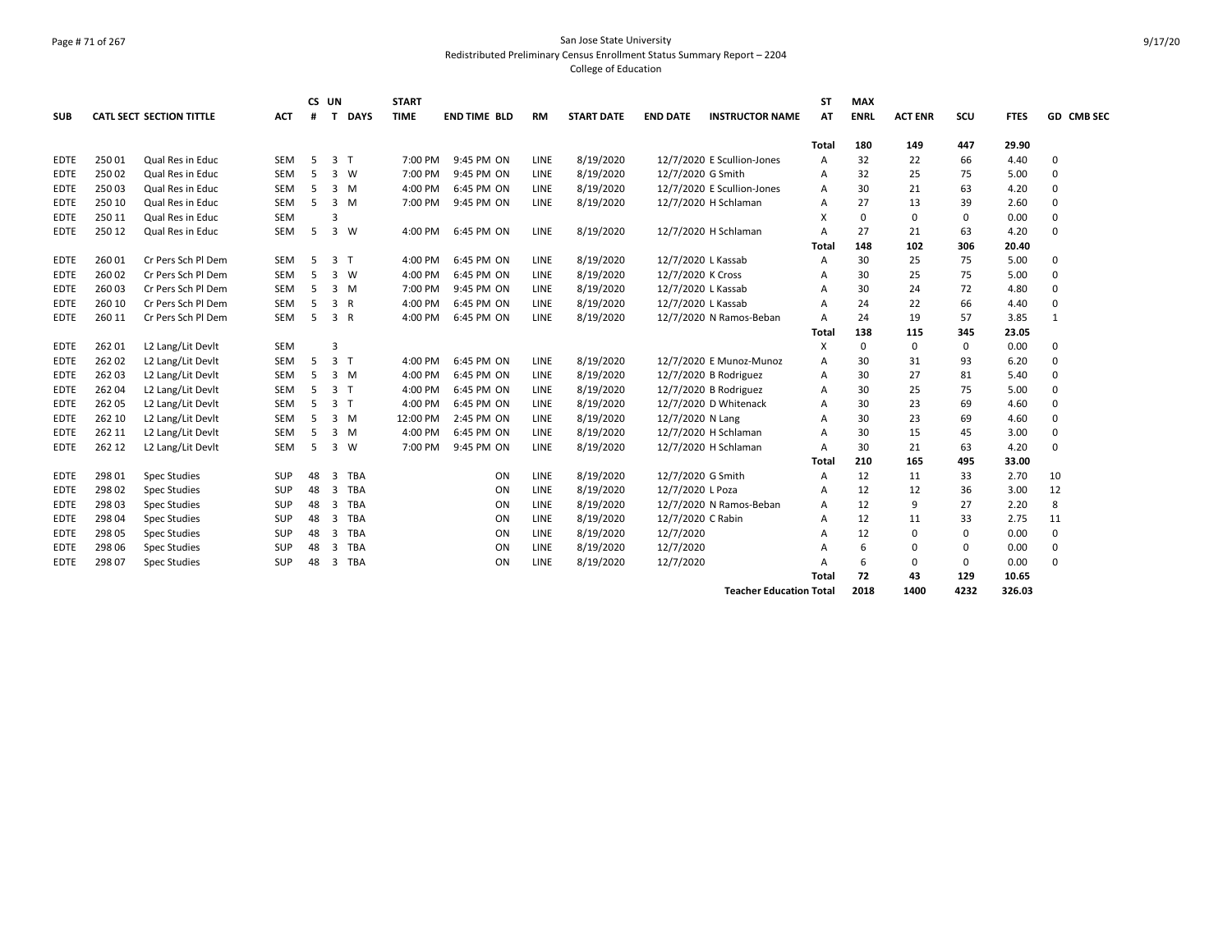#### Page # 71 of 267 San Jose State University Redistributed Preliminary Census Enrollment Status Summary Report – 2204 College of Education

| <b>SUB</b>  |        | <b>CATL SECT SECTION TITTLE</b> | <b>ACT</b> | #  | CS UN<br>т     | <b>DAYS</b>    | <b>START</b><br><b>TIME</b> | <b>END TIME BLD</b> | <b>RM</b>   | <b>START DATE</b> | <b>END DATE</b>    | <b>INSTRUCTOR NAME</b>         | <b>ST</b><br>AT | <b>MAX</b><br><b>ENRL</b> | <b>ACT ENR</b> | SCU         | <b>FTES</b> | GD CMB SEC   |
|-------------|--------|---------------------------------|------------|----|----------------|----------------|-----------------------------|---------------------|-------------|-------------------|--------------------|--------------------------------|-----------------|---------------------------|----------------|-------------|-------------|--------------|
|             |        |                                 |            |    |                |                |                             |                     |             |                   |                    |                                | Total           | 180                       | 149            | 447         | 29.90       |              |
| <b>EDTE</b> | 25001  | Qual Res in Educ                | <b>SEM</b> | 5  |                | 3 <sub>T</sub> | 7:00 PM                     | 9:45 PM ON          | <b>LINE</b> | 8/19/2020         |                    | 12/7/2020 E Scullion-Jones     | $\overline{A}$  | 32                        | 22             | 66          | 4.40        | 0            |
| <b>EDTE</b> | 25002  | Qual Res in Educ                | <b>SEM</b> | 5  | 3              | W              | 7:00 PM                     | 9:45 PM ON          | LINE        | 8/19/2020         | 12/7/2020 G Smith  |                                | Α               | 32                        | 25             | 75          | 5.00        | $\Omega$     |
| <b>EDTE</b> | 25003  | Qual Res in Educ                | SEM        | 5  | 3              | M              | 4:00 PM                     | 6:45 PM ON          | LINE        | 8/19/2020         |                    | 12/7/2020 E Scullion-Jones     | A               | 30                        | 21             | 63          | 4.20        | $\Omega$     |
| <b>EDTE</b> | 250 10 | Qual Res in Educ                | <b>SEM</b> | 5  | 3              | M              | 7:00 PM                     | 9:45 PM ON          | <b>LINE</b> | 8/19/2020         |                    | 12/7/2020 H Schlaman           | A               | 27                        | 13             | 39          | 2.60        | $\Omega$     |
| <b>EDTE</b> | 250 11 | Qual Res in Educ                | <b>SEM</b> |    | 3              |                |                             |                     |             |                   |                    |                                | X               | $\Omega$                  | $\Omega$       | $\mathbf 0$ | 0.00        | 0            |
| EDTE        | 250 12 | Qual Res in Educ                | <b>SEM</b> | 5  | 3              | W              | 4:00 PM                     | 6:45 PM ON          | LINE        | 8/19/2020         |                    | 12/7/2020 H Schlaman           | $\overline{A}$  | 27                        | 21             | 63          | 4.20        | 0            |
|             |        |                                 |            |    |                |                |                             |                     |             |                   |                    |                                | Total           | 148                       | 102            | 306         | 20.40       |              |
| <b>EDTE</b> | 26001  | Cr Pers Sch Pl Dem              | <b>SEM</b> | -5 | $\overline{3}$ | T              | 4:00 PM                     | 6:45 PM ON          | LINE        | 8/19/2020         | 12/7/2020 L Kassab |                                | A               | 30                        | 25             | 75          | 5.00        | 0            |
| <b>EDTE</b> | 26002  | Cr Pers Sch Pl Dem              | <b>SEM</b> | 5  | 3              | <b>W</b>       | 4:00 PM                     | 6:45 PM ON          | LINE        | 8/19/2020         | 12/7/2020 K Cross  |                                | $\Delta$        | 30                        | 25             | 75          | 5.00        | 0            |
| <b>EDTE</b> | 26003  | Cr Pers Sch Pl Dem              | <b>SEM</b> | 5  | $\overline{3}$ | M              | 7:00 PM                     | 9:45 PM ON          | LINE        | 8/19/2020         | 12/7/2020 L Kassab |                                | A               | 30                        | 24             | 72          | 4.80        | $\Omega$     |
| EDTE        | 260 10 | Cr Pers Sch Pl Dem              | SEM        | 5  | 3              | R              | 4:00 PM                     | 6:45 PM ON          | LINE        | 8/19/2020         | 12/7/2020 L Kassab |                                | A               | 24                        | 22             | 66          | 4.40        | $\Omega$     |
| <b>EDTE</b> | 260 11 | Cr Pers Sch Pl Dem              | SEM        | 5  |                | 3 R            | 4:00 PM                     | 6:45 PM ON          | LINE        | 8/19/2020         |                    | 12/7/2020 N Ramos-Beban        | $\overline{A}$  | 24                        | 19             | 57          | 3.85        | $\mathbf{1}$ |
|             |        |                                 |            |    |                |                |                             |                     |             |                   |                    |                                | Total           | 138                       | 115            | 345         | 23.05       |              |
| <b>EDTE</b> | 26201  | L2 Lang/Lit Devlt               | SEM        |    | $\overline{3}$ |                |                             |                     |             |                   |                    |                                | X               | 0                         | 0              | $\mathbf 0$ | 0.00        | $\Omega$     |
| <b>EDTE</b> | 26202  | L2 Lang/Lit Devlt               | <b>SEM</b> | 5  |                | 3 <sub>1</sub> | 4:00 PM                     | 6:45 PM ON          | <b>LINE</b> | 8/19/2020         |                    | 12/7/2020 E Munoz-Munoz        | $\overline{A}$  | 30                        | 31             | 93          | 6.20        | $\Omega$     |
| <b>EDTE</b> | 26203  | L2 Lang/Lit Devlt               | SEM        | 5  | $\overline{3}$ | M              | 4:00 PM                     | 6:45 PM ON          | LINE        | 8/19/2020         |                    | 12/7/2020 B Rodriguez          | A               | 30                        | 27             | 81          | 5.40        | $\Omega$     |
| <b>EDTE</b> | 26204  | L2 Lang/Lit Devlt               | SEM        | 5  |                | 3 <sub>T</sub> | 4:00 PM                     | 6:45 PM ON          | LINE        | 8/19/2020         |                    | 12/7/2020 B Rodriguez          | A               | 30                        | 25             | 75          | 5.00        | $\Omega$     |
| <b>EDTE</b> | 26205  | L2 Lang/Lit Devlt               | <b>SEM</b> | 5  |                | 3 <sub>T</sub> | 4:00 PM                     | 6:45 PM ON          | <b>LINE</b> | 8/19/2020         |                    | 12/7/2020 D Whitenack          | A               | 30                        | 23             | 69          | 4.60        | $\Omega$     |
| <b>EDTE</b> | 262 10 | L2 Lang/Lit Devlt               | SEM        | 5  | $\overline{3}$ | M              | 12:00 PM                    | 2:45 PM ON          | LINE        | 8/19/2020         | 12/7/2020 N Lang   |                                | A               | 30                        | 23             | 69          | 4.60        | $\Omega$     |
| <b>EDTE</b> | 262 11 | L2 Lang/Lit Devlt               | SEM        | 5  | 3              | M              | 4:00 PM                     | 6:45 PM ON          | LINE        | 8/19/2020         |                    | 12/7/2020 H Schlaman           | A               | 30                        | 15             | 45          | 3.00        | $\Omega$     |
| <b>EDTE</b> | 262 12 | L2 Lang/Lit Devlt               | <b>SEM</b> | 5  | 3              | W              | 7:00 PM                     | 9:45 PM ON          | <b>LINE</b> | 8/19/2020         |                    | 12/7/2020 H Schlaman           | $\overline{A}$  | 30                        | 21             | 63          | 4.20        | 0            |
|             |        |                                 |            |    |                |                |                             |                     |             |                   |                    |                                | Total           | 210                       | 165            | 495         | 33.00       |              |
| <b>EDTE</b> | 298 01 | <b>Spec Studies</b>             | SUP        | 48 | 3              | TBA            |                             | ON                  | LINE        | 8/19/2020         | 12/7/2020 G Smith  |                                | A               | 12                        | 11             | 33          | 2.70        | 10           |
| <b>EDTE</b> | 298 02 | <b>Spec Studies</b>             | SUP        | 48 | 3              | TBA            |                             | ON                  | LINE        | 8/19/2020         | 12/7/2020 L Poza   |                                | A               | 12                        | 12             | 36          | 3.00        | 12           |
| <b>EDTE</b> | 29803  | <b>Spec Studies</b>             | SUP        | 48 | 3              | TBA            |                             | ON                  | LINE        | 8/19/2020         |                    | 12/7/2020 N Ramos-Beban        | A               | 12                        | 9              | 27          | 2.20        | 8            |
| EDTE        | 298 04 | <b>Spec Studies</b>             | SUP        | 48 | 3              | TBA            |                             | ON                  | LINE        | 8/19/2020         | 12/7/2020 C Rabin  |                                | A               | 12                        | 11             | 33          | 2.75        | 11           |
| <b>EDTE</b> | 298 05 | <b>Spec Studies</b>             | SUP        | 48 | 3              | TBA            |                             | ON                  | <b>LINE</b> | 8/19/2020         | 12/7/2020          |                                | A               | 12                        | $\Omega$       | 0           | 0.00        | 0            |
| EDTE        | 298 06 | <b>Spec Studies</b>             | SUP        | 48 | 3              | TBA            |                             | ON                  | LINE        | 8/19/2020         | 12/7/2020          |                                | A               | 6                         | $\Omega$       | 0           | 0.00        | 0            |
| <b>EDTE</b> | 298 07 | <b>Spec Studies</b>             | SUP        | 48 | 3              | TBA            |                             | ON                  | LINE        | 8/19/2020         | 12/7/2020          |                                | A               | 6                         | 0              | 0           | 0.00        | 0            |
|             |        |                                 |            |    |                |                |                             |                     |             |                   |                    |                                | Total           | 72                        | 43             | 129         | 10.65       |              |
|             |        |                                 |            |    |                |                |                             |                     |             |                   |                    | <b>Teacher Education Total</b> |                 | 2018                      | 1400           | 4232        | 326.03      |              |